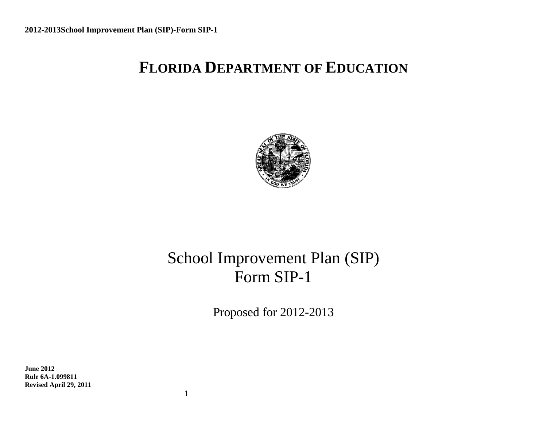# **FLORIDA DEPARTMENT OF EDUCATION**



# School Improvement Plan (SIP) Form SIP-1

Proposed for 2012-2013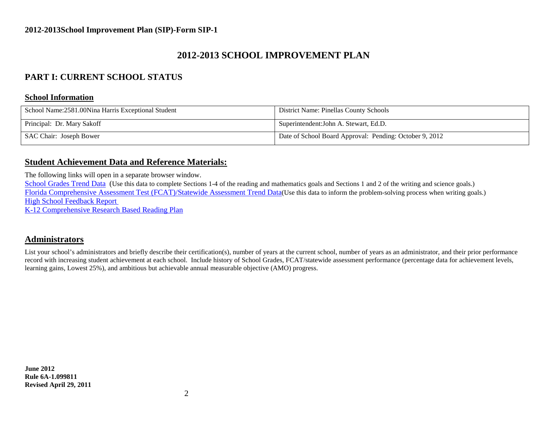### **2012-2013 SCHOOL IMPROVEMENT PLAN**

### **PART I: CURRENT SCHOOL STATUS**

#### **School Information**

| School Name: 2581.00Nina Harris Exceptional Student | District Name: Pinellas County Schools                  |
|-----------------------------------------------------|---------------------------------------------------------|
| Principal: Dr. Mary Sakoff                          | Superintendent: John A. Stewart, Ed.D.                  |
| SAC Chair: Joseph Bower                             | Date of School Board Approval: Pending: October 9, 2012 |

### **Student Achievement Data and Reference Materials:**

The following links will open in a separate browser window.

[School Grades Trend Data](http://schoolgrades.fldoe.org/default.asp) (Use this data to complete Sections 1-4 of the reading and mathematics goals and Sections 1 and 2 of the writing and science goals.) [Florida Comprehensive Assessment Test \(FCAT\)/Statewide Assessment](http://fcat.fldoe.org/results/default.asp) Trend Data(Use this data to inform the problem-solving process when writing goals.) [High School Feedback Report](http://data.fldoe.org/readiness/) 

[K-12 Comprehensive Research Based Reading Plan](https://app1.fldoe.org/Reading_Plans/Narrative/NarrativeList.aspx)

### **Administrators**

List your school's administrators and briefly describe their certification(s), number of years at the current school, number of years as an administrator, and their prior performance record with increasing student achievement at each school. Include history of School Grades, FCAT/statewide assessment performance (percentage data for achievement levels, learning gains, Lowest 25%), and ambitious but achievable annual measurable objective (AMO) progress.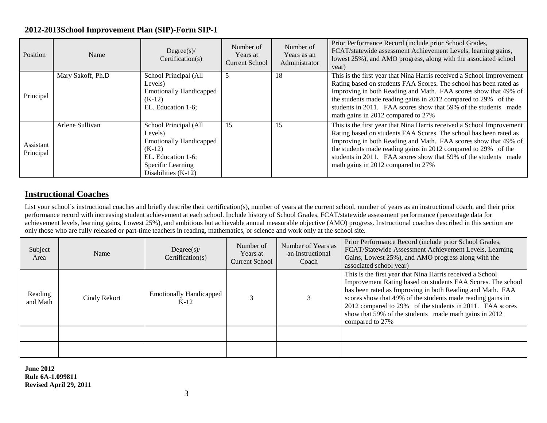| Position               | Name              | Degree(s)<br>Certification(s)                                                                                                                    | Number of<br>Years at<br><b>Current School</b> | Number of<br>Years as an<br>Administrator | Prior Performance Record (include prior School Grades,<br>FCAT/statewide assessment Achievement Levels, learning gains,<br>lowest 25%), and AMO progress, along with the associated school<br>year)                                                                                                                                                                                      |
|------------------------|-------------------|--------------------------------------------------------------------------------------------------------------------------------------------------|------------------------------------------------|-------------------------------------------|------------------------------------------------------------------------------------------------------------------------------------------------------------------------------------------------------------------------------------------------------------------------------------------------------------------------------------------------------------------------------------------|
| Principal              | Mary Sakoff, Ph.D | School Principal (All<br>Levels)<br><b>Emotionally Handicapped</b><br>$(K-12)$<br>EL. Education 1-6;                                             |                                                | 18                                        | This is the first year that Nina Harris received a School Improvement<br>Rating based on students FAA Scores. The school has been rated as<br>Improving in both Reading and Math. FAA scores show that 49% of<br>the students made reading gains in 2012 compared to 29% of the<br>students in 2011. FAA scores show that 59% of the students made<br>math gains in 2012 compared to 27% |
| Assistant<br>Principal | Arlene Sullivan   | School Principal (All<br>Levels)<br><b>Emotionally Handicapped</b><br>$(K-12)$<br>EL. Education 1-6;<br>Specific Learning<br>Disabilities (K-12) | 15                                             | 15                                        | This is the first year that Nina Harris received a School Improvement<br>Rating based on students FAA Scores. The school has been rated as<br>Improving in both Reading and Math. FAA scores show that 49% of<br>the students made reading gains in 2012 compared to 29% of the<br>students in 2011. FAA scores show that 59% of the students made<br>math gains in 2012 compared to 27% |

### **Instructional Coaches**

List your school's instructional coaches and briefly describe their certification(s), number of years at the current school, number of years as an instructional coach, and their prior performance record with increasing student achievement at each school. Include history of School Grades, FCAT/statewide assessment performance (percentage data for achievement levels, learning gains, Lowest 25%), and ambitious but achievable annual measurable objective (AMO) progress. Instructional coaches described in this section are only those who are fully released or part-time teachers in reading, mathematics, or science and work only at the school site.

| Subject<br>Area     | Name         | Degree(s)<br>Certification(s)            | Number of<br>Years at<br><b>Current School</b> | Number of Years as<br>an Instructional<br>Coach | Prior Performance Record (include prior School Grades,<br>FCAT/Statewide Assessment Achievement Levels, Learning<br>Gains, Lowest 25%), and AMO progress along with the<br>associated school year)                                                                                                                                                                                          |
|---------------------|--------------|------------------------------------------|------------------------------------------------|-------------------------------------------------|---------------------------------------------------------------------------------------------------------------------------------------------------------------------------------------------------------------------------------------------------------------------------------------------------------------------------------------------------------------------------------------------|
| Reading<br>and Math | Cindy Rekort | <b>Emotionally Handicapped</b><br>$K-12$ |                                                |                                                 | This is the first year that Nina Harris received a School<br>Improvement Rating based on students FAA Scores. The school<br>has been rated as Improving in both Reading and Math. FAA<br>scores show that 49% of the students made reading gains in<br>2012 compared to 29% of the students in 2011. FAA scores<br>show that 59% of the students made math gains in 2012<br>compared to 27% |
|                     |              |                                          |                                                |                                                 |                                                                                                                                                                                                                                                                                                                                                                                             |
|                     |              |                                          |                                                |                                                 |                                                                                                                                                                                                                                                                                                                                                                                             |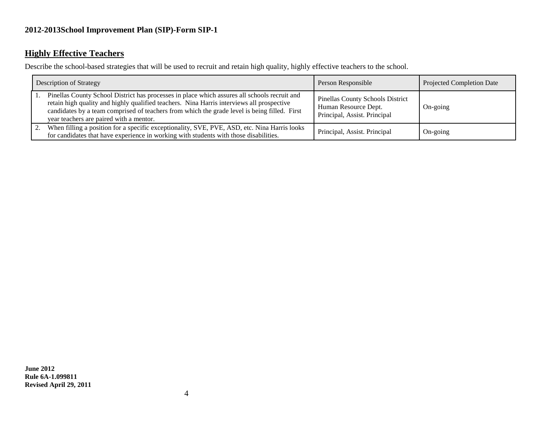### **Highly Effective Teachers**

Describe the school-based strategies that will be used to recruit and retain high quality, highly effective teachers to the school.

| Description of Strategy                                                                                                                                                                                                                                                                                                              | Person Responsible                                                                              | <b>Projected Completion Date</b> |
|--------------------------------------------------------------------------------------------------------------------------------------------------------------------------------------------------------------------------------------------------------------------------------------------------------------------------------------|-------------------------------------------------------------------------------------------------|----------------------------------|
| Pinellas County School District has processes in place which assures all schools recruit and<br>retain high quality and highly qualified teachers. Nina Harris interviews all prospective<br>candidates by a team comprised of teachers from which the grade level is being filled. First<br>year teachers are paired with a mentor. | <b>Pinellas County Schools District</b><br>Human Resource Dept.<br>Principal, Assist. Principal | On-going                         |
| When filling a position for a specific exceptionality, SVE, PVE, ASD, etc. Nina Harris looks<br>for candidates that have experience in working with students with those disabilities.                                                                                                                                                | Principal, Assist. Principal                                                                    | On-going                         |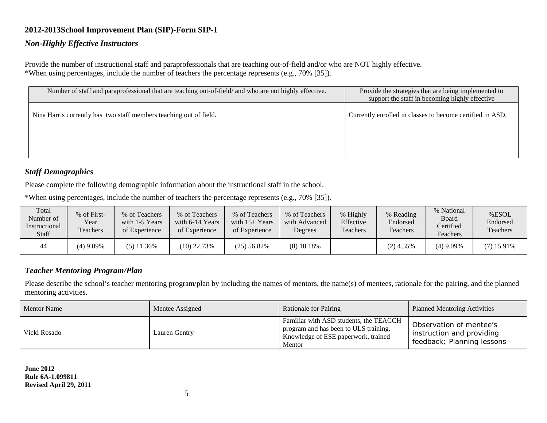### *Non-Highly Effective Instructors*

Provide the number of instructional staff and paraprofessionals that are teaching out-of-field and/or who are NOT highly effective. \*When using percentages, include the number of teachers the percentage represents (e.g., 70% [35]).

| Number of staff and paraprofessional that are teaching out-of-field/ and who are not highly effective. | Provide the strategies that are being implemented to<br>support the staff in becoming highly effective |
|--------------------------------------------------------------------------------------------------------|--------------------------------------------------------------------------------------------------------|
| Nina Harris currently has two staff members teaching out of field.                                     | Currently enrolled in classes to become certified in ASD.                                              |
|                                                                                                        |                                                                                                        |

### *Staff Demographics*

Please complete the following demographic information about the instructional staff in the school.

| *When using percentages, include the number of teachers the percentage represents (e.g., 70% [35]). |  |  |  |
|-----------------------------------------------------------------------------------------------------|--|--|--|
|                                                                                                     |  |  |  |

| Total<br>Number of<br>Instructional<br><b>Staff</b> | % of First-<br>Year<br>Teachers | % of Teachers<br>with 1-5 Years<br>of Experience | % of Teachers<br>with 6-14 Years<br>of Experience | % of Teachers<br>with $15+$ Years<br>of Experience | % of Teachers<br>with Advanced<br>Degrees | % Highly<br>Effective<br>Teachers | % Reading<br>Endorsed<br>Teachers | % National<br>Board<br>Certified<br>Teachers | %ESOL<br>Endorsed<br>Teachers |
|-----------------------------------------------------|---------------------------------|--------------------------------------------------|---------------------------------------------------|----------------------------------------------------|-------------------------------------------|-----------------------------------|-----------------------------------|----------------------------------------------|-------------------------------|
| 44                                                  | $(4)$ 9.09%                     | $(5)$ 11.36%                                     | $(10)$ 22.73%                                     | (25) 56.82%                                        | $(8)$ 18.18%                              |                                   | $(2)$ 4.55%                       | $(4)$ 9.09%                                  | $(7)$ 15.91%                  |

### *Teacher Mentoring Program/Plan*

Please describe the school's teacher mentoring program/plan by including the names of mentors, the name(s) of mentees, rationale for the pairing, and the planned mentoring activities.

| <b>Mentor Name</b> | Mentee Assigned | <b>Rationale for Pairing</b>                                                                                                     | <b>Planned Mentoring Activities</b>                                                |
|--------------------|-----------------|----------------------------------------------------------------------------------------------------------------------------------|------------------------------------------------------------------------------------|
| Vicki Rosado       | Lauren Gentry   | Familiar with ASD students, the TEACCH<br>program and has been to ULS training.<br>Knowledge of ESE paperwork, trained<br>Mentor | Observation of mentee's<br>instruction and providing<br>feedback; Planning lessons |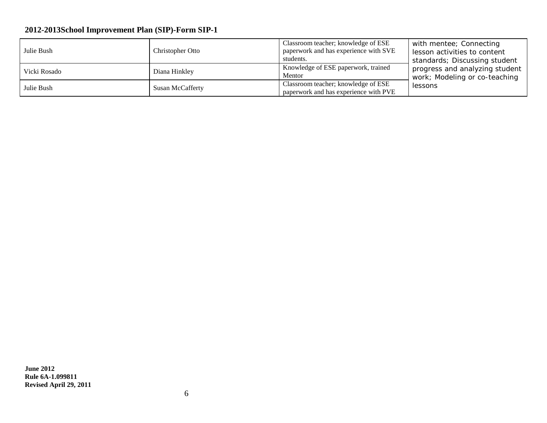| Julie Bush   | Christopher Otto | Classroom teacher; knowledge of ESE<br>paperwork and has experience with SVE<br>students. | with mentee; Connecting<br>lesson activities to content<br>standards; Discussing student |  |
|--------------|------------------|-------------------------------------------------------------------------------------------|------------------------------------------------------------------------------------------|--|
| Vicki Rosado | Diana Hinkley    | Knowledge of ESE paperwork, trained<br>Mentor                                             | progress and analyzing student<br>work; Modeling or co-teaching                          |  |
| Julie Bush   | Susan McCafferty | Classroom teacher; knowledge of ESE<br>paperwork and has experience with PVE              | lessons                                                                                  |  |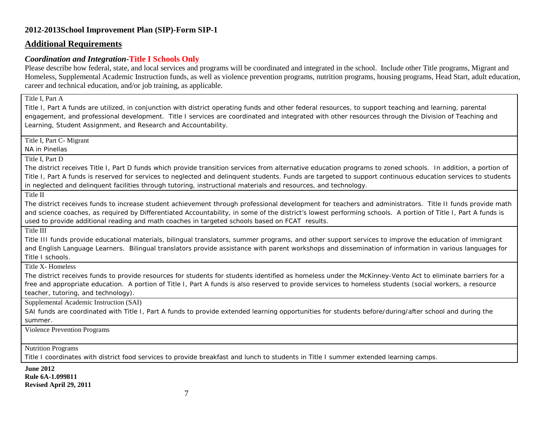### **Additional Requirements**

#### *Coordination and Integration-***Title I Schools Only**

Please describe how federal, state, and local services and programs will be coordinated and integrated in the school. Include other Title programs, Migrant and Homeless, Supplemental Academic Instruction funds, as well as violence prevention programs, nutrition programs, housing programs, Head Start, adult education, career and technical education, and/or job training, as applicable.

#### Title I, Part A

Title I, Part A funds are utilized, in conjunction with district operating funds and other federal resources, to support teaching and learning, parental engagement, and professional development. Title I services are coordinated and integrated with other resources through the Division of Teaching and Learning, Student Assignment, and Research and Accountability.

Title I, Part C- Migrant

NA in Pinellas

Title I, Part D

The district receives Title I, Part D funds which provide transition services from alternative education programs to zoned schools. In addition, a portion of Title I, Part A funds is reserved for services to neglected and delinquent students. Funds are targeted to support continuous education services to students in neglected and delinquent facilities through tutoring, instructional materials and resources, and technology.

Title II

The district receives funds to increase student achievement through professional development for teachers and administrators. Title II funds provide math and science coaches, as required by Differentiated Accountability, in some of the district's lowest performing schools. A portion of Title I, Part A funds is used to provide additional reading and math coaches in targeted schools based on FCAT results.

Title III

Title III funds provide educational materials, bilingual translators, summer programs, and other support services to improve the education of immigrant and English Language Learners. Bilingual translators provide assistance with parent workshops and dissemination of information in various languages for Title I schools.

Title X- Homeless

The district receives funds to provide resources for students for students identified as homeless under the McKinney-Vento Act to eliminate barriers for a free and appropriate education. A portion of Title I, Part A funds is also reserved to provide services to homeless students (social workers, a resource teacher, tutoring, and technology).

Supplemental Academic Instruction (SAI)

SAI funds are coordinated with Title I, Part A funds to provide extended learning opportunities for students before/during/after school and during the summer.

Violence Prevention Programs

Nutrition Programs

Title I coordinates with district food services to provide breakfast and lunch to students in Title I summer extended learning camps.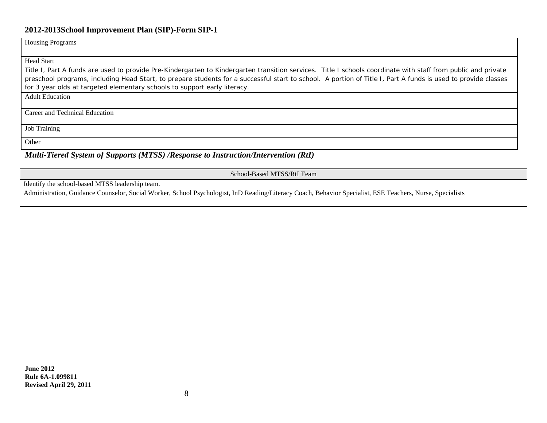Housing Programs

Head Start

Title I, Part A funds are used to provide Pre-Kindergarten to Kindergarten transition services. Title I schools coordinate with staff from public and private preschool programs, including Head Start, to prepare students for a successful start to school. A portion of Title I, Part A funds is used to provide classes for 3 year olds at targeted elementary schools to support early literacy.

Adult Education

Career and Technical Education

Job Training

**Other** 

*Multi-Tiered System of Supports (MTSS) /Response to Instruction/Intervention (RtI)*

School-Based MTSS/RtI Team

Identify the school-based MTSS leadership team.

Administration, Guidance Counselor, Social Worker, School Psychologist, InD Reading/Literacy Coach, Behavior Specialist, ESE Teachers, Nurse, Specialists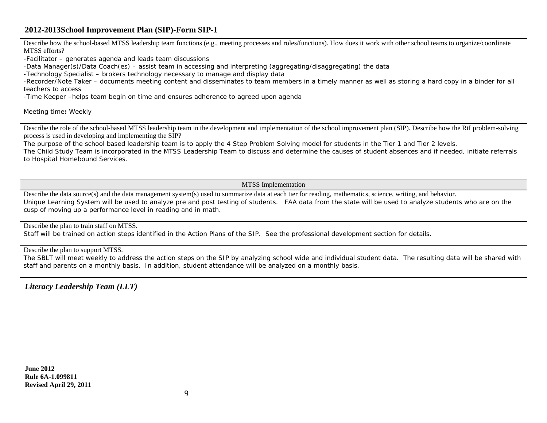Describe how the school-based MTSS leadership team functions (e.g., meeting processes and roles/functions). How does it work with other school teams to organize/coordinate MTSS efforts?

-Facilitator – generates agenda and leads team discussions

-Data Manager(s)/Data Coach(es) – assist team in accessing and interpreting (aggregating/disaggregating) the data

-Technology Specialist – brokers technology necessary to manage and display data

-Recorder/Note Taker – documents meeting content and disseminates to team members in a timely manner as well as storing a hard copy in a binder for all teachers to access

-Time Keeper –helps team begin on time and ensures adherence to agreed upon agenda

Meeting time**:** Weekly

Describe the role of the school-based MTSS leadership team in the development and implementation of the school improvement plan (SIP). Describe how the RtI problem-solving process is used in developing and implementing the SIP?

The purpose of the school based leadership team is to apply the 4 Step Problem Solving model for students in the Tier 1 and Tier 2 levels. The Child Study Team is incorporated in the MTSS Leadership Team to discuss and determine the causes of student absences and if needed, initiate referrals to Hospital Homebound Services.

#### MTSS Implementation

Describe the data source(s) and the data management system(s) used to summarize data at each tier for reading, mathematics, science, writing, and behavior. Unique Learning System will be used to analyze pre and post testing of students. FAA data from the state will be used to analyze students who are on the cusp of moving up a performance level in reading and in math.

#### Describe the plan to train staff on MTSS.

Staff will be trained on action steps identified in the Action Plans of the SIP. See the professional development section for details.

#### Describe the plan to support MTSS.

The SBLT will meet weekly to address the action steps on the SIP by analyzing school wide and individual student data. The resulting data will be shared with staff and parents on a monthly basis. In addition, student attendance will be analyzed on a monthly basis.

*Literacy Leadership Team (LLT)*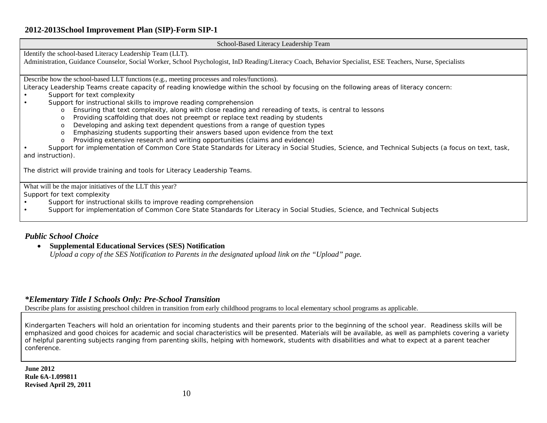School-Based Literacy Leadership Team

Identify the school-based Literacy Leadership Team (LLT).

Administration, Guidance Counselor, Social Worker, School Psychologist, InD Reading/Literacy Coach, Behavior Specialist, ESE Teachers, Nurse, Specialists

Describe how the school-based LLT functions (e.g., meeting processes and roles/functions).

Literacy Leadership Teams create capacity of reading knowledge within the school by focusing on the following areas of literacy concern:

- Support for text complexity
- Support for instructional skills to improve reading comprehension
	- o Ensuring that text complexity, along with close reading and rereading of texts, is central to lessons
	- o Providing scaffolding that does not preempt or replace text reading by students
	- o Developing and asking text dependent questions from a range of question types
	- o Emphasizing students supporting their answers based upon evidence from the text
	- o Providing extensive research and writing opportunities (claims and evidence)

• Support for implementation of Common Core State Standards for Literacy in Social Studies, Science, and Technical Subjects (a focus on text, task, and instruction).

The district will provide training and tools for Literacy Leadership Teams.

What will be the major initiatives of the LLT this year?

Support for text complexity

- Support for instructional skills to improve reading comprehension
- Support for implementation of Common Core State Standards for Literacy in Social Studies, Science, and Technical Subjects

#### *Public School Choice*

• **Supplemental Educational Services (SES) Notification** *Upload a copy of the SES Notification to Parents in the designated upload link on the "Upload" page.*

#### *\*Elementary Title I Schools Only: Pre-School Transition*

Describe plans for assisting preschool children in transition from early childhood programs to local elementary school programs as applicable.

Kindergarten Teachers will hold an orientation for incoming students and their parents prior to the beginning of the school year. Readiness skills will be emphasized and good choices for academic and social characteristics will be presented. Materials will be available, as well as pamphlets covering a variety of helpful parenting subjects ranging from parenting skills, helping with homework, students with disabilities and what to expect at a parent teacher conference.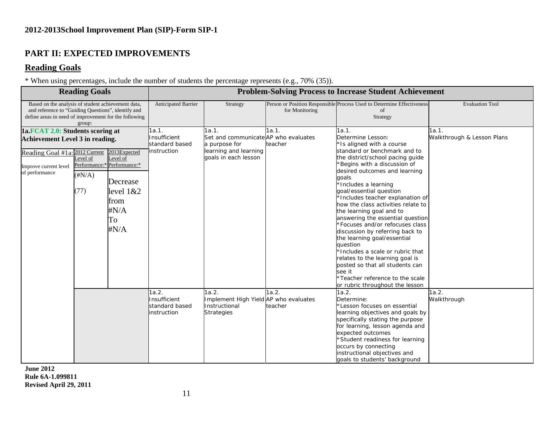### **PART II: EXPECTED IMPROVEMENTS**

### **Reading Goals**

\* When using percentages, include the number of students the percentage represents (e.g., 70% (35)).

| <b>Reading Goals</b>                                                                                                                                                                                                                                                                                                | <b>Problem-Solving Process to Increase Student Achievement</b> |                                                                                                                 |                  |                                                                                                                                                                                                                                                                                                                                                                                                                                                                                                                                                                                                                                                                                                            |                                     |  |
|---------------------------------------------------------------------------------------------------------------------------------------------------------------------------------------------------------------------------------------------------------------------------------------------------------------------|----------------------------------------------------------------|-----------------------------------------------------------------------------------------------------------------|------------------|------------------------------------------------------------------------------------------------------------------------------------------------------------------------------------------------------------------------------------------------------------------------------------------------------------------------------------------------------------------------------------------------------------------------------------------------------------------------------------------------------------------------------------------------------------------------------------------------------------------------------------------------------------------------------------------------------------|-------------------------------------|--|
| Based on the analysis of student achievement data,<br>and reference to "Guiding Questions", identify and<br>define areas in need of improvement for the following<br>group:                                                                                                                                         | Anticipated Barrier                                            | Strategy                                                                                                        | for Monitoring   | Person or Position Responsible Process Used to Determine Effectiveness<br>of<br>Strategy                                                                                                                                                                                                                                                                                                                                                                                                                                                                                                                                                                                                                   | <b>Evaluation Tool</b>              |  |
| 1a.FCAT 2.0: Students scoring at<br><b>Achievement Level 3 in reading.</b><br>Reading Goal #1a: 2012 Current<br>2013Expected<br>Level of<br>Level of<br>Performance:* Performance:*<br>Improve current level<br>of performance<br>$(\#N/A)$<br>Decrease<br>level $1&&2$<br>(77)<br>from<br>$\#N/A$<br>To<br>$\#N/A$ | 1a.1.<br>Insufficient<br>standard based<br>instruction         | 1a.1.<br>Set and communicate AP who evaluates<br>a purpose for<br>learning and learning<br>goals in each lesson | 1a.1.<br>teacher | 1a.1.<br>Determine Lesson:<br>'Is aligned with a course<br>standard or benchmark and to<br>the district/school pacing quide<br>Begins with a discussion of<br>desired outcomes and learning<br>qoals<br>*Includes a learning<br>goal/essential question<br>Includes teacher explanation of<br>how the class activities relate to<br>the learning goal and to<br>answering the essential question<br>*Focuses and/or refocuses class<br>discussion by referring back to<br>the learning goal/essential<br>question<br>Includes a scale or rubric that<br>relates to the learning goal is<br>posted so that all students can<br>see it<br>*Teacher reference to the scale<br>or rubric throughout the lesson | 1a.1.<br>Walkthrough & Lesson Plans |  |
|                                                                                                                                                                                                                                                                                                                     | 1a.2.<br>Insufficient<br>standard based<br>instruction         | 1a.2.<br>Implement High Yield AP who evaluates<br>Instructional<br><b>Strategies</b>                            | 1a.2.<br>teacher | 1a.2.<br>Determine:<br>Lesson focuses on essential<br>learning objectives and goals by<br>specifically stating the purpose<br>for learning, lesson agenda and<br>expected outcomes<br>*Student readiness for learning<br>occurs by connecting<br>instructional objectives and<br>goals to students' background                                                                                                                                                                                                                                                                                                                                                                                             | 1a.2.<br>Walkthrough                |  |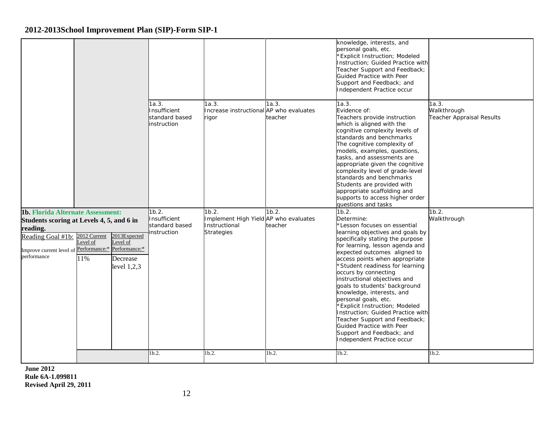|                                                                                                                                                                                                                                                                                       |                                                        |                                                                                      |                  | knowledge, interests, and<br>personal goals, etc.<br>*Explicit Instruction; Modeled<br>Instruction; Guided Practice with<br>Teacher Support and Feedback;<br><b>Guided Practice with Peer</b><br>Support and Feedback; and<br>Independent Practice occur                                                                                                                                                                                                                                                                                                                                                          |                                                          |
|---------------------------------------------------------------------------------------------------------------------------------------------------------------------------------------------------------------------------------------------------------------------------------------|--------------------------------------------------------|--------------------------------------------------------------------------------------|------------------|-------------------------------------------------------------------------------------------------------------------------------------------------------------------------------------------------------------------------------------------------------------------------------------------------------------------------------------------------------------------------------------------------------------------------------------------------------------------------------------------------------------------------------------------------------------------------------------------------------------------|----------------------------------------------------------|
|                                                                                                                                                                                                                                                                                       | 1a.3.<br>Insufficient<br>standard based<br>instruction | 1a.3.<br>Increase instructional AP who evaluates<br>rigor                            | 1a.3.<br>teacher | 1a.3.<br>Evidence of:<br>Teachers provide instruction<br>which is aligned with the<br>cognitive complexity levels of<br>standards and benchmarks<br>The cognitive complexity of<br>models, examples, questions,<br>tasks, and assessments are<br>appropriate given the cognitive<br>complexity level of grade-level<br>standards and benchmarks<br>Students are provided with<br>appropriate scaffolding and<br>supports to access higher order<br>questions and tasks                                                                                                                                            | 1a.3.<br>Walkthrough<br><b>Teacher Appraisal Results</b> |
| 1b. Florida Alternate Assessment:<br>Students scoring at Levels 4, 5, and 6 in<br>reading.<br>2013Expected<br>Reading Goal #1b:<br>2012 Current<br>Level of<br>Level of<br>Performance:* Performance:*<br>Improve current level of<br>performance<br>11%<br>Decrease<br>level $1,2,3$ | 1b.2.<br>Insufficient<br>standard based<br>instruction | 1b.2.<br>Implement High Yield AP who evaluates<br>Instructional<br><b>Strategies</b> | 1b.2.<br>teacher | 1b.2.<br>Determine:<br>*Lesson focuses on essential<br>learning objectives and goals by<br>specifically stating the purpose<br>for learning, lesson agenda and<br>expected outcomes aligned to<br>access points when appropriate<br>*Student readiness for learning<br>occurs by connecting<br>instructional objectives and<br>goals to students' background<br>knowledge, interests, and<br>personal goals, etc.<br>*Explicit Instruction; Modeled<br>Instruction; Guided Practice with<br>Teacher Support and Feedback;<br>Guided Practice with Peer<br>Support and Feedback; and<br>Independent Practice occur | 1b.2.<br>Walkthrough                                     |
|                                                                                                                                                                                                                                                                                       | 1b.2.                                                  | $1b.2$ .                                                                             | 1b.2.            | 1b.2.                                                                                                                                                                                                                                                                                                                                                                                                                                                                                                                                                                                                             | 1b.2.                                                    |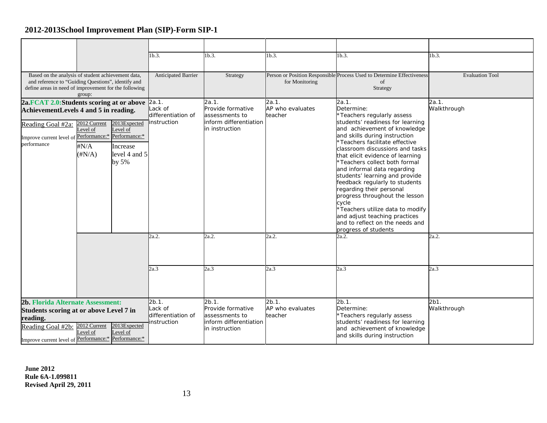|                                                                                                                                                                                                                               |  |                                                                                                 | 1b.3.                                                                                    | 1b.3.                                                                                    | 1b.3.                                                                                                                                                     | 1b.3.                                                                                                                                                                                                                                                                                                                                                                                                                                                                                                                                                                                                      | 1b.3.                |
|-------------------------------------------------------------------------------------------------------------------------------------------------------------------------------------------------------------------------------|--|-------------------------------------------------------------------------------------------------|------------------------------------------------------------------------------------------|------------------------------------------------------------------------------------------|-----------------------------------------------------------------------------------------------------------------------------------------------------------|------------------------------------------------------------------------------------------------------------------------------------------------------------------------------------------------------------------------------------------------------------------------------------------------------------------------------------------------------------------------------------------------------------------------------------------------------------------------------------------------------------------------------------------------------------------------------------------------------------|----------------------|
| Based on the analysis of student achievement data,<br>and reference to "Guiding Questions", identify and<br>define areas in need of improvement for the following                                                             |  | <b>Anticipated Barrier</b>                                                                      | Strategy                                                                                 | for Monitoring                                                                           | Person or Position Responsible Process Used to Determine Effectiveness<br>of<br>Strategy                                                                  | <b>Evaluation Tool</b>                                                                                                                                                                                                                                                                                                                                                                                                                                                                                                                                                                                     |                      |
| group:<br>2a.FCAT 2.0:Students scoring at or above 2a.1.<br>AchievementLevels 4 and 5 in reading.<br>2012 Current<br>Reading Goal #2a:<br>level of<br>Improve current level of<br>performance<br>$\sharp N/A$<br>$(\#N/A)$    |  | 2013Expected<br>Level of<br>Performance:* Performance:*<br>Increase<br>level 4 and 5<br>by $5%$ | Lack of<br>differentiation of<br>instruction                                             | 2a.1.<br>Provide formative<br>assessments to<br>inform differentiation<br>in instruction | 2a.1.<br>AP who evaluates<br>teacher                                                                                                                      | 2a.1.<br>Determine:<br>*Teachers regularly assess<br>students' readiness for learning<br>and achievement of knowledge<br>and skills during instruction<br>*Teachers facilitate effective<br>classroom discussions and tasks<br>that elicit evidence of learning<br>*Teachers collect both formal<br>and informal data regarding<br>students' learning and provide<br>feedback regularly to students<br>regarding their personal<br>progress throughout the lesson<br>cycle<br>*Teachers utilize data to modify<br>and adjust teaching practices<br>and to reflect on the needs and<br>progress of students | 2a.1.<br>Walkthrough |
|                                                                                                                                                                                                                               |  | 2a.2.                                                                                           | 2a.2.                                                                                    | 2a.2.                                                                                    | 2a.2.                                                                                                                                                     | 2a.2.                                                                                                                                                                                                                                                                                                                                                                                                                                                                                                                                                                                                      |                      |
|                                                                                                                                                                                                                               |  |                                                                                                 | 2a.3                                                                                     | 2a.3                                                                                     | 2a.3                                                                                                                                                      | 2a.3                                                                                                                                                                                                                                                                                                                                                                                                                                                                                                                                                                                                       | 2a.3                 |
| 2b. Florida Alternate Assessment:<br>Students scoring at or above Level 7 in<br>reading.<br>2013Expected<br>2012 Current<br>Reading Goal #2b:<br>Level of<br>Level of<br>Improve current level of Performance:* Performance:* |  | 2b.1.<br>Lack of<br>differentiation of<br>instruction                                           | 2b.1.<br>Provide formative<br>assessments to<br>inform differentiation<br>in instruction | $2b.1$ .<br>AP who evaluates<br>teacher                                                  | $2b.1$ .<br>Determine:<br>*Teachers regularly assess<br>students' readiness for learning<br>and achievement of knowledge<br>and skills during instruction | 2b1.<br>Walkthrough                                                                                                                                                                                                                                                                                                                                                                                                                                                                                                                                                                                        |                      |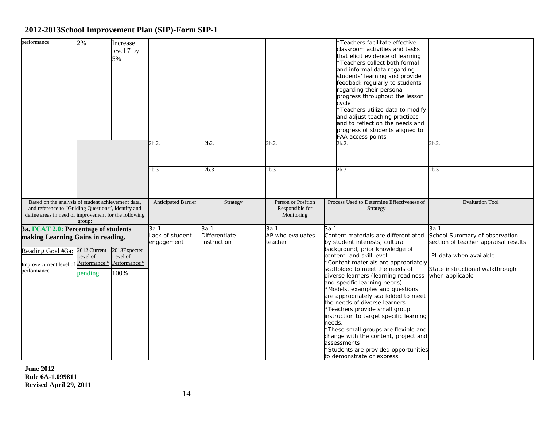| performance                                                                                                                                                       | 2%                                                                | Increase<br>level 7 by<br>5%     |                                        |                                              |                                                     | *Teachers facilitate effective<br>classroom activities and tasks<br>that elicit evidence of learning<br>Teachers collect both formal<br>and informal data regarding<br>students' learning and provide<br>feedback regularly to students<br>regarding their personal<br>progress throughout the lesson<br>cycle<br>*Teachers utilize data to modify<br>and adjust teaching practices<br>and to reflect on the needs and<br>progress of students aligned to<br>FAA access points                                                                                                                                                          |                                                                                                                                                                 |
|-------------------------------------------------------------------------------------------------------------------------------------------------------------------|-------------------------------------------------------------------|----------------------------------|----------------------------------------|----------------------------------------------|-----------------------------------------------------|-----------------------------------------------------------------------------------------------------------------------------------------------------------------------------------------------------------------------------------------------------------------------------------------------------------------------------------------------------------------------------------------------------------------------------------------------------------------------------------------------------------------------------------------------------------------------------------------------------------------------------------------|-----------------------------------------------------------------------------------------------------------------------------------------------------------------|
|                                                                                                                                                                   |                                                                   |                                  | 2b.2.                                  | 2b2.                                         | 2b.2.                                               | 2b.2.                                                                                                                                                                                                                                                                                                                                                                                                                                                                                                                                                                                                                                   | 2b.2.                                                                                                                                                           |
|                                                                                                                                                                   |                                                                   | 2b.3                             | 2b.3                                   | 2b.3                                         | 2b.3                                                | 2b.3                                                                                                                                                                                                                                                                                                                                                                                                                                                                                                                                                                                                                                    |                                                                                                                                                                 |
| Based on the analysis of student achievement data,<br>and reference to "Guiding Questions", identify and<br>define areas in need of improvement for the following | group:                                                            |                                  | <b>Anticipated Barrier</b>             | Strategy                                     | Person or Position<br>Responsible for<br>Monitoring | Process Used to Determine Effectiveness of<br>Strategy                                                                                                                                                                                                                                                                                                                                                                                                                                                                                                                                                                                  | <b>Evaluation Tool</b>                                                                                                                                          |
| 3a. FCAT 2.0: Percentage of students<br>making Learning Gains in reading.<br>Reading Goal #3a:<br>Improve current level of<br>performance                         | 2012 Current<br>evel of<br>Performance:* Performance:*<br>pending | 2013Expected<br>Level of<br>100% | 3a.1.<br>Lack of student<br>engagement | 3a.1.<br><b>Differentiate</b><br>Instruction | 3a.1.<br>AP who evaluates<br>teacher                | 3a.1.<br>Content materials are differentiated<br>by student interests, cultural<br>background, prior knowledge of<br>content, and skill level<br>Content materials are appropriately<br>scaffolded to meet the needs of<br>diverse learners (learning readiness<br>and specific learning needs)<br>*Models, examples and questions<br>are appropriately scaffolded to meet<br>the needs of diverse learners<br>*Teachers provide small group<br>instruction to target specific learning<br>needs.<br>*These small groups are flexible and<br>change with the content, project and<br>assessments<br>Students are provided opportunities | 3a.1.<br>School Summary of observation<br>section of teacher appraisal results<br>IPI data when available<br>State instructional walkthrough<br>when applicable |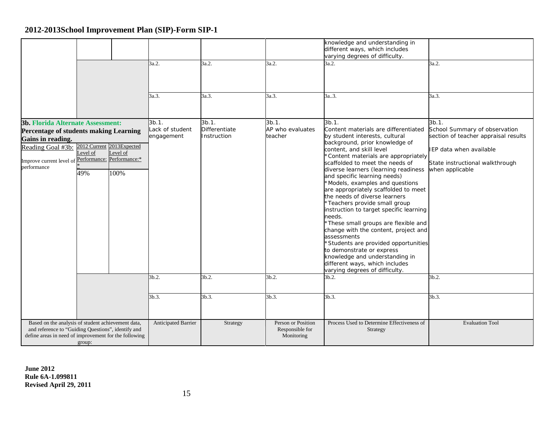|                                                                                                                                                                                |                |                                                                              | knowledge and understanding in<br>different ways, which includes<br>varying degrees of difficulty. |                                                     |                                                        |                                                                                                                                                                                                                                                                                                                                                                                                                                                                                                                                                                                                                                                                                                                                                                                |                                                                                                                                                                 |
|--------------------------------------------------------------------------------------------------------------------------------------------------------------------------------|----------------|------------------------------------------------------------------------------|----------------------------------------------------------------------------------------------------|-----------------------------------------------------|--------------------------------------------------------|--------------------------------------------------------------------------------------------------------------------------------------------------------------------------------------------------------------------------------------------------------------------------------------------------------------------------------------------------------------------------------------------------------------------------------------------------------------------------------------------------------------------------------------------------------------------------------------------------------------------------------------------------------------------------------------------------------------------------------------------------------------------------------|-----------------------------------------------------------------------------------------------------------------------------------------------------------------|
|                                                                                                                                                                                |                |                                                                              | 3a.2.                                                                                              | 3a.2.                                               | 3a.2.                                                  | 3a.2.                                                                                                                                                                                                                                                                                                                                                                                                                                                                                                                                                                                                                                                                                                                                                                          | 3a.2.                                                                                                                                                           |
|                                                                                                                                                                                |                |                                                                              | 3a.3.                                                                                              | 3a.3.                                               | $\overline{3}$ a.3.                                    | 3a3.                                                                                                                                                                                                                                                                                                                                                                                                                                                                                                                                                                                                                                                                                                                                                                           | 3a.3.                                                                                                                                                           |
| <b>3b. Florida Alternate Assessment:</b><br><b>Percentage of students making Learning</b><br>Gains in reading.<br>Reading Goal #3b:<br>Improve current level of<br>performance | evel of<br>49% | 2012 Current 2013 Expected<br>Level of<br>Performance: Performance:*<br>100% | $3b.1$ .<br>Lack of student<br>engagement                                                          | 3b.1.<br><b>Differentiate</b><br>Instruction        | $3b.1$ .<br>AP who evaluates<br>teacher                | $3b.1$ .<br>Content materials are differentiated<br>by student interests, cultural<br>background, prior knowledge of<br>content, and skill level<br>*Content materials are appropriately<br>scaffolded to meet the needs of<br>diverse learners (learning readiness<br>and specific learning needs)<br>Models, examples and questions<br>are appropriately scaffolded to meet<br>the needs of diverse learners<br>*Teachers provide small group<br>instruction to target specific learning<br>needs.<br>*These small groups are flexible and<br>change with the content, project and<br>assessments<br>*Students are provided opportunities<br>to demonstrate or express<br>knowledge and understanding in<br>different ways, which includes<br>varying degrees of difficulty. | 3b.1.<br>School Summary of observation<br>section of teacher appraisal results<br>IEP data when available<br>State instructional walkthrough<br>when applicable |
|                                                                                                                                                                                |                |                                                                              | 3b.2.                                                                                              | 3b.2.                                               | 3b.2.                                                  | 3b.2.                                                                                                                                                                                                                                                                                                                                                                                                                                                                                                                                                                                                                                                                                                                                                                          | 3b.2.                                                                                                                                                           |
|                                                                                                                                                                                |                |                                                                              | 3b.3.                                                                                              | 3b.3.                                               | 3b.3.                                                  | 3b.3.                                                                                                                                                                                                                                                                                                                                                                                                                                                                                                                                                                                                                                                                                                                                                                          | 3b.3.                                                                                                                                                           |
| Based on the analysis of student achievement data,<br>and reference to "Guiding Questions", identify and<br>define areas in need of improvement for the following<br>group:    |                | Anticipated Barrier                                                          | Strategy                                                                                           | Person or Position<br>Responsible for<br>Monitoring | Process Used to Determine Effectiveness of<br>Strategy | <b>Evaluation Tool</b>                                                                                                                                                                                                                                                                                                                                                                                                                                                                                                                                                                                                                                                                                                                                                         |                                                                                                                                                                 |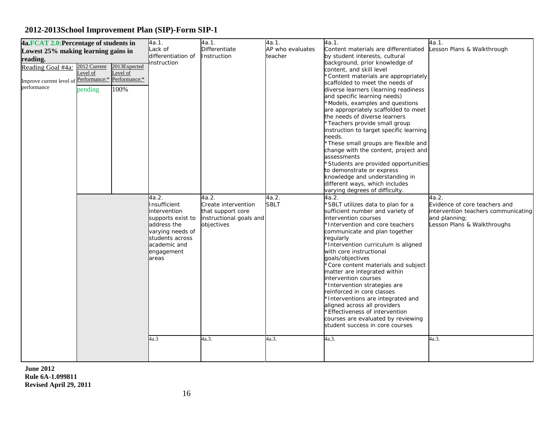| 4a.FCAT 2.0: Percentage of students in                                                                                                                                            | 4a.1.                                                                                                                                         | 4a.1.                                                                                                     | 4a.1.                           | 4a.1.                                                                                                                                                                                                                                                                                                                                                                                                                                                                                                                                                                                                                                                                                                                                                                                                                                                                                                    | 4a.1.                                                                                                                                                       |
|-----------------------------------------------------------------------------------------------------------------------------------------------------------------------------------|-----------------------------------------------------------------------------------------------------------------------------------------------|-----------------------------------------------------------------------------------------------------------|---------------------------------|----------------------------------------------------------------------------------------------------------------------------------------------------------------------------------------------------------------------------------------------------------------------------------------------------------------------------------------------------------------------------------------------------------------------------------------------------------------------------------------------------------------------------------------------------------------------------------------------------------------------------------------------------------------------------------------------------------------------------------------------------------------------------------------------------------------------------------------------------------------------------------------------------------|-------------------------------------------------------------------------------------------------------------------------------------------------------------|
| Lowest 25% making learning gains in                                                                                                                                               |                                                                                                                                               | Differentiate                                                                                             | AP who evaluates                | Content materials are differentiated                                                                                                                                                                                                                                                                                                                                                                                                                                                                                                                                                                                                                                                                                                                                                                                                                                                                     |                                                                                                                                                             |
| reading.<br>2012 Current<br>2013Expected<br>Reading Goal #4a:<br>evel of<br>Level of<br>Performance:* Performance:*<br>Improve current level of<br>performance<br>100%<br>pending | Lack of<br>differentiation of<br>instruction<br>4a.2.<br>Insufficient<br>intervention<br>supports exist to<br>address the<br>varying needs of | Instruction<br>4a.2.<br>Create intervention<br>that support core<br>instructional goals and<br>objectives | teacher<br>4a.2.<br><b>SBLT</b> | by student interests, cultural<br>background, prior knowledge of<br>content, and skill level<br>Content materials are appropriately<br>scaffolded to meet the needs of<br>diverse learners (learning readiness<br>and specific learning needs)<br>*Models, examples and questions<br>are appropriately scaffolded to meet<br>the needs of diverse learners<br>*Teachers provide small group<br>instruction to target specific learning<br>needs.<br>*These small groups are flexible and<br>change with the content, project and<br>assessments<br>'Students are provided opportunities<br>to demonstrate or express<br>knowledge and understanding in<br>different ways, which includes<br>varying degrees of difficulty.<br>4a.2.<br>'SBLT utilizes data to plan for a<br>sufficient number and variety of<br>intervention courses<br>*Intervention and core teachers<br>communicate and plan together | Lesson Plans & Walkthrough<br>4a.2.<br>Evidence of core teachers and<br>intervention teachers communicating<br>and planning;<br>Lesson Plans & Walkthroughs |
|                                                                                                                                                                                   | students across<br>academic and<br>engagement<br>areas<br>4a.3                                                                                | 4a.3.                                                                                                     | 4a.3.                           | regularly<br>*Intervention curriculum is aligned<br>with core instructional<br>goals/objectives<br>Core content materials and subject<br>matter are integrated within<br>intervention courses<br>Intervention strategies are<br>reinforced in core classes<br>*Interventions are integrated and<br>aligned across all providers<br>Effectiveness of intervention<br>courses are evaluated by reviewing<br>student success in core courses<br>4a.3.                                                                                                                                                                                                                                                                                                                                                                                                                                                       | 4a.3.                                                                                                                                                       |
|                                                                                                                                                                                   |                                                                                                                                               |                                                                                                           |                                 |                                                                                                                                                                                                                                                                                                                                                                                                                                                                                                                                                                                                                                                                                                                                                                                                                                                                                                          |                                                                                                                                                             |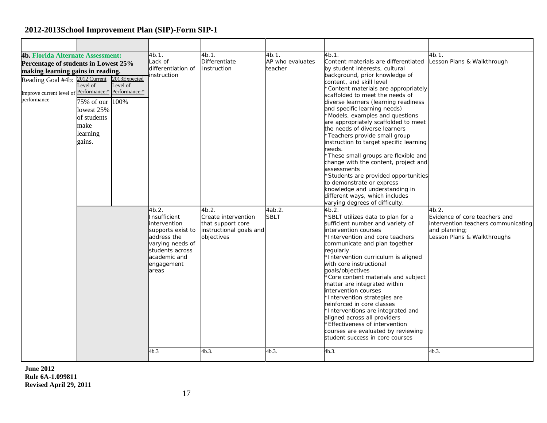| 4b.1.<br>4b.1.<br>4b.1.<br>4b.1.<br>4b.1.<br><b>4b. Florida Alternate Assessment:</b><br>Differentiate<br>AP who evaluates<br>Lesson Plans & Walkthrough<br>Lack of<br>Content materials are differentiated<br>Percentage of students in Lowest 25%<br>differentiation of<br>Instruction<br>teacher<br>by student interests, cultural<br>making learning gains in reading.<br>background, prior knowledge of<br>instruction<br>2012 Current<br>2013Expected<br>Reading Goal #4b:<br>content, and skill level<br>evel of<br>Level of<br>*Content materials are appropriately<br>Performance:* Performance:*<br>Improve current level of<br>scaffolded to meet the needs of<br>performance<br>100%<br>75% of our<br>diverse learners (learning readiness<br>and specific learning needs)<br>lowest 25%<br>*Models, examples and questions<br>of students<br>are appropriately scaffolded to meet<br>make<br>the needs of diverse learners<br>learning<br>*Teachers provide small group<br>gains.<br>instruction to target specific learning<br>needs.<br>*These small groups are flexible and<br>change with the content, project and<br>assessments<br>*Students are provided opportunities<br>to demonstrate or express<br>knowledge and understanding in<br>different ways, which includes<br>varying degrees of difficulty.<br>4b.2.<br>4b.2.<br>4ab.2.<br>4b.2.<br>4b.2.<br>Create intervention<br><b>SBLT</b><br>Insufficient<br>'SBLT utilizes data to plan for a<br>Evidence of core teachers and<br>intervention<br>that support core<br>sufficient number and variety of<br>instructional goals and<br>intervention courses<br>and planning;<br>supports exist to<br>Lesson Plans & Walkthroughs<br>address the<br>objectives<br>*Intervention and core teachers<br>communicate and plan together<br>varying needs of<br>students across<br>regularly<br>*Intervention curriculum is aligned<br>academic and<br>with core instructional<br>engagement<br>goals/objectives<br>areas<br>*Core content materials and subject<br>matter are integrated within<br>intervention courses<br>*Intervention strategies are<br>reinforced in core classes<br>*Interventions are integrated and<br>aligned across all providers<br><b>Effectiveness of intervention</b><br>courses are evaluated by reviewing<br>student success in core courses |  |  |                                     |
|-----------------------------------------------------------------------------------------------------------------------------------------------------------------------------------------------------------------------------------------------------------------------------------------------------------------------------------------------------------------------------------------------------------------------------------------------------------------------------------------------------------------------------------------------------------------------------------------------------------------------------------------------------------------------------------------------------------------------------------------------------------------------------------------------------------------------------------------------------------------------------------------------------------------------------------------------------------------------------------------------------------------------------------------------------------------------------------------------------------------------------------------------------------------------------------------------------------------------------------------------------------------------------------------------------------------------------------------------------------------------------------------------------------------------------------------------------------------------------------------------------------------------------------------------------------------------------------------------------------------------------------------------------------------------------------------------------------------------------------------------------------------------------------------------------------------------------------------------------------------------------------------------------------------------------------------------------------------------------------------------------------------------------------------------------------------------------------------------------------------------------------------------------------------------------------------------------------------------------------------------------------------------------------------------------------------------------------------------|--|--|-------------------------------------|
|                                                                                                                                                                                                                                                                                                                                                                                                                                                                                                                                                                                                                                                                                                                                                                                                                                                                                                                                                                                                                                                                                                                                                                                                                                                                                                                                                                                                                                                                                                                                                                                                                                                                                                                                                                                                                                                                                                                                                                                                                                                                                                                                                                                                                                                                                                                                               |  |  | intervention teachers communicating |
| 4b.3<br>4b.3.<br>4b.3.<br>4b.3.<br>4b.3.                                                                                                                                                                                                                                                                                                                                                                                                                                                                                                                                                                                                                                                                                                                                                                                                                                                                                                                                                                                                                                                                                                                                                                                                                                                                                                                                                                                                                                                                                                                                                                                                                                                                                                                                                                                                                                                                                                                                                                                                                                                                                                                                                                                                                                                                                                      |  |  |                                     |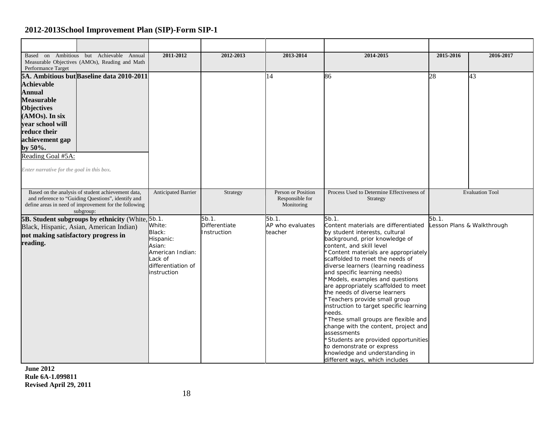| Based on Ambitious but Achievable Annual<br>Measurable Objectives (AMOs), Reading and Math<br>Performance Target                                                                                                                                                                | 2011-2012                                                                                                   | 2012-2013                             | 2013-2014                                           | 2014-2015                                                                                                                                                                                                                                                                                                                                                                                                                                                                                                                                                                                                                                                                                                                                   | 2015-2016 | 2016-2017                  |
|---------------------------------------------------------------------------------------------------------------------------------------------------------------------------------------------------------------------------------------------------------------------------------|-------------------------------------------------------------------------------------------------------------|---------------------------------------|-----------------------------------------------------|---------------------------------------------------------------------------------------------------------------------------------------------------------------------------------------------------------------------------------------------------------------------------------------------------------------------------------------------------------------------------------------------------------------------------------------------------------------------------------------------------------------------------------------------------------------------------------------------------------------------------------------------------------------------------------------------------------------------------------------------|-----------|----------------------------|
| 5A. Ambitious but Baseline data 2010-2011<br><b>Achievable</b><br><b>Annual</b><br><b>Measurable</b><br><b>Objectives</b><br>(AMOs). In six<br>vear school will<br>reduce their<br>achievement gap<br>by 50%.<br>Reading Goal #5A:<br>Enter narrative for the goal in this box. |                                                                                                             |                                       | 14                                                  | 86                                                                                                                                                                                                                                                                                                                                                                                                                                                                                                                                                                                                                                                                                                                                          | 28        | 43                         |
| Based on the analysis of student achievement data,<br>and reference to "Guiding Questions", identify and<br>define areas in need of improvement for the following<br>subgroup:                                                                                                  | <b>Anticipated Barrier</b>                                                                                  | Strategy                              | Person or Position<br>Responsible for<br>Monitoring | Process Used to Determine Effectiveness of<br>Strategy                                                                                                                                                                                                                                                                                                                                                                                                                                                                                                                                                                                                                                                                                      |           | <b>Evaluation Tool</b>     |
| 5B. Student subgroups by ethnicity (White, 5b.1.<br>Black, Hispanic, Asian, American Indian)<br>not making satisfactory progress in<br>reading.                                                                                                                                 | White:<br>Black:<br>Hispanic:<br>Asian:<br>American Indian:<br>Lack of<br>differentiation of<br>instruction | 5b.1.<br>Differentiate<br>Instruction | $5b.1$ .<br>AP who evaluates<br>teacher             | $5b.1$ .<br>Content materials are differentiated<br>by student interests, cultural<br>background, prior knowledge of<br>content, and skill level<br>Content materials are appropriately<br>scaffolded to meet the needs of<br>diverse learners (learning readiness<br>and specific learning needs)<br>Models, examples and questions<br>are appropriately scaffolded to meet<br>the needs of diverse learners<br>*Teachers provide small group<br>instruction to target specific learning<br>needs.<br>*These small groups are flexible and<br>change with the content, project and<br>assessments<br>'Students are provided opportunities<br>to demonstrate or express<br>knowledge and understanding in<br>different ways, which includes | 5b.1.     | Lesson Plans & Walkthrough |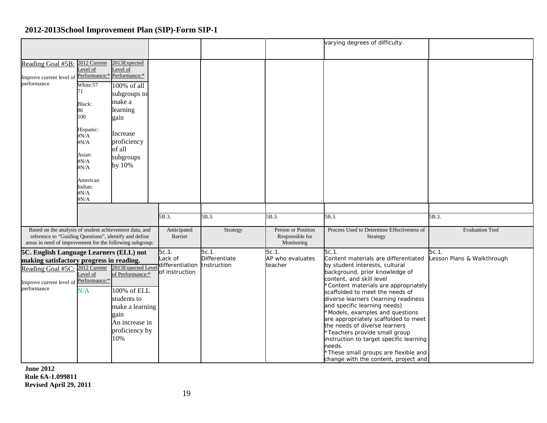|                                                                                                                                                                             |                                                                                                                                                                       |                                                                                                                                                     |                                                       |                                       |                                                     | varying degrees of difficulty.                                                                                                                                                                                                                                                                                                                                                                                                                                                                                                                                                   |                                     |
|-----------------------------------------------------------------------------------------------------------------------------------------------------------------------------|-----------------------------------------------------------------------------------------------------------------------------------------------------------------------|-----------------------------------------------------------------------------------------------------------------------------------------------------|-------------------------------------------------------|---------------------------------------|-----------------------------------------------------|----------------------------------------------------------------------------------------------------------------------------------------------------------------------------------------------------------------------------------------------------------------------------------------------------------------------------------------------------------------------------------------------------------------------------------------------------------------------------------------------------------------------------------------------------------------------------------|-------------------------------------|
| Reading Goal #5B:<br>Improve current level of<br>performance                                                                                                                | 2012 Current<br>evel of<br>Performance:* Performance:*<br>White:57<br>71<br>Black:<br>86<br>100<br>Hispanic:<br>#N/A<br>#N/A<br>Asian:<br>$\#N/A$<br>#N/A<br>American | 2013Expected<br>evel of<br>100% of all<br>subgroups to<br>make a<br>learning<br>gain<br>Increase<br>proficiency<br>of all<br>subgroups<br>by $10\%$ |                                                       |                                       |                                                     |                                                                                                                                                                                                                                                                                                                                                                                                                                                                                                                                                                                  |                                     |
|                                                                                                                                                                             | Indian:<br>$\#N/A$<br>#N/A                                                                                                                                            |                                                                                                                                                     |                                                       |                                       |                                                     |                                                                                                                                                                                                                                                                                                                                                                                                                                                                                                                                                                                  |                                     |
|                                                                                                                                                                             |                                                                                                                                                                       |                                                                                                                                                     |                                                       |                                       |                                                     |                                                                                                                                                                                                                                                                                                                                                                                                                                                                                                                                                                                  |                                     |
|                                                                                                                                                                             |                                                                                                                                                                       |                                                                                                                                                     | 5B.3.                                                 | 5B.3.                                 | 5B.3.                                               | 5B.3.                                                                                                                                                                                                                                                                                                                                                                                                                                                                                                                                                                            | 5B.3.                               |
| Based on the analysis of student achievement data, and<br>reference to "Guiding Questions", identify and define<br>areas in need of improvement for the following subgroup: |                                                                                                                                                                       |                                                                                                                                                     | Anticipated<br>Barrier                                | Strategy                              | Person or Position<br>Responsible for<br>Monitoring | Process Used to Determine Effectiveness of<br>Strategy                                                                                                                                                                                                                                                                                                                                                                                                                                                                                                                           | <b>Evaluation Tool</b>              |
| 5C. English Language Learners (ELL) not<br>making satisfactory progress in reading.<br>Reading Goal #5C: 2012 Current<br>Improve current level of<br>performance            | Level of<br>Performance:*<br>N/A                                                                                                                                      | 2013Expected Level<br>of Performance:*<br>100% of ELL<br>students to<br>make a learning<br>gain<br>An increase in<br>proficiency by<br>10%          | 5c.1.<br>Lack of<br>differentiation<br>of instruction | 5c.1.<br>Differentiate<br>Instruction | 5c.1.<br>AP who evaluates<br>teacher                | 5c.1.<br>Content materials are differentiated<br>by student interests, cultural<br>background, prior knowledge of<br>content, and skill level<br>Content materials are appropriately<br>scaffolded to meet the needs of<br>diverse learners (learning readiness<br>and specific learning needs)<br>Models, examples and questions<br>are appropriately scaffolded to meet<br>the needs of diverse learners<br>*Teachers provide small group<br>instruction to target specific learning<br>needs.<br>*These small groups are flexible and<br>change with the content, project and | 5c.1.<br>Lesson Plans & Walkthrough |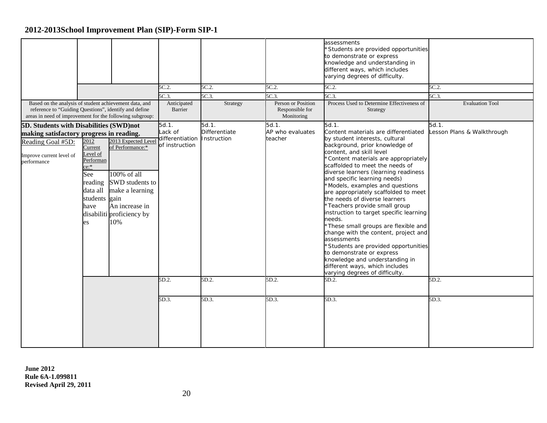| Based on the analysis of student achievement data, and<br>reference to "Guiding Questions", identify and define<br>areas in need of improvement for the following subgroup: |                                                                                                                    |                                                                                                                                                    | 5C.2<br>5C.3<br>Anticipated<br>Barrier                | 5C.2.<br>5C.3.<br>Strategy                   | 5C.2.<br>5C.3.<br>Person or Position<br>Responsible for<br>Monitoring | assessments<br>Students are provided opportunities<br>to demonstrate or express<br>knowledge and understanding in<br>different ways, which includes<br>varying degrees of difficulty.<br>5C.2.<br>$5C.3$ .<br>Process Used to Determine Effectiveness of<br>Strategy                                                                                                                                                                                                                                                                                                                                                                                                                                                                                                         | 5C.2<br>5C.3.<br><b>Evaluation Tool</b> |
|-----------------------------------------------------------------------------------------------------------------------------------------------------------------------------|--------------------------------------------------------------------------------------------------------------------|----------------------------------------------------------------------------------------------------------------------------------------------------|-------------------------------------------------------|----------------------------------------------|-----------------------------------------------------------------------|------------------------------------------------------------------------------------------------------------------------------------------------------------------------------------------------------------------------------------------------------------------------------------------------------------------------------------------------------------------------------------------------------------------------------------------------------------------------------------------------------------------------------------------------------------------------------------------------------------------------------------------------------------------------------------------------------------------------------------------------------------------------------|-----------------------------------------|
| 5D. Students with Disabilities (SWD)not<br>making satisfactory progress in reading.<br>Reading Goal #5D:<br>Improve current level of<br>performance                         | 2012<br>Current<br>Level of<br>Performan<br>$ce^{.*}$<br>See<br>reading<br>data all<br>students gain<br>have<br>es | 2013 Expected Level<br>of Performance:*<br>100% of all<br>SWD students to<br>make a learning<br>An increase in<br>disabiliti proficiency by<br>10% | 5d.1.<br>Lack of<br>differentiation<br>of instruction | 5d.1.<br><b>Differentiate</b><br>Instruction | 5d.1.<br>AP who evaluates<br>teacher                                  | 5d.1.<br>Content materials are differentiated<br>by student interests, cultural<br>background, prior knowledge of<br>content, and skill level<br>*Content materials are appropriately<br>scaffolded to meet the needs of<br>diverse learners (learning readiness<br>and specific learning needs)<br>*Models, examples and questions<br>are appropriately scaffolded to meet<br>the needs of diverse learners<br>*Teachers provide small group<br>instruction to target specific learning<br>needs.<br>*These small groups are flexible and<br>change with the content, project and<br>assessments<br>*Students are provided opportunities<br>to demonstrate or express<br>knowledge and understanding in<br>different ways, which includes<br>varying degrees of difficulty. | 5d.1.<br>Lesson Plans & Walkthrough     |
|                                                                                                                                                                             |                                                                                                                    |                                                                                                                                                    | 5D.2.<br>5D.3.                                        | 5D.2.<br>5D.3.                               | 5D.2.<br>5D.3.                                                        | 5D.2.<br>5D.3.                                                                                                                                                                                                                                                                                                                                                                                                                                                                                                                                                                                                                                                                                                                                                               | 5D.2.<br>5D.3.                          |
|                                                                                                                                                                             |                                                                                                                    |                                                                                                                                                    |                                                       |                                              |                                                                       |                                                                                                                                                                                                                                                                                                                                                                                                                                                                                                                                                                                                                                                                                                                                                                              |                                         |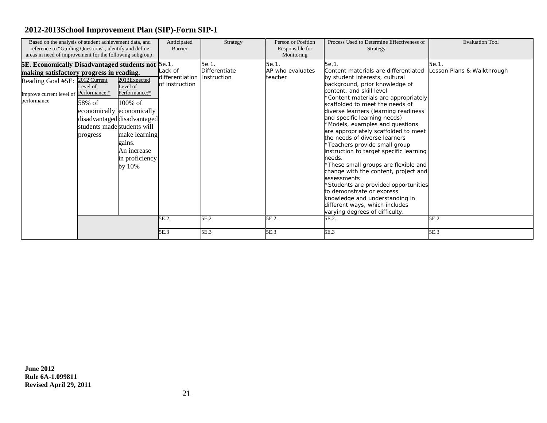| Based on the analysis of student achievement data, and<br>reference to "Guiding Questions", identify and define<br>areas in need of improvement for the following subgroup:                                                                                                                                                                                                                                                                                    | Anticipated<br>Barrier                                | Strategy                                      | Person or Position<br>Responsible for<br>Monitoring | Process Used to Determine Effectiveness of<br>Strategy                                                                                                                                                                                                                                                                                                                                                                                                                                                                                                                                                                                                                                                                                                                                | <b>Evaluation Tool</b>                       |
|----------------------------------------------------------------------------------------------------------------------------------------------------------------------------------------------------------------------------------------------------------------------------------------------------------------------------------------------------------------------------------------------------------------------------------------------------------------|-------------------------------------------------------|-----------------------------------------------|-----------------------------------------------------|---------------------------------------------------------------------------------------------------------------------------------------------------------------------------------------------------------------------------------------------------------------------------------------------------------------------------------------------------------------------------------------------------------------------------------------------------------------------------------------------------------------------------------------------------------------------------------------------------------------------------------------------------------------------------------------------------------------------------------------------------------------------------------------|----------------------------------------------|
| <b>5E. Economically Disadvantaged students not 5e.1.</b><br>making satisfactory progress in reading.<br>2012 Current<br>2013Expected<br>Reading Goal #5E:<br>Level of<br>evel of<br>Performance:*<br>Performance:*<br>Improve current level of<br>performance<br>100% of<br>58% of<br>economically economically<br>disadvantageddisadvantaged<br>students made students will<br>make learning<br>progress<br>gains.<br>An increase<br>in proficiency<br>by 10% | Lack of<br>differentiation<br>of instruction<br>5E.2. | 5e.1.<br>Differentiate<br>Instruction<br>5E.2 | 5e.1.<br>AP who evaluates<br>teacher<br>5E.2.       | 5e.1.<br>Content materials are differentiated<br>by student interests, cultural<br>background, prior knowledge of<br>content, and skill level<br>*Content materials are appropriately<br>scaffolded to meet the needs of<br>diverse learners (learning readiness<br>and specific learning needs)<br>*Models, examples and questions<br>are appropriately scaffolded to meet<br>the needs of diverse learners<br>*Teachers provide small group<br>instruction to target specific learning<br>needs.<br>*These small groups are flexible and<br>change with the content, project and<br>assessments<br>*Students are provided opportunities<br>to demonstrate or express<br>knowledge and understanding in<br>different ways, which includes<br>varying degrees of difficulty.<br>5E.2. | 5e.1.<br>Lesson Plans & Walkthrough<br>5E.2. |
|                                                                                                                                                                                                                                                                                                                                                                                                                                                                | 5E.3                                                  | 5E.3                                          | 5E.3                                                | 5E.3                                                                                                                                                                                                                                                                                                                                                                                                                                                                                                                                                                                                                                                                                                                                                                                  | 5E.3                                         |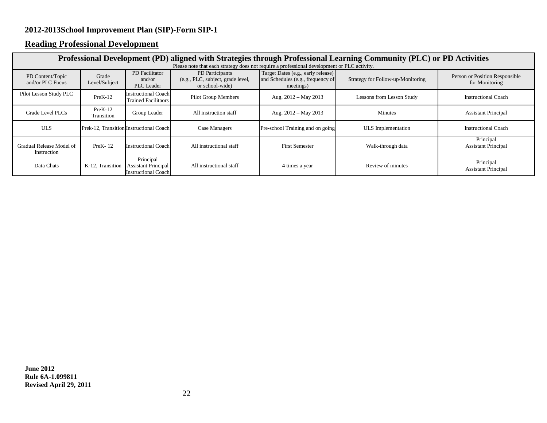# **Reading Professional Development**

|                                         | Professional Development (PD) aligned with Strategies through Professional Learning Community (PLC) or PD Activities |                                                                       |                                                                         |                                                                                      |                                   |                                                  |  |  |  |  |
|-----------------------------------------|----------------------------------------------------------------------------------------------------------------------|-----------------------------------------------------------------------|-------------------------------------------------------------------------|--------------------------------------------------------------------------------------|-----------------------------------|--------------------------------------------------|--|--|--|--|
|                                         | Please note that each strategy does not require a professional development or PLC activity.                          |                                                                       |                                                                         |                                                                                      |                                   |                                                  |  |  |  |  |
| PD Content/Topic<br>and/or PLC Focus    | Grade<br>Level/Subject                                                                                               | PD Facilitator<br>and/or<br><b>PLC</b> Leader                         | PD Participants<br>(e.g., PLC, subject, grade level,<br>or school-wide) | Target Dates (e.g., early release)<br>and Schedules (e.g., frequency of<br>meetings) | Strategy for Follow-up/Monitoring | Person or Position Responsible<br>for Monitoring |  |  |  |  |
| Pilot Lesson Study PLC                  | $PreK-12$                                                                                                            | <b>Instructional Coach</b><br><b>Trained Facilitaors</b>              | Pilot Group Members                                                     | Aug. $2012 - May 2013$                                                               | Lessons from Lesson Study         | <b>Instructional Coach</b>                       |  |  |  |  |
| Grade Level PLCs                        | $PreK-12$<br>Transition                                                                                              | Group Leader                                                          | All instruction staff                                                   | Aug. $2012 - May 2013$                                                               | <b>Minutes</b>                    | <b>Assistant Principal</b>                       |  |  |  |  |
| <b>ULS</b>                              |                                                                                                                      | Prek-12, Transition Instructional Coach                               | Case Managers                                                           | Pre-school Training and on going                                                     | ULS Implementation                | <b>Instructional Coach</b>                       |  |  |  |  |
| Gradual Release Model of<br>Instruction | $PreK-12$                                                                                                            | Instructional Coach                                                   | All instructional staff                                                 | <b>First Semester</b>                                                                | Walk-through data                 | Principal<br><b>Assistant Principal</b>          |  |  |  |  |
| Data Chats                              | K-12, Transition                                                                                                     | Principal<br><b>Assistant Principal</b><br><b>Instructional Coach</b> | All instructional staff                                                 | 4 times a year                                                                       | Review of minutes                 | Principal<br><b>Assistant Principal</b>          |  |  |  |  |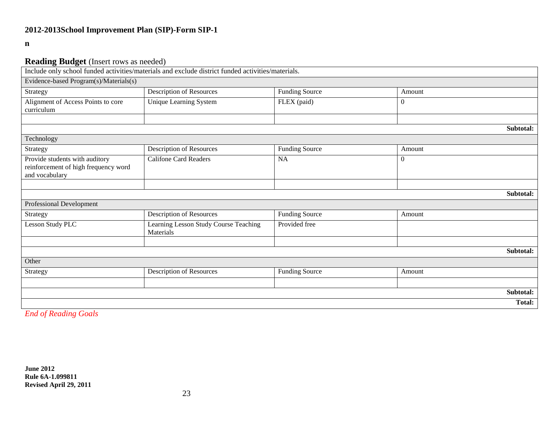**n**

# **Reading Budget** (Insert rows as needed)

|                                                                                          | Include only school funded activities/materials and exclude district funded activities/materials. |                       |          |           |
|------------------------------------------------------------------------------------------|---------------------------------------------------------------------------------------------------|-----------------------|----------|-----------|
| Evidence-based Program(s)/Materials(s)                                                   |                                                                                                   |                       |          |           |
| Strategy                                                                                 | Description of Resources                                                                          | <b>Funding Source</b> | Amount   |           |
| Alignment of Access Points to core<br>curriculum                                         | Unique Learning System                                                                            | FLEX (paid)           | $\Omega$ |           |
|                                                                                          |                                                                                                   |                       |          | Subtotal: |
| Technology                                                                               |                                                                                                   |                       |          |           |
| Strategy                                                                                 | <b>Description of Resources</b>                                                                   | <b>Funding Source</b> | Amount   |           |
| Provide students with auditory<br>reinforcement of high frequency word<br>and vocabulary | <b>Califone Card Readers</b>                                                                      | NA                    | $\Omega$ |           |
|                                                                                          |                                                                                                   |                       |          |           |
|                                                                                          |                                                                                                   |                       |          | Subtotal: |
| Professional Development                                                                 |                                                                                                   |                       |          |           |
| Strategy                                                                                 | Description of Resources                                                                          | <b>Funding Source</b> | Amount   |           |
| Lesson Study PLC                                                                         | Learning Lesson Study Course Teaching<br>Materials                                                | Provided free         |          |           |
|                                                                                          |                                                                                                   |                       |          |           |
|                                                                                          |                                                                                                   |                       |          | Subtotal: |
| Other                                                                                    |                                                                                                   |                       |          |           |
| Strategy                                                                                 | <b>Description of Resources</b>                                                                   | <b>Funding Source</b> | Amount   |           |
|                                                                                          |                                                                                                   |                       |          | Subtotal: |
|                                                                                          |                                                                                                   |                       |          | Total:    |

*End of Reading Goals*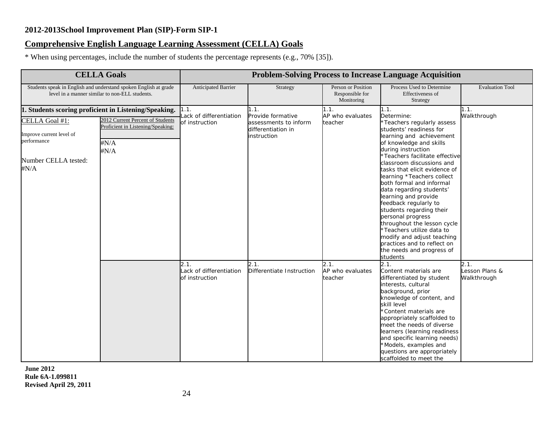### **Comprehensive English Language Learning Assessment (CELLA) Goals**

\* When using percentages, include the number of students the percentage represents (e.g., 70% [35]).

|                                                                                                                    | <b>CELLA Goals</b>                                                                                                                                   | <b>Problem-Solving Process to Increase Language Acquisition</b> |                                                                                         |                                                     |                                                                                                                                                                                                                                                                                                                                                                                                                                                                                                                                                                                                                    |                                       |  |  |
|--------------------------------------------------------------------------------------------------------------------|------------------------------------------------------------------------------------------------------------------------------------------------------|-----------------------------------------------------------------|-----------------------------------------------------------------------------------------|-----------------------------------------------------|--------------------------------------------------------------------------------------------------------------------------------------------------------------------------------------------------------------------------------------------------------------------------------------------------------------------------------------------------------------------------------------------------------------------------------------------------------------------------------------------------------------------------------------------------------------------------------------------------------------------|---------------------------------------|--|--|
| Students speak in English and understand spoken English at grade<br>level in a manner similar to non-ELL students. |                                                                                                                                                      | Anticipated Barrier                                             | Strategy                                                                                | Person or Position<br>Responsible for<br>Monitoring | Process Used to Determine<br>Effectiveness of<br>Strategy                                                                                                                                                                                                                                                                                                                                                                                                                                                                                                                                                          | <b>Evaluation Tool</b>                |  |  |
| CELLA Goal #1:<br>Improve current level of<br>performance<br>Number CELLA tested:<br>$\sharp N/A$                  | 1. Students scoring proficient in Listening/Speaking.<br>2012 Current Percent of Students<br>Proficient in Listening/Speaking:<br>$\#N/A$<br>$\#N/A$ | 1.1.<br>ack of differentiation<br>of instruction                | 1.1.<br>Provide formative<br>assessments to inform<br>differentiation in<br>instruction | 1.1.<br>AP who evaluates<br>teacher                 | 1.1.<br>Determine:<br>*Teachers regularly assess<br>students' readiness for<br>learning and achievement<br>of knowledge and skills<br>during instruction<br>*Teachers facilitate effective<br>classroom discussions and<br>tasks that elicit evidence of<br>learning *Teachers collect<br>both formal and informal<br>data regarding students'<br>learning and provide<br>feedback regularly to<br>students regarding their<br>personal progress<br>throughout the lesson cycle<br>*Teachers utilize data to<br>modify and adjust teaching<br>practices and to reflect on<br>the needs and progress of<br>students | 1.1.<br>Walkthrough                   |  |  |
|                                                                                                                    |                                                                                                                                                      | 2.1.<br>Lack of differentiation<br>of instruction               | 2.1.<br>Differentiate Instruction                                                       | 2.1.<br>AP who evaluates<br>teacher                 | 2.1.<br>Content materials are<br>differentiated by student<br>interests, cultural<br>background, prior<br>knowledge of content, and<br>skill level<br>*Content materials are<br>appropriately scaffolded to<br>meet the needs of diverse<br>learners (learning readiness<br>and specific learning needs)<br>*Models, examples and<br>questions are appropriately<br>scaffolded to meet the                                                                                                                                                                                                                         | 2.1.<br>Lesson Plans &<br>Walkthrough |  |  |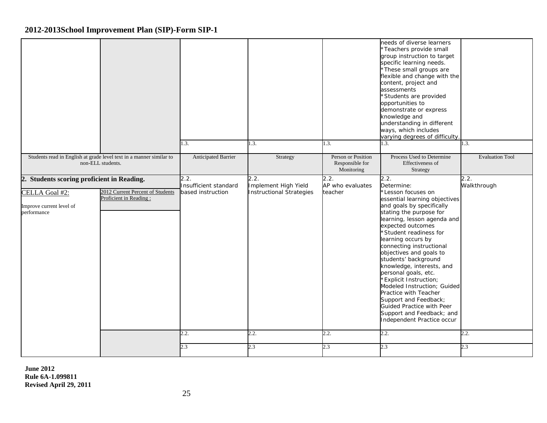|                                                                     |                                  |                            |                                 |                    | needs of diverse learners<br>*Teachers provide small      |                        |
|---------------------------------------------------------------------|----------------------------------|----------------------------|---------------------------------|--------------------|-----------------------------------------------------------|------------------------|
|                                                                     |                                  |                            |                                 |                    | group instruction to target                               |                        |
|                                                                     |                                  |                            |                                 |                    | specific learning needs.                                  |                        |
|                                                                     |                                  |                            |                                 |                    | *These small groups are                                   |                        |
|                                                                     |                                  |                            |                                 |                    | flexible and change with the                              |                        |
|                                                                     |                                  |                            |                                 |                    | content, project and                                      |                        |
|                                                                     |                                  |                            |                                 |                    | assessments                                               |                        |
|                                                                     |                                  |                            |                                 |                    | *Students are provided                                    |                        |
|                                                                     |                                  |                            |                                 |                    | opportunities to                                          |                        |
|                                                                     |                                  |                            |                                 |                    | demonstrate or express                                    |                        |
|                                                                     |                                  |                            |                                 |                    | knowledge and                                             |                        |
|                                                                     |                                  |                            |                                 |                    | understanding in different                                |                        |
|                                                                     |                                  |                            |                                 |                    | ways, which includes                                      |                        |
|                                                                     |                                  |                            |                                 |                    | varying degrees of difficulty.                            |                        |
|                                                                     |                                  | 1.3.                       | 1.3.                            | 1.3.               | 1.3.                                                      | 1.3.                   |
| Students read in English at grade level text in a manner similar to |                                  | <b>Anticipated Barrier</b> | Strategy                        | Person or Position | Process Used to Determine                                 | <b>Evaluation Tool</b> |
| non-ELL students.                                                   |                                  |                            |                                 | Responsible for    | Effectiveness of                                          |                        |
|                                                                     |                                  |                            |                                 | Monitoring         | Strategy                                                  |                        |
| 2. Students scoring proficient in Reading.                          |                                  | 2.2.                       | 2.2.                            | 2.2.               | 2.2.                                                      | 2.2.                   |
|                                                                     |                                  | Insufficient standard      | Implement High Yield            | AP who evaluates   | Determine:                                                | Walkthrough            |
| CELLA Goal #2:                                                      | 2012 Current Percent of Students | based instruction          | <b>Instructional Strategies</b> | teacher            | *Lesson focuses on                                        |                        |
|                                                                     | Proficient in Reading:           |                            |                                 |                    | essential learning objectives                             |                        |
| Improve current level of                                            |                                  |                            |                                 |                    | and goals by specifically                                 |                        |
| performance                                                         |                                  |                            |                                 |                    | stating the purpose for                                   |                        |
|                                                                     |                                  |                            |                                 |                    | learning, lesson agenda and                               |                        |
|                                                                     |                                  |                            |                                 |                    | expected outcomes                                         |                        |
|                                                                     |                                  |                            |                                 |                    | *Student readiness for                                    |                        |
|                                                                     |                                  |                            |                                 |                    | learning occurs by                                        |                        |
|                                                                     |                                  |                            |                                 |                    | connecting instructional                                  |                        |
|                                                                     |                                  |                            |                                 |                    | objectives and goals to                                   |                        |
|                                                                     |                                  |                            |                                 |                    | students' background                                      |                        |
|                                                                     |                                  |                            |                                 |                    | knowledge, interests, and                                 |                        |
|                                                                     |                                  |                            |                                 |                    | personal goals, etc.                                      |                        |
|                                                                     |                                  |                            |                                 |                    | *Explicit Instruction;                                    |                        |
|                                                                     |                                  |                            |                                 |                    | Modeled Instruction; Guided<br>Practice with Teacher      |                        |
|                                                                     |                                  |                            |                                 |                    |                                                           |                        |
|                                                                     |                                  |                            |                                 |                    | Support and Feedback;<br><b>Guided Practice with Peer</b> |                        |
|                                                                     |                                  |                            |                                 |                    | Support and Feedback; and                                 |                        |
|                                                                     |                                  |                            |                                 |                    |                                                           |                        |
|                                                                     |                                  |                            |                                 |                    | Independent Practice occur                                |                        |
|                                                                     |                                  | 2.2.                       | 2.2.                            | 2.2.               | 2.2.                                                      | 2.2.                   |
|                                                                     |                                  | 2.3                        | 2.3                             | 2.3                | 2.3                                                       | 2.3                    |
|                                                                     |                                  |                            |                                 |                    |                                                           |                        |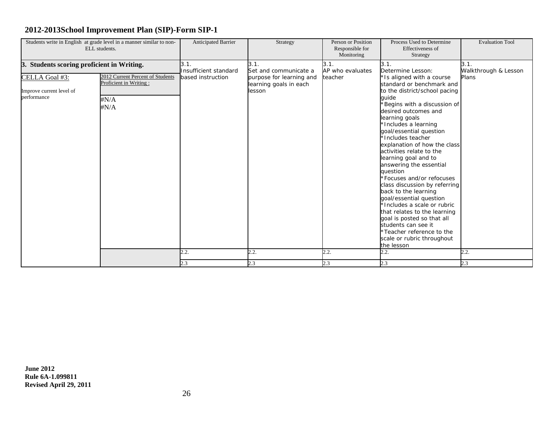|                                               | Students write in English at grade level in a manner similar to non- | Anticipated Barrier   | Strategy                                           | Person or Position | Process Used to Determine                              | <b>Evaluation Tool</b> |
|-----------------------------------------------|----------------------------------------------------------------------|-----------------------|----------------------------------------------------|--------------------|--------------------------------------------------------|------------------------|
|                                               | ELL students.                                                        |                       |                                                    | Responsible for    | Effectiveness of                                       |                        |
|                                               |                                                                      |                       |                                                    | Monitoring         | Strategy                                               |                        |
| Students scoring proficient in Writing.<br>З. |                                                                      | 3.1.                  | 3.1.                                               | 3.1.               | 3.1.                                                   | 3.1.                   |
|                                               | 2012 Current Percent of Students                                     | Insufficient standard | Set and communicate a                              | AP who evaluates   | Determine Lesson:                                      | Walkthrough & Lesson   |
| CELLA Goal #3:                                | Proficient in Writing:                                               | based instruction     | purpose for learning and<br>learning goals in each | teacher            | *Is aligned with a course<br>standard or benchmark and | Plans                  |
| Improve current level of                      |                                                                      |                       | lesson                                             |                    | to the district/school pacing                          |                        |
| performance                                   |                                                                      |                       |                                                    |                    | auide                                                  |                        |
|                                               | $\#N/A$                                                              |                       |                                                    |                    | Begins with a discussion of                            |                        |
|                                               | #N/A                                                                 |                       |                                                    |                    | desired outcomes and                                   |                        |
|                                               |                                                                      |                       |                                                    |                    | learning goals                                         |                        |
|                                               |                                                                      |                       |                                                    |                    | *Includes a learning                                   |                        |
|                                               |                                                                      |                       |                                                    |                    | goal/essential question                                |                        |
|                                               |                                                                      |                       |                                                    |                    | *Includes teacher                                      |                        |
|                                               |                                                                      |                       |                                                    |                    | explanation of how the class                           |                        |
|                                               |                                                                      |                       |                                                    |                    | activities relate to the                               |                        |
|                                               |                                                                      |                       |                                                    |                    | learning goal and to                                   |                        |
|                                               |                                                                      |                       |                                                    |                    | answering the essential<br>question                    |                        |
|                                               |                                                                      |                       |                                                    |                    | *Focuses and/or refocuses                              |                        |
|                                               |                                                                      |                       |                                                    |                    | class discussion by referring                          |                        |
|                                               |                                                                      |                       |                                                    |                    | back to the learning                                   |                        |
|                                               |                                                                      |                       |                                                    |                    | goal/essential question                                |                        |
|                                               |                                                                      |                       |                                                    |                    | *Includes a scale or rubric                            |                        |
|                                               |                                                                      |                       |                                                    |                    | that relates to the learning                           |                        |
|                                               |                                                                      |                       |                                                    |                    | goal is posted so that all                             |                        |
|                                               |                                                                      |                       |                                                    |                    | students can see it                                    |                        |
|                                               |                                                                      |                       |                                                    |                    | *Teacher reference to the                              |                        |
|                                               |                                                                      |                       |                                                    |                    | scale or rubric throughout<br>the lesson               |                        |
|                                               |                                                                      | 2.2.                  | 2.2.                                               | 2.2.               | 2.2.                                                   | 2.2.                   |
|                                               |                                                                      |                       |                                                    |                    |                                                        |                        |
|                                               |                                                                      | 2.3                   | 2.3                                                | 2.3                | 2.3                                                    | 2.3                    |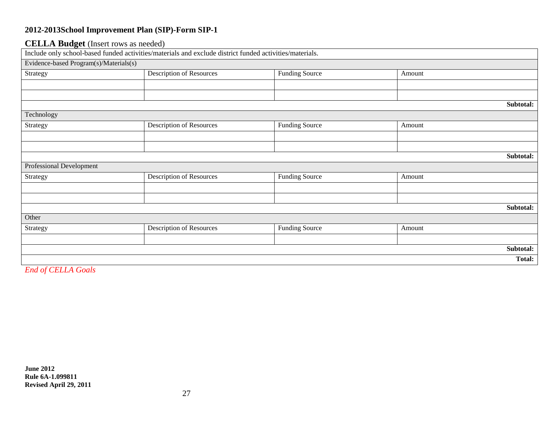### **CELLA Budget** (Insert rows as needed)

|                                        | Include only school-based funded activities/materials and exclude district funded activities/materials. |                       |        |           |
|----------------------------------------|---------------------------------------------------------------------------------------------------------|-----------------------|--------|-----------|
| Evidence-based Program(s)/Materials(s) |                                                                                                         |                       |        |           |
| Strategy                               | <b>Description of Resources</b>                                                                         | <b>Funding Source</b> | Amount |           |
|                                        |                                                                                                         |                       |        |           |
|                                        |                                                                                                         |                       |        |           |
|                                        |                                                                                                         |                       |        | Subtotal: |
| Technology                             |                                                                                                         |                       |        |           |
| Strategy                               | <b>Description of Resources</b>                                                                         | <b>Funding Source</b> | Amount |           |
|                                        |                                                                                                         |                       |        |           |
|                                        |                                                                                                         |                       |        |           |
|                                        |                                                                                                         |                       |        | Subtotal: |
| Professional Development               |                                                                                                         |                       |        |           |
| Strategy                               | <b>Description of Resources</b>                                                                         | <b>Funding Source</b> | Amount |           |
|                                        |                                                                                                         |                       |        |           |
|                                        |                                                                                                         |                       |        |           |
|                                        |                                                                                                         |                       |        | Subtotal: |
| Other                                  |                                                                                                         |                       |        |           |
| Strategy                               | <b>Description of Resources</b>                                                                         | <b>Funding Source</b> | Amount |           |
|                                        |                                                                                                         |                       |        |           |
|                                        |                                                                                                         |                       |        | Subtotal: |
|                                        |                                                                                                         |                       |        | Total:    |

*End of CELLA Goals*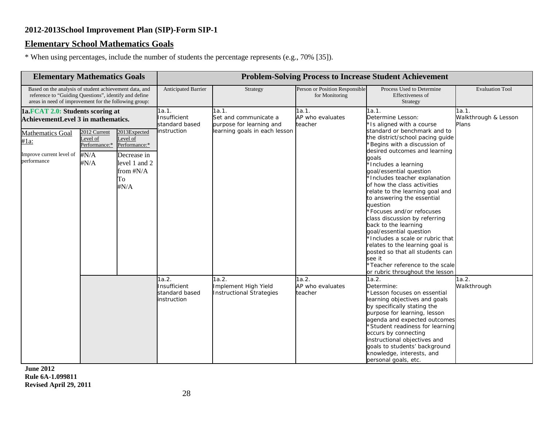# **Elementary School Mathematics Goals**

\* When using percentages, include the number of students the percentage represents (e.g., 70% [35]).

| <b>Elementary Mathematics Goals</b>                                                                                                                                      |                                  |                                                                                                                                                       | <b>Problem-Solving Process to Increase Student Achievement</b> |                                                                                                                             |                                                  |                                                                                                                                                                                                                                                                                                                                                                                                                                                                                                                                                                                 |                        |  |  |
|--------------------------------------------------------------------------------------------------------------------------------------------------------------------------|----------------------------------|-------------------------------------------------------------------------------------------------------------------------------------------------------|----------------------------------------------------------------|-----------------------------------------------------------------------------------------------------------------------------|--------------------------------------------------|---------------------------------------------------------------------------------------------------------------------------------------------------------------------------------------------------------------------------------------------------------------------------------------------------------------------------------------------------------------------------------------------------------------------------------------------------------------------------------------------------------------------------------------------------------------------------------|------------------------|--|--|
| Based on the analysis of student achievement data, and<br>reference to "Guiding Questions", identify and define<br>areas in need of improvement for the following group: |                                  |                                                                                                                                                       | Anticipated Barrier<br>Strategy                                |                                                                                                                             | Person or Position Responsible<br>for Monitoring | Process Used to Determine<br>Effectiveness of<br>Strategy                                                                                                                                                                                                                                                                                                                                                                                                                                                                                                                       | <b>Evaluation Tool</b> |  |  |
| 1a.FCAT 2.0: Students scoring at<br>AchievementLevel 3 in mathematics.<br>2012 Current<br>2013Expected<br>Mathematics Goal<br>Level of<br>evel of                        |                                  | 1a.1.<br>1a.1.<br>Insufficient<br>Set and communicate a<br>standard based<br>purpose for learning and<br>learning goals in each lesson<br>instruction | 1a.1.<br>AP who evaluates<br>teacher                           | 1a.1.<br>Determine Lesson:<br>*Is aligned with a course<br>standard or benchmark and to<br>the district/school pacing quide | 1a.1.<br>Walkthrough & Lesson<br>Plans           |                                                                                                                                                                                                                                                                                                                                                                                                                                                                                                                                                                                 |                        |  |  |
| $#1a$ :<br>Improve current level of<br>performance                                                                                                                       | Performance:*<br>$\#N/A$<br>#N/A | Performance:*<br>Decrease in<br>level 1 and 2<br>from #N/A<br>To<br>$\sharp N/A$                                                                      |                                                                |                                                                                                                             |                                                  | Begins with a discussion of<br>desired outcomes and learning<br>goals<br>*Includes a learning<br>goal/essential question<br>*Includes teacher explanation<br>of how the class activities<br>relate to the learning goal and<br>to answering the essential<br>question<br>*Focuses and/or refocuses<br>class discussion by referring<br>back to the learning<br>goal/essential question<br>*Includes a scale or rubric that<br>relates to the learning goal is<br>posted so that all students can<br>see it<br>Teacher reference to the scale<br>or rubric throughout the lesson |                        |  |  |
|                                                                                                                                                                          |                                  |                                                                                                                                                       | 1a.2.<br>Insufficient<br>standard based<br>linstruction        | 1a.2.<br>Implement High Yield<br><b>Instructional Strategies</b>                                                            | 1a.2.<br>AP who evaluates<br>teacher             | 1a.2.<br>Determine:<br>Lesson focuses on essential<br>learning objectives and goals<br>by specifically stating the<br>purpose for learning, lesson<br>agenda and expected outcomes<br>*Student readiness for learning<br>occurs by connecting<br>instructional objectives and<br>goals to students' background<br>knowledge, interests, and<br>personal goals, etc.                                                                                                                                                                                                             | 1a.2.<br>Walkthrough   |  |  |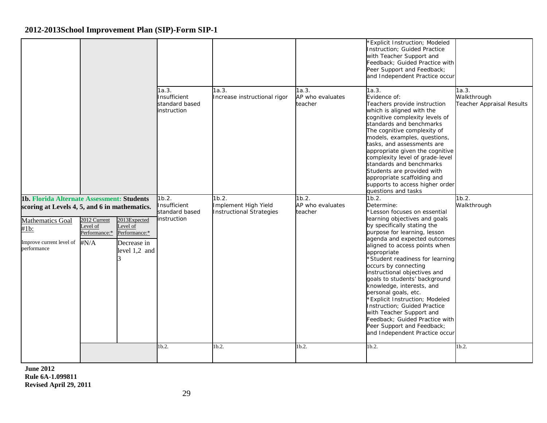|                                                                                                                                                                    |                                                           |                                                                           | 1a.3.<br>Insufficient<br>standard based<br>instruction          | 1a.3.<br>Increase instructional rigor                                     | 1a.3.<br>AP who evaluates<br>teacher          | *Explicit Instruction; Modeled<br>Instruction; Guided Practice<br>with Teacher Support and<br>Feedback; Guided Practice with<br>Peer Support and Feedback;<br>and Independent Practice occur<br>1a.3.<br>Evidence of:<br>Teachers provide instruction<br>which is aligned with the<br>cognitive complexity levels of<br>standards and benchmarks<br>The cognitive complexity of<br>models, examples, questions,<br>tasks, and assessments are<br>appropriate given the cognitive<br>complexity level of grade-level<br>standards and benchmarks<br>Students are provided with<br>appropriate scaffolding and        | 1a.3.<br>Walkthrough<br>Teacher Appraisal Results |
|--------------------------------------------------------------------------------------------------------------------------------------------------------------------|-----------------------------------------------------------|---------------------------------------------------------------------------|-----------------------------------------------------------------|---------------------------------------------------------------------------|-----------------------------------------------|---------------------------------------------------------------------------------------------------------------------------------------------------------------------------------------------------------------------------------------------------------------------------------------------------------------------------------------------------------------------------------------------------------------------------------------------------------------------------------------------------------------------------------------------------------------------------------------------------------------------|---------------------------------------------------|
|                                                                                                                                                                    |                                                           |                                                                           |                                                                 |                                                                           |                                               | supports to access higher order<br>questions and tasks                                                                                                                                                                                                                                                                                                                                                                                                                                                                                                                                                              |                                                   |
| 1b. Florida Alternate Assessment: Students<br>scoring at Levels 4, 5, and 6 in mathematics.<br>Mathematics Goal<br>#1b:<br>Improve current level of<br>performance | 2012 Current<br>Level of<br>Performance:*<br>$\sharp N/A$ | 2013Expected<br>Level of<br>Performance:*<br>Decrease in<br>level 1,2 and | 1b.2.<br>Insufficient<br>standard based<br>instruction<br>1b.2. | 1b.2.<br>Implement High Yield<br><b>Instructional Strategies</b><br>1b.2. | 1b.2.<br>AP who evaluates<br>teacher<br>1b.2. | 1b.2.<br>Determine:<br>Lesson focuses on essential<br>learning objectives and goals<br>by specifically stating the<br>purpose for learning, lesson<br>agenda and expected outcomes<br>aligned to access points when<br>appropriate<br>*Student readiness for learning<br>occurs by connecting<br>instructional objectives and<br>goals to students' background<br>knowledge, interests, and<br>personal goals, etc.<br>*Explicit Instruction; Modeled<br>Instruction; Guided Practice<br>with Teacher Support and<br>Feedback; Guided Practice with<br>Peer Support and Feedback;<br>and Independent Practice occur | 1b.2.<br>Walkthrough<br>1b.2.                     |
|                                                                                                                                                                    |                                                           |                                                                           |                                                                 |                                                                           |                                               | 1b.2.                                                                                                                                                                                                                                                                                                                                                                                                                                                                                                                                                                                                               |                                                   |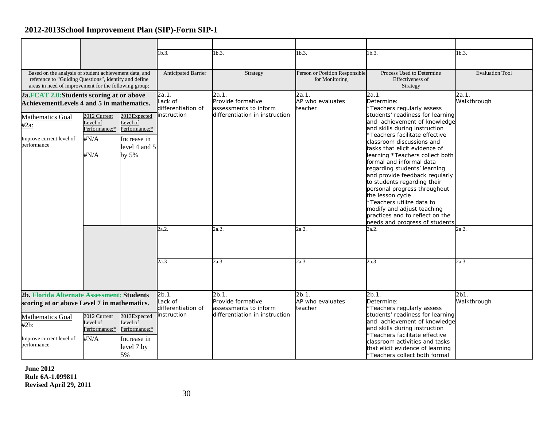|                                                                                                                                                                          |                                                      |                                                                              | 1b.3.                                                                                 | 1b.3.                                | 1b.3.                                                                                                                 | 1b.3.                                                                                                                                                                                                                                                                                                                                                                                                                                                                             | 1b.3.                  |
|--------------------------------------------------------------------------------------------------------------------------------------------------------------------------|------------------------------------------------------|------------------------------------------------------------------------------|---------------------------------------------------------------------------------------|--------------------------------------|-----------------------------------------------------------------------------------------------------------------------|-----------------------------------------------------------------------------------------------------------------------------------------------------------------------------------------------------------------------------------------------------------------------------------------------------------------------------------------------------------------------------------------------------------------------------------------------------------------------------------|------------------------|
| Based on the analysis of student achievement data, and<br>reference to "Guiding Questions", identify and define<br>areas in need of improvement for the following group: |                                                      |                                                                              | Anticipated Barrier                                                                   | Strategy                             | Person or Position Responsible<br>for Monitoring                                                                      | Process Used to Determine<br>Effectiveness of<br>Strategy                                                                                                                                                                                                                                                                                                                                                                                                                         | <b>Evaluation Tool</b> |
| 2a.FCAT 2.0:Students scoring at or above<br>AchievementLevels 4 and 5 in mathematics.<br>2013Expected<br>2012 Current<br><b>Mathematics Goal</b>                         |                                                      | 2a.1.<br>Lack of<br>differentiation of<br>instruction                        | 2a.1.<br>Provide formative<br>assessments to inform<br>differentiation in instruction | 2a.1.<br>AP who evaluates<br>teacher | 2a.1.<br>Determine:<br>*Teachers regularly assess<br>students' readiness for learning<br>and achievement of knowledge | 2a.1.<br>Walkthrough                                                                                                                                                                                                                                                                                                                                                                                                                                                              |                        |
| $#2a$ :<br>Improve current level of<br>performance                                                                                                                       | Level of<br>Performance:*<br>$\#N/A$<br>$\#N/A$      | Level of<br>Performance:*<br>Increase in<br>level 4 and 5<br>by $5\%$        |                                                                                       |                                      |                                                                                                                       | and skills during instruction<br>*Teachers facilitate effective<br>classroom discussions and<br>tasks that elicit evidence of<br>learning *Teachers collect both<br>formal and informal data<br>regarding students' learning<br>and provide feedback regularly<br>to students regarding their<br>personal progress throughout<br>the lesson cycle<br>*Teachers utilize data to<br>modify and adjust teaching<br>practices and to reflect on the<br>needs and progress of students |                        |
|                                                                                                                                                                          |                                                      |                                                                              | 2a.2.                                                                                 | 2a.2.                                | 2a.2.                                                                                                                 | 2a.2.                                                                                                                                                                                                                                                                                                                                                                                                                                                                             | 2a.2.                  |
|                                                                                                                                                                          |                                                      |                                                                              | 2a.3                                                                                  | 2a.3                                 | 2a.3                                                                                                                  | 2a.3                                                                                                                                                                                                                                                                                                                                                                                                                                                                              | 2a.3                   |
| 2b. Florida Alternate Assessment: Students<br>scoring at or above Level 7 in mathematics.                                                                                |                                                      | $2b.1$ .<br>Lack of<br>differentiation of                                    | 2b.1.<br>Provide formative<br>assessments to inform                                   | 2b.1.<br>AP who evaluates<br>teacher | 2b.1.<br>Determine:<br>*Teachers regularly assess                                                                     | 2b1.<br>Walkthrough                                                                                                                                                                                                                                                                                                                                                                                                                                                               |                        |
| <b>Mathematics Goal</b><br>#2b:<br>Improve current level of<br>performance                                                                                               | 2012 Current<br>Level of<br>Performance:*<br>$\#N/A$ | 2013Expected<br>Level of<br>Performance:*<br>Increase in<br>level 7 by<br>5% | instruction                                                                           | differentiation in instruction       |                                                                                                                       | students' readiness for learning<br>and achievement of knowledge<br>and skills during instruction<br>*Teachers facilitate effective<br>classroom activities and tasks<br>that elicit evidence of learning<br>*Teachers collect both formal                                                                                                                                                                                                                                        |                        |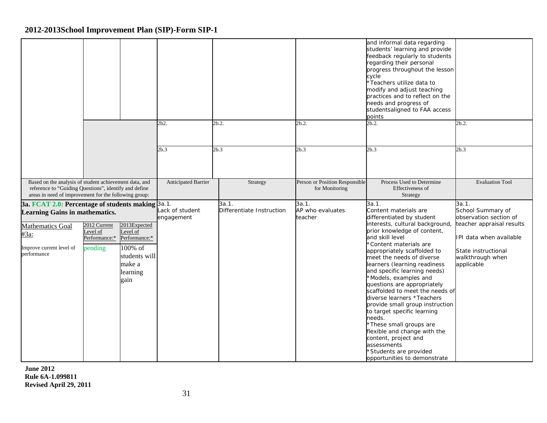|                                                                                                                                                                          |                                                      |                                                                                                     | 2b2.                          | 2b.2.                              | 2b.2.                                            | and informal data regarding<br>students' learning and provide<br>feedback regularly to students<br>regarding their personal<br>progress throughout the lesson<br>cycle<br>*Teachers utilize data to<br>modify and adjust teaching<br>practices and to reflect on the<br>needs and progress of<br>studentsaligned to FAA access<br>points<br>2b.2.                                                                                                                                                                                                                                                                                                                       | 2b.2.                                                                                                                                                                 |
|--------------------------------------------------------------------------------------------------------------------------------------------------------------------------|------------------------------------------------------|-----------------------------------------------------------------------------------------------------|-------------------------------|------------------------------------|--------------------------------------------------|-------------------------------------------------------------------------------------------------------------------------------------------------------------------------------------------------------------------------------------------------------------------------------------------------------------------------------------------------------------------------------------------------------------------------------------------------------------------------------------------------------------------------------------------------------------------------------------------------------------------------------------------------------------------------|-----------------------------------------------------------------------------------------------------------------------------------------------------------------------|
|                                                                                                                                                                          |                                                      |                                                                                                     |                               |                                    |                                                  |                                                                                                                                                                                                                                                                                                                                                                                                                                                                                                                                                                                                                                                                         |                                                                                                                                                                       |
|                                                                                                                                                                          |                                                      |                                                                                                     | 2b.3                          | 2b.3                               | 2b.3                                             | 2b.3                                                                                                                                                                                                                                                                                                                                                                                                                                                                                                                                                                                                                                                                    | 2b.3                                                                                                                                                                  |
| Based on the analysis of student achievement data, and<br>reference to "Guiding Questions", identify and define<br>areas in need of improvement for the following group: |                                                      |                                                                                                     | <b>Anticipated Barrier</b>    | Strategy                           | Person or Position Responsible<br>for Monitoring | Process Used to Determine<br>Effectiveness of<br>Strategy                                                                                                                                                                                                                                                                                                                                                                                                                                                                                                                                                                                                               | <b>Evaluation Tool</b>                                                                                                                                                |
| <b>3a. FCAT 2.0: Percentage of students making 3a.1.</b><br><b>Learning Gains in mathematics.</b><br>Mathematics Goal<br>#3a:<br>Improve current level of<br>performance | 2012 Current<br>Level of<br>Performance:*<br>pending | 2013Expected<br>Level of<br>Performance:*<br>100% of<br>students will<br>make a<br>learning<br>gain | Lack of student<br>engagement | 3a.1.<br>Differentiate Instruction | 3a.1.<br>AP who evaluates<br>teacher             | 3a.1.<br>Content materials are<br>differentiated by student<br>interests, cultural background,<br>prior knowledge of content,<br>and skill level<br>*Content materials are<br>appropriately scaffolded to<br>meet the needs of diverse<br>learners (learning readiness<br>and specific learning needs)<br>*Models, examples and<br>questions are appropriately<br>scaffolded to meet the needs of<br>diverse learners *Teachers<br>provide small group instruction<br>to target specific learning<br>needs.<br>*These small groups are<br>flexible and change with the<br>content, project and<br>assessments<br>'Students are provided<br>opportunities to demonstrate | 3a.1.<br>School Summary of<br>observation section of<br>teacher appraisal results<br>IPI data when available<br>State instructional<br>walkthrough when<br>applicable |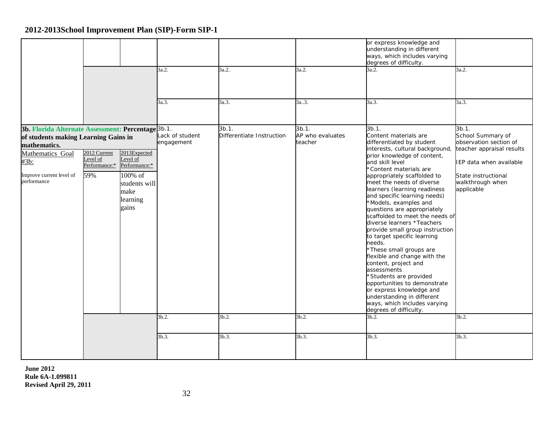|                                                                                                                                                                                                                           |                                                  |                                                                                                    | 3a.2.<br>3a.3.                         | 3a.2.<br>3a.3.                              | 3a.2.<br>3a.3.                                | or express knowledge and<br>understanding in different<br>ways, which includes varying<br>degrees of difficulty.<br>3a.2.<br>3a.3.                                                                                                                                                                                                                                                                                                                                                                                                                                                                                                                                                                                                                                                                   | 3a.2.<br>3a.3.                                                                                                                                                                 |
|---------------------------------------------------------------------------------------------------------------------------------------------------------------------------------------------------------------------------|--------------------------------------------------|----------------------------------------------------------------------------------------------------|----------------------------------------|---------------------------------------------|-----------------------------------------------|------------------------------------------------------------------------------------------------------------------------------------------------------------------------------------------------------------------------------------------------------------------------------------------------------------------------------------------------------------------------------------------------------------------------------------------------------------------------------------------------------------------------------------------------------------------------------------------------------------------------------------------------------------------------------------------------------------------------------------------------------------------------------------------------------|--------------------------------------------------------------------------------------------------------------------------------------------------------------------------------|
| 3b. Florida Alternate Assessment: Percentage <sup>3b.1.</sup><br>of students making Learning Gains in<br>mathematics.<br>Mathematics Goal<br>$\frac{\text{#3b:}}{\text{#3b:}}$<br>Improve current level of<br>performance | 2012 Current<br>Level of<br>Performance:*<br>59% | 2013Expected<br>Level of<br>Performance:*<br>100% of<br>students will<br>make<br>learning<br>gains | Lack of student<br>engagement<br>3b.2. | 3b.1.<br>Differentiate Instruction<br>3b.2. | 3b.1.<br>AP who evaluates<br>teacher<br>3b.2. | 3b.1.<br>Content materials are<br>differentiated by student<br>interests, cultural background,<br>prior knowledge of content,<br>and skill level<br>*Content materials are<br>appropriately scaffolded to<br>meet the needs of diverse<br>learners (learning readiness<br>and specific learning needs)<br>*Models, examples and<br>questions are appropriately<br>scaffolded to meet the needs of<br>diverse learners *Teachers<br>provide small group instruction<br>to target specific learning<br>needs.<br>*These small groups are<br>flexible and change with the<br>content, project and<br>assessments<br>*Students are provided<br>opportunities to demonstrate<br>or express knowledge and<br>understanding in different<br>ways, which includes varying<br>degrees of difficulty.<br>3b.2. | 3b.1.<br>School Summary of<br>observation section of<br>teacher appraisal results<br>IEP data when available<br>State instructional<br>walkthrough when<br>applicable<br>3b.2. |
|                                                                                                                                                                                                                           |                                                  |                                                                                                    | 3b.3.                                  | 3b.3.                                       | 3b.3.                                         | 3b.3.                                                                                                                                                                                                                                                                                                                                                                                                                                                                                                                                                                                                                                                                                                                                                                                                | $3b.3$ .                                                                                                                                                                       |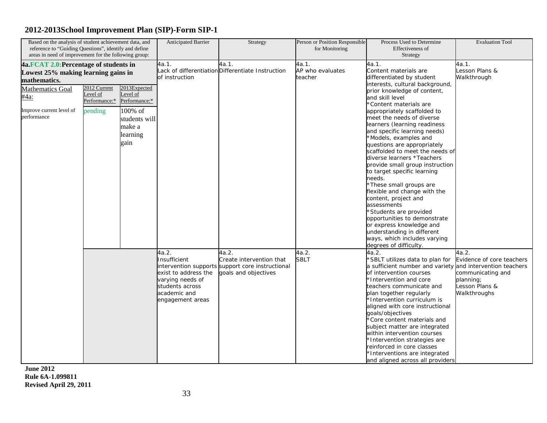| Based on the analysis of student achievement data, and<br>reference to "Guiding Questions", identify and define |                                                                                                                                        | <b>Anticipated Barrier</b>                                                                          | Strategy                                                                                                                 | Person or Position Responsible<br>for Monitoring                                                              | Process Used to Determine<br>Effectiveness of | <b>Evaluation Tool</b>                                                                                                                                                                                                                                                                                                                                                                                                                                                                                                                                                                                                                                                                                                       |                                                                                                        |
|-----------------------------------------------------------------------------------------------------------------|----------------------------------------------------------------------------------------------------------------------------------------|-----------------------------------------------------------------------------------------------------|--------------------------------------------------------------------------------------------------------------------------|---------------------------------------------------------------------------------------------------------------|-----------------------------------------------|------------------------------------------------------------------------------------------------------------------------------------------------------------------------------------------------------------------------------------------------------------------------------------------------------------------------------------------------------------------------------------------------------------------------------------------------------------------------------------------------------------------------------------------------------------------------------------------------------------------------------------------------------------------------------------------------------------------------------|--------------------------------------------------------------------------------------------------------|
|                                                                                                                 | areas in need of improvement for the following group:<br>4a.FCAT 2.0: Percentage of students in<br>Lowest 25% making learning gains in |                                                                                                     | 4a.1.<br>of instruction                                                                                                  | 4a.1.<br>Lack of differentiation Differentiate Instruction                                                    | 4a.1.<br>AP who evaluates<br>teacher          | <b>Strategy</b><br>4a.1.<br>Content materials are<br>differentiated by student                                                                                                                                                                                                                                                                                                                                                                                                                                                                                                                                                                                                                                               | 4a.1.<br>Lesson Plans &<br>Walkthrough                                                                 |
| mathematics.<br>Mathematics Goal<br>#4a:<br>Improve current level of<br>performance                             | 2012 Current<br>Level of<br>Performance:*<br>pending                                                                                   | 2013Expected<br>Level of<br>Performance:*<br>100% of<br>students will<br>make a<br>learning<br>gain |                                                                                                                          |                                                                                                               |                                               | interests, cultural background,<br>prior knowledge of content,<br>and skill level<br>*Content materials are<br>appropriately scaffolded to<br>meet the needs of diverse<br>learners (learning readiness<br>and specific learning needs)<br>*Models, examples and<br>questions are appropriately<br>scaffolded to meet the needs of<br>diverse learners *Teachers<br>provide small group instruction<br>to target specific learning<br>needs.<br>*These small groups are<br>flexible and change with the<br>content, project and<br>assessments<br>*Students are provided<br>opportunities to demonstrate<br>or express knowledge and<br>understanding in different<br>ways, which includes varying<br>degrees of difficulty. |                                                                                                        |
|                                                                                                                 |                                                                                                                                        |                                                                                                     | 4a.2.<br>Insufficient<br>exist to address the<br>varying needs of<br>students across<br>academic and<br>engagement areas | 4a.2.<br>Create intervention that<br>intervention supports support core instructional<br>goals and objectives | 4a.2.<br><b>SBLT</b>                          | 4a.2.<br>'SBLT utilizes data to plan for<br>a sufficient number and variety and intervention teachers<br>of intervention courses<br>*Intervention and core<br>teachers communicate and<br>plan together regularly<br>*Intervention curriculum is<br>aligned with core instructional<br>goals/objectives<br>*Core content materials and<br>subject matter are integrated<br>within intervention courses<br>*Intervention strategies are<br>reinforced in core classes<br>*Interventions are integrated<br>and aligned across all providers                                                                                                                                                                                    | 4a.2.<br>Evidence of core teachers<br>communicating and<br>planning;<br>Lesson Plans &<br>Walkthroughs |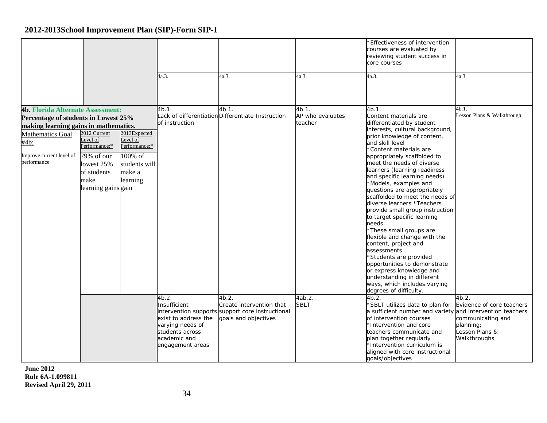|                                                                                                                                                                                                         |                                                                                                                     |                                                                                             | 4a.3.                                                                                                                    | 4a.3.                                                                                                         | 4a.3.                                | <b>Effectiveness of intervention</b><br>courses are evaluated by<br>reviewing student success in<br>core courses<br>4a.3.                                                                                                                                                                                                                                                                                                                                                                                                                                                                                                                                                                                                                                                                | 4a.3                                                                                                  |
|---------------------------------------------------------------------------------------------------------------------------------------------------------------------------------------------------------|---------------------------------------------------------------------------------------------------------------------|---------------------------------------------------------------------------------------------|--------------------------------------------------------------------------------------------------------------------------|---------------------------------------------------------------------------------------------------------------|--------------------------------------|------------------------------------------------------------------------------------------------------------------------------------------------------------------------------------------------------------------------------------------------------------------------------------------------------------------------------------------------------------------------------------------------------------------------------------------------------------------------------------------------------------------------------------------------------------------------------------------------------------------------------------------------------------------------------------------------------------------------------------------------------------------------------------------|-------------------------------------------------------------------------------------------------------|
| <b>4b. Florida Alternate Assessment:</b><br>Percentage of students in Lowest 25%<br>making learning gains in mathematics.<br><b>Mathematics Goal</b><br>#4b:<br>Improve current level of<br>performance | 2012 Current<br>Level of<br>Performance:*<br>79% of our<br>lowest 25%<br>of students<br>make<br>learning gains gain | 2013Expected<br>Level of<br>Performance:*<br>100% of<br>students will<br>make a<br>learning | 4b.1.<br>of instruction                                                                                                  | 4b.1.<br>Lack of differentiation Differentiate Instruction                                                    | 4b.1.<br>AP who evaluates<br>teacher | 4b.1.<br>Content materials are<br>differentiated by student<br>interests, cultural background,<br>prior knowledge of content,<br>and skill level<br>Content materials are<br>appropriately scaffolded to<br>meet the needs of diverse<br>learners (learning readiness<br>and specific learning needs)<br>Models, examples and<br>questions are appropriately<br>scaffolded to meet the needs of<br>diverse learners *Teachers<br>provide small group instruction<br>to target specific learning<br>needs.<br>*These small groups are<br>flexible and change with the<br>content, project and<br>assessments<br>Students are provided<br>opportunities to demonstrate<br>or express knowledge and<br>understanding in different<br>ways, which includes varying<br>degrees of difficulty. | 4b.1.<br>Lesson Plans & Walkthrough                                                                   |
|                                                                                                                                                                                                         |                                                                                                                     |                                                                                             | 4b.2.<br>Insufficient<br>exist to address the<br>varying needs of<br>students across<br>academic and<br>engagement areas | 4b.2.<br>Create intervention that<br>intervention supports support core instructional<br>goals and objectives | 4ab.2.<br>SBLT                       | 4b.2.<br>'SBLT utilizes data to plan for<br>a sufficient number and variety and intervention teachers<br>of intervention courses<br>*Intervention and core<br>teachers communicate and<br>plan together regularly<br>Intervention curriculum is<br>aligned with core instructional<br>goals/objectives                                                                                                                                                                                                                                                                                                                                                                                                                                                                                   | 4b.2.<br>Evidence of core teachers<br>communicating and<br>planning;<br>esson Plans &<br>Walkthroughs |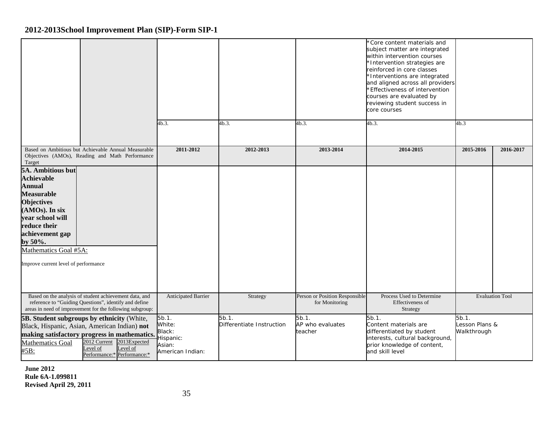|                                                                                                                                                                                                                                                            |                                                                                                                                                                                                                                 | 4b.3.                                                                | 4b.3.                                 | 4b.3.                                            | *Core content materials and<br>subject matter are integrated<br>within intervention courses<br>*Intervention strategies are<br>reinforced in core classes<br>*Interventions are integrated<br>and aligned across all providers<br><b>Effectiveness of intervention</b><br>courses are evaluated by<br>reviewing student success in<br>core courses<br>4b.3. | 4b.3                                      |                        |
|------------------------------------------------------------------------------------------------------------------------------------------------------------------------------------------------------------------------------------------------------------|---------------------------------------------------------------------------------------------------------------------------------------------------------------------------------------------------------------------------------|----------------------------------------------------------------------|---------------------------------------|--------------------------------------------------|-------------------------------------------------------------------------------------------------------------------------------------------------------------------------------------------------------------------------------------------------------------------------------------------------------------------------------------------------------------|-------------------------------------------|------------------------|
|                                                                                                                                                                                                                                                            |                                                                                                                                                                                                                                 |                                                                      |                                       |                                                  |                                                                                                                                                                                                                                                                                                                                                             |                                           |                        |
| Target                                                                                                                                                                                                                                                     | Based on Ambitious but Achievable Annual Measurable<br>Objectives (AMOs), Reading and Math Performance                                                                                                                          | 2011-2012                                                            | 2012-2013                             | 2013-2014                                        | 2014-2015                                                                                                                                                                                                                                                                                                                                                   | 2015-2016                                 | 2016-2017              |
| 5A. Ambitious but<br><b>Achievable</b><br><b>Annual</b><br><b>Measurable</b><br><b>Objectives</b><br>(AMOs). In six<br>year school will<br>reduce their<br>achievement gap<br>by $50\%$ .<br>Mathematics Goal #5A:<br>Improve current level of performance | Based on the analysis of student achievement data, and                                                                                                                                                                          |                                                                      |                                       |                                                  | Process Used to Determine                                                                                                                                                                                                                                                                                                                                   |                                           | <b>Evaluation Tool</b> |
|                                                                                                                                                                                                                                                            | reference to "Guiding Questions", identify and define<br>areas in need of improvement for the following subgroup:                                                                                                               | <b>Anticipated Barrier</b>                                           | Strategy                              | Person or Position Responsible<br>for Monitoring | Effectiveness of<br>Strategy                                                                                                                                                                                                                                                                                                                                |                                           |                        |
| <b>Mathematics Goal</b><br>#5B:                                                                                                                                                                                                                            | 5B. Student subgroups by ethnicity (White,<br>Black, Hispanic, Asian, American Indian) not<br>making satisfactory progress in mathematics<br>2012 Current<br>2013Expected<br>Level of<br>evel of<br>Performance:* Performance:* | 5b.1.<br>White:<br>Black:<br>Hispanic:<br>Asian:<br>American Indian: | $5b.1$ .<br>Differentiate Instruction | 5b.1.<br>AP who evaluates<br>teacher             | $5b.1$ .<br>Content materials are<br>differentiated by student<br>interests, cultural background,<br>prior knowledge of content,<br>and skill level                                                                                                                                                                                                         | $5b.1$ .<br>Lesson Plans &<br>Walkthrough |                        |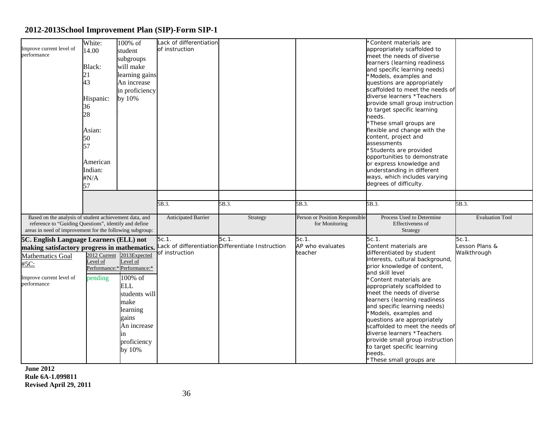|                                                          | White:       | 100% of                     | Lack of differentiation |                                                   |                                | Content materials are                                   |                        |
|----------------------------------------------------------|--------------|-----------------------------|-------------------------|---------------------------------------------------|--------------------------------|---------------------------------------------------------|------------------------|
| Improve current level of                                 | 14.00        | student                     | of instruction          |                                                   |                                | appropriately scaffolded to                             |                        |
| performance                                              |              | subgroups                   |                         |                                                   |                                | meet the needs of diverse                               |                        |
|                                                          | Black:       | will make                   |                         |                                                   |                                | learners (learning readiness                            |                        |
|                                                          |              |                             |                         |                                                   |                                | and specific learning needs)                            |                        |
|                                                          |              | learning gains              |                         |                                                   |                                | *Models, examples and                                   |                        |
|                                                          | 43           | An increase                 |                         |                                                   |                                | questions are appropriately                             |                        |
|                                                          |              | in proficiency              |                         |                                                   |                                | scaffolded to meet the needs of                         |                        |
|                                                          | Hispanic:    | by 10%                      |                         |                                                   |                                | diverse learners *Teachers                              |                        |
|                                                          | 36           |                             |                         |                                                   |                                | provide small group instruction                         |                        |
|                                                          | 28           |                             |                         |                                                   |                                | to target specific learning                             |                        |
|                                                          |              |                             |                         |                                                   |                                | needs.                                                  |                        |
|                                                          |              |                             |                         |                                                   |                                | *These small groups are<br>flexible and change with the |                        |
|                                                          | Asian:       |                             |                         |                                                   |                                | content, project and                                    |                        |
|                                                          | 50           |                             |                         |                                                   |                                | assessments                                             |                        |
|                                                          | 57           |                             |                         |                                                   |                                | *Students are provided                                  |                        |
|                                                          |              |                             |                         |                                                   |                                | opportunities to demonstrate                            |                        |
|                                                          | American     |                             |                         |                                                   |                                | or express knowledge and                                |                        |
|                                                          | Indian:      |                             |                         |                                                   |                                | understanding in different                              |                        |
|                                                          | $\#N/A$      |                             |                         |                                                   |                                | ways, which includes varying                            |                        |
|                                                          | 57           |                             |                         |                                                   |                                | degrees of difficulty.                                  |                        |
|                                                          |              |                             |                         |                                                   |                                |                                                         |                        |
|                                                          |              |                             | 5B.3.                   | 5B.3.                                             | 5B.3.                          | 5B.3.                                                   | 5B.3.                  |
|                                                          |              |                             |                         |                                                   |                                |                                                         |                        |
| Based on the analysis of student achievement data, and   |              |                             | Anticipated Barrier     | Strategy                                          | Person or Position Responsible | Process Used to Determine                               | <b>Evaluation Tool</b> |
| reference to "Guiding Questions", identify and define    |              |                             |                         |                                                   | for Monitoring                 | Effectiveness of                                        |                        |
| areas in need of improvement for the following subgroup: |              |                             |                         |                                                   |                                | Strategy                                                |                        |
| 5C. English Language Learners (ELL) not                  |              |                             | 5c.1.                   | $5c.1$ .                                          | 5c.1.                          | 5c.1.                                                   | 5c.1.                  |
| making satisfactory progress in mathematics.             |              |                             |                         | Lack of differentiation Differentiate Instruction | AP who evaluates               | Content materials are                                   | Lesson Plans &         |
| Mathematics Goal                                         | 2012 Current | 2013Expected                | of instruction          |                                                   | teacher                        | differentiated by student                               | Walkthrough            |
| #5C:                                                     | evel of      | Level of                    |                         |                                                   |                                | interests, cultural background,                         |                        |
|                                                          |              | Performance:* Performance:* |                         |                                                   |                                | prior knowledge of content,<br>and skill level          |                        |
| Improve current level of                                 | pending      | 100% of                     |                         |                                                   |                                |                                                         |                        |
| performance                                              |              | <b>ELL</b>                  |                         |                                                   |                                | *Content materials are<br>appropriately scaffolded to   |                        |
|                                                          |              | students will               |                         |                                                   |                                | meet the needs of diverse                               |                        |
|                                                          |              |                             |                         |                                                   |                                | learners (learning readiness                            |                        |
|                                                          |              | make                        |                         |                                                   |                                | and specific learning needs)                            |                        |
|                                                          |              | learning                    |                         |                                                   |                                | *Models, examples and                                   |                        |
|                                                          |              | gains                       |                         |                                                   |                                | questions are appropriately                             |                        |
|                                                          |              | An increase                 |                         |                                                   |                                | scaffolded to meet the needs of                         |                        |
|                                                          |              | in                          |                         |                                                   |                                | diverse learners *Teachers                              |                        |
|                                                          |              | proficiency                 |                         |                                                   |                                | provide small group instruction                         |                        |
|                                                          |              |                             |                         |                                                   |                                | to target specific learning                             |                        |
|                                                          |              |                             |                         |                                                   |                                |                                                         |                        |
|                                                          |              | by 10%                      |                         |                                                   |                                | needs.<br>*These small groups are                       |                        |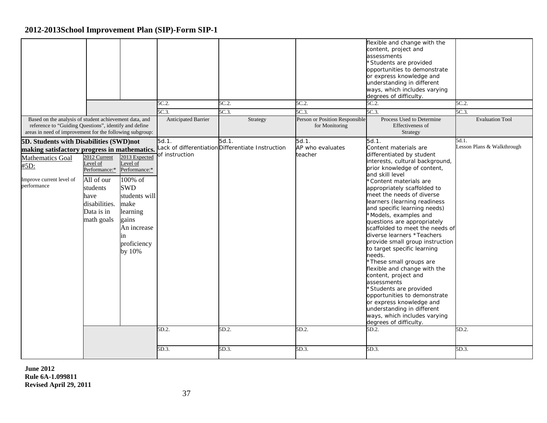|                                                                                                                                                                       |                                                                                                                          |                                                                                                                                                                    | 5C.2.                            | 5C.2.                                                               | 5C.2.                                         | flexible and change with the<br>content, project and<br>assessments<br>*Students are provided<br>opportunities to demonstrate<br>or express knowledge and<br>understanding in different<br>ways, which includes varying<br>degrees of difficulty.<br>5C.2.                                                                                                                                                                                                                                                                                                                                                                                                                                                                                                                                           | 5C.2.                                        |
|-----------------------------------------------------------------------------------------------------------------------------------------------------------------------|--------------------------------------------------------------------------------------------------------------------------|--------------------------------------------------------------------------------------------------------------------------------------------------------------------|----------------------------------|---------------------------------------------------------------------|-----------------------------------------------|------------------------------------------------------------------------------------------------------------------------------------------------------------------------------------------------------------------------------------------------------------------------------------------------------------------------------------------------------------------------------------------------------------------------------------------------------------------------------------------------------------------------------------------------------------------------------------------------------------------------------------------------------------------------------------------------------------------------------------------------------------------------------------------------------|----------------------------------------------|
| Based on the analysis of student achievement data, and                                                                                                                |                                                                                                                          |                                                                                                                                                                    | 5C.3.<br>Anticipated Barrier     | 5C.3.<br>Strategy                                                   | 5C.3.<br>Person or Position Responsible       | 5C.3.<br>Process Used to Determine                                                                                                                                                                                                                                                                                                                                                                                                                                                                                                                                                                                                                                                                                                                                                                   | 5C.3<br><b>Evaluation Tool</b>               |
| reference to "Guiding Questions", identify and define<br>areas in need of improvement for the following subgroup:                                                     |                                                                                                                          |                                                                                                                                                                    |                                  |                                                                     | for Monitoring                                | Effectiveness of<br>Strategy                                                                                                                                                                                                                                                                                                                                                                                                                                                                                                                                                                                                                                                                                                                                                                         |                                              |
| 5D. Students with Disabilities (SWD)not<br>making satisfactory progress in mathematics.<br><b>Mathematics Goal</b><br>#5D:<br>Improve current level of<br>performance | 2012 Current<br>Level of<br>Performance:*<br>All of our<br>students<br>have<br>disabilities.<br>Data is in<br>math goals | 2013 Expected<br>Level of<br>Performance:*<br>100% of<br><b>SWD</b><br>students will<br>make<br>learning<br>gains<br>An increase<br>in<br>proficiency<br>by $10\%$ | 5d.1.<br>of instruction<br>5D.2. | 5d.1.<br>Lack of differentiation Differentiate Instruction<br>5D.2. | 5d.1.<br>AP who evaluates<br>teacher<br>5D.2. | 5d.1.<br>Content materials are<br>differentiated by student<br>interests, cultural background,<br>prior knowledge of content,<br>and skill level<br>*Content materials are<br>appropriately scaffolded to<br>meet the needs of diverse<br>learners (learning readiness<br>and specific learning needs)<br>*Models, examples and<br>questions are appropriately<br>scaffolded to meet the needs of<br>diverse learners *Teachers<br>provide small group instruction<br>to target specific learning<br>needs.<br>*These small groups are<br>flexible and change with the<br>content, project and<br>assessments<br>*Students are provided<br>opportunities to demonstrate<br>or express knowledge and<br>understanding in different<br>ways, which includes varying<br>degrees of difficulty.<br>5D.2. | 5d.1.<br>Lesson Plans & Walkthrough<br>5D.2. |
|                                                                                                                                                                       |                                                                                                                          |                                                                                                                                                                    | 5D.3.                            | 5D.3.                                                               | 5D.3.                                         | 5D.3.                                                                                                                                                                                                                                                                                                                                                                                                                                                                                                                                                                                                                                                                                                                                                                                                | 5D.3.                                        |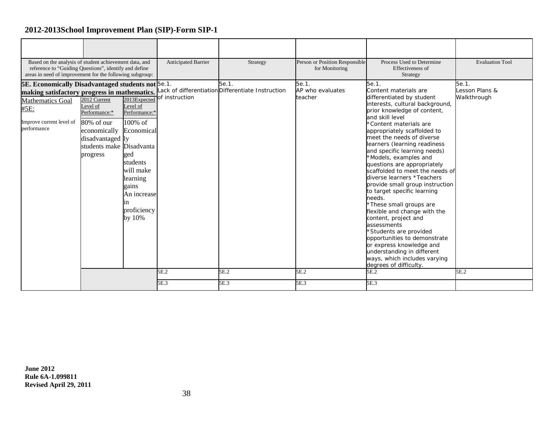| Based on the analysis of student achievement data, and<br>reference to "Guiding Questions", identify and define<br>areas in need of improvement for the following subgroup: |                                                                                                                                     |                                                                                                                                                                       | Anticipated Barrier | Strategy                                                                                                | Person or Position Responsible<br>for Monitoring | Process Used to Determine<br>Effectiveness of<br>Strategy                                                                                                                                                                                                                                                                                                                                                                                                                                                                                                                                                                                                                                                                                                                                   | <b>Evaluation Tool</b>                 |
|-----------------------------------------------------------------------------------------------------------------------------------------------------------------------------|-------------------------------------------------------------------------------------------------------------------------------------|-----------------------------------------------------------------------------------------------------------------------------------------------------------------------|---------------------|---------------------------------------------------------------------------------------------------------|--------------------------------------------------|---------------------------------------------------------------------------------------------------------------------------------------------------------------------------------------------------------------------------------------------------------------------------------------------------------------------------------------------------------------------------------------------------------------------------------------------------------------------------------------------------------------------------------------------------------------------------------------------------------------------------------------------------------------------------------------------------------------------------------------------------------------------------------------------|----------------------------------------|
| <b>5E. Economically Disadvantaged students not 5e.1.</b><br><b>Mathematics Goal</b><br>#5E:<br>Improve current level of<br>performance                                      | 2012 Current<br>Level of<br>Performance:*<br>80% of our<br>economically<br>disadvantaged ly<br>students make Disadvanta<br>progress | 2013Expected<br>Level of<br>Performance:*<br>100% of<br>Economical<br>ged<br>students<br>will make<br>learning<br>gains<br>An increase<br>ın<br>proficiency<br>by 10% | of instruction      | 5e.1.<br>making satisfactory progress in mathematics. Lack of differentiation Differentiate Instruction | 5e.1.<br>AP who evaluates<br>teacher             | 5e.1.<br>Content materials are<br>differentiated by student<br>interests, cultural background,<br>prior knowledge of content,<br>and skill level<br>*Content materials are<br>appropriately scaffolded to<br>meet the needs of diverse<br>learners (learning readiness<br>and specific learning needs)<br>*Models, examples and<br>questions are appropriately<br>scaffolded to meet the needs of<br>diverse learners *Teachers<br>provide small group instruction<br>to target specific learning<br>needs.<br>*These small groups are<br>flexible and change with the<br>content, project and<br>assessments<br>*Students are provided<br>opportunities to demonstrate<br>or express knowledge and<br>understanding in different<br>ways, which includes varying<br>degrees of difficulty. | 5e.1.<br>Lesson Plans &<br>Walkthrough |
|                                                                                                                                                                             |                                                                                                                                     |                                                                                                                                                                       | 5E.2<br>5E.3        | 5E.2<br>5E.3                                                                                            | 5E.2<br>5E.3                                     | 5E.2<br>5E.3                                                                                                                                                                                                                                                                                                                                                                                                                                                                                                                                                                                                                                                                                                                                                                                | 5E.2                                   |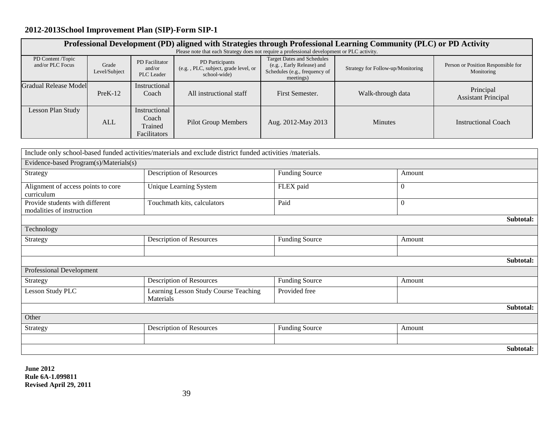|                                       |                                                                                             |                                                   |                                                                        |                                                                                                              | Professional Development (PD) aligned with Strategies through Professional Learning Community (PLC) or PD Activity |                                                  |  |  |  |  |  |  |  |
|---------------------------------------|---------------------------------------------------------------------------------------------|---------------------------------------------------|------------------------------------------------------------------------|--------------------------------------------------------------------------------------------------------------|--------------------------------------------------------------------------------------------------------------------|--------------------------------------------------|--|--|--|--|--|--|--|
|                                       | Please note that each Strategy does not require a professional development or PLC activity. |                                                   |                                                                        |                                                                                                              |                                                                                                                    |                                                  |  |  |  |  |  |  |  |
| PD Content /Topic<br>and/or PLC Focus | Grade<br>Level/Subject                                                                      | PD Facilitator<br>and/or<br>PLC Leader            | PD Participants<br>(e.g., PLC, subject, grade level, or<br>school-wide | <b>Target Dates and Schedules</b><br>(e.g., Early Release) and<br>Schedules (e.g., frequency of<br>meetings) | Strategy for Follow-up/Monitoring                                                                                  | Person or Position Responsible for<br>Monitoring |  |  |  |  |  |  |  |
| <b>Gradual Release Model</b>          | $PreK-12$                                                                                   | Instructional<br>Coach                            | All instructional staff                                                | First Semester.                                                                                              | Walk-through data                                                                                                  | Principal<br><b>Assistant Principal</b>          |  |  |  |  |  |  |  |
| Lesson Plan Study                     | <b>ALL</b>                                                                                  | Instructional<br>Coach<br>Trained<br>Facilitators | <b>Pilot Group Members</b>                                             | Aug. 2012-May 2013                                                                                           | <b>Minutes</b>                                                                                                     | <b>Instructional Coach</b>                       |  |  |  |  |  |  |  |

|                                                              | Include only school-based funded activities/materials and exclude district funded activities /materials. |                       |                |
|--------------------------------------------------------------|----------------------------------------------------------------------------------------------------------|-----------------------|----------------|
| Evidence-based Program(s)/Materials(s)                       |                                                                                                          |                       |                |
| Strategy                                                     | Description of Resources                                                                                 | <b>Funding Source</b> | Amount         |
| Alignment of access points to core<br>curriculum             | Unique Learning System                                                                                   | FLEX paid             | $\overline{0}$ |
| Provide students with different<br>modalities of instruction | Touchmath kits, calculators                                                                              | Paid                  | $\overline{0}$ |
|                                                              |                                                                                                          |                       | Subtotal:      |
| Technology                                                   |                                                                                                          |                       |                |
| Strategy                                                     | Description of Resources                                                                                 | <b>Funding Source</b> | Amount         |
|                                                              |                                                                                                          |                       |                |
|                                                              |                                                                                                          |                       | Subtotal:      |
| Professional Development                                     |                                                                                                          |                       |                |
| Strategy                                                     | Description of Resources                                                                                 | <b>Funding Source</b> | Amount         |
| Lesson Study PLC                                             | Learning Lesson Study Course Teaching<br>Materials                                                       | Provided free         |                |
|                                                              |                                                                                                          |                       | Subtotal:      |
| Other                                                        |                                                                                                          |                       |                |
| Strategy                                                     | <b>Description of Resources</b>                                                                          | <b>Funding Source</b> | Amount         |
|                                                              |                                                                                                          |                       |                |
|                                                              |                                                                                                          |                       | Subtotal:      |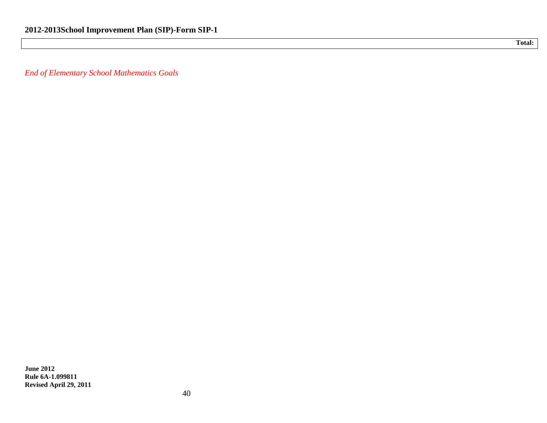**Total:**

*End of Elementary School Mathematics Goals*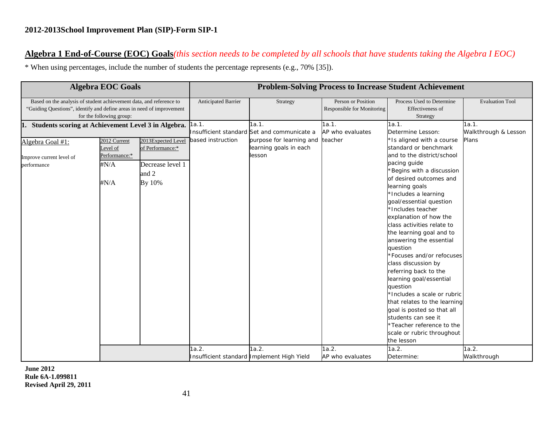### **Algebra 1 End-of-Course (EOC) Goals***(this section needs to be completed by all schools that have students taking the Algebra I EOC)*

\* When using percentages, include the number of students the percentage represents (e.g., 70% [35]).

|                                                                                                                                              | <b>Algebra EOC Goals</b>                                        |                                                                               |                     |                                                                                                                              |                                                                                                                                         | <b>Problem-Solving Process to Increase Student Achievement</b>                                                                                                                                                                                                                                                                                                                                                                         |                                        |  |  |
|----------------------------------------------------------------------------------------------------------------------------------------------|-----------------------------------------------------------------|-------------------------------------------------------------------------------|---------------------|------------------------------------------------------------------------------------------------------------------------------|-----------------------------------------------------------------------------------------------------------------------------------------|----------------------------------------------------------------------------------------------------------------------------------------------------------------------------------------------------------------------------------------------------------------------------------------------------------------------------------------------------------------------------------------------------------------------------------------|----------------------------------------|--|--|
| Based on the analysis of student achievement data, and reference to<br>"Guiding Questions", identify and define areas in need of improvement | for the following group:                                        |                                                                               | Anticipated Barrier | Strategy                                                                                                                     | <b>Evaluation Tool</b><br>Person or Position<br>Process Used to Determine<br>Responsible for Monitoring<br>Effectiveness of<br>Strategy |                                                                                                                                                                                                                                                                                                                                                                                                                                        |                                        |  |  |
| Students scoring at Achievement Level 3 in Algebra. 1a.1.<br>п.<br>Algebra Goal #1:<br>Improve current level of<br>performance               | 2012 Current<br>Level of<br>Performance:*<br>$\#N/A$<br>$\#N/A$ | 2013Expected Level<br>of Performance:*<br>Decrease level 1<br>and 2<br>By 10% | based instruction   | 1a.1.<br>Insufficient standard Set and communicate a<br>purpose for learning and teacher<br>learning goals in each<br>lesson | 1a.1.<br>AP who evaluates                                                                                                               | 1a.1.<br>Determine Lesson:<br>'Is aligned with a course<br>standard or benchmark<br>and to the district/school<br>pacing guide<br>Begins with a discussion<br>of desired outcomes and<br>learning goals<br>Includes a learning<br>goal/essential question<br>*Includes teacher<br>explanation of how the<br>class activities relate to<br>the learning goal and to<br>answering the essential<br>question<br>*Focuses and/or refocuses | 1a.1.<br>Walkthrough & Lesson<br>Plans |  |  |
|                                                                                                                                              |                                                                 |                                                                               |                     |                                                                                                                              |                                                                                                                                         | class discussion by<br>referring back to the<br>learning goal/essential<br>question<br>*Includes a scale or rubric<br>that relates to the learning<br>goal is posted so that all<br>students can see it<br>*Teacher reference to the<br>scale or rubric throughout<br>the lesson                                                                                                                                                       |                                        |  |  |
|                                                                                                                                              |                                                                 |                                                                               | 1a.2.               | 1a.2.<br>Insufficient standard Implement High Yield                                                                          | 1a.2.<br>AP who evaluates                                                                                                               | 1a.2.<br>Determine:                                                                                                                                                                                                                                                                                                                                                                                                                    | 1a.2.<br>Walkthrough                   |  |  |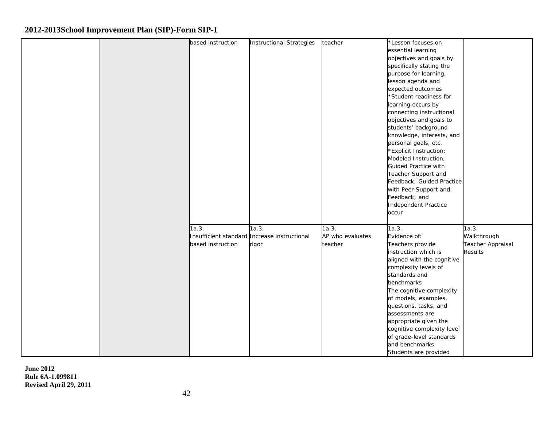|  | based instruction | <b>Instructional Strategies</b>              | teacher          | *Lesson focuses on                             |                   |
|--|-------------------|----------------------------------------------|------------------|------------------------------------------------|-------------------|
|  |                   |                                              |                  | essential learning                             |                   |
|  |                   |                                              |                  | objectives and goals by                        |                   |
|  |                   |                                              |                  | specifically stating the                       |                   |
|  |                   |                                              |                  | purpose for learning,                          |                   |
|  |                   |                                              |                  | lesson agenda and                              |                   |
|  |                   |                                              |                  | expected outcomes                              |                   |
|  |                   |                                              |                  | *Student readiness for                         |                   |
|  |                   |                                              |                  | learning occurs by                             |                   |
|  |                   |                                              |                  | connecting instructional                       |                   |
|  |                   |                                              |                  | objectives and goals to                        |                   |
|  |                   |                                              |                  | students' background                           |                   |
|  |                   |                                              |                  | knowledge, interests, and                      |                   |
|  |                   |                                              |                  |                                                |                   |
|  |                   |                                              |                  | personal goals, etc.<br>*Explicit Instruction; |                   |
|  |                   |                                              |                  |                                                |                   |
|  |                   |                                              |                  | Modeled Instruction;                           |                   |
|  |                   |                                              |                  | <b>Guided Practice with</b>                    |                   |
|  |                   |                                              |                  | Teacher Support and                            |                   |
|  |                   |                                              |                  | Feedback; Guided Practice                      |                   |
|  |                   |                                              |                  | with Peer Support and                          |                   |
|  |                   |                                              |                  | Feedback; and                                  |                   |
|  |                   |                                              |                  | Independent Practice                           |                   |
|  |                   |                                              |                  | occur                                          |                   |
|  |                   |                                              |                  |                                                |                   |
|  | 1a.3.             | 1a.3.                                        | 1a.3.            | 1a.3.                                          | 1a.3.             |
|  |                   | Insufficient standard Increase instructional | AP who evaluates | Evidence of:                                   | Walkthrough       |
|  | based instruction | rigor                                        | teacher          | Teachers provide                               | Teacher Appraisal |
|  |                   |                                              |                  | instruction which is                           | <b>Results</b>    |
|  |                   |                                              |                  | aligned with the cognitive                     |                   |
|  |                   |                                              |                  | complexity levels of                           |                   |
|  |                   |                                              |                  | standards and                                  |                   |
|  |                   |                                              |                  | benchmarks                                     |                   |
|  |                   |                                              |                  | The cognitive complexity                       |                   |
|  |                   |                                              |                  | of models, examples,                           |                   |
|  |                   |                                              |                  | questions, tasks, and                          |                   |
|  |                   |                                              |                  | assessments are                                |                   |
|  |                   |                                              |                  | appropriate given the                          |                   |
|  |                   |                                              |                  | cognitive complexity level                     |                   |
|  |                   |                                              |                  | of grade-level standards                       |                   |
|  |                   |                                              |                  | and benchmarks                                 |                   |
|  |                   |                                              |                  | Students are provided                          |                   |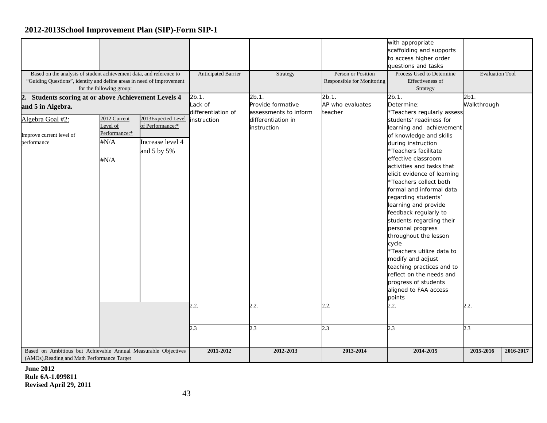|                                                                                                               |                          |                    |                            |                       |                            | with appropriate            |                        |           |
|---------------------------------------------------------------------------------------------------------------|--------------------------|--------------------|----------------------------|-----------------------|----------------------------|-----------------------------|------------------------|-----------|
|                                                                                                               |                          |                    |                            |                       |                            | scaffolding and supports    |                        |           |
|                                                                                                               |                          |                    |                            |                       |                            | to access higher order      |                        |           |
|                                                                                                               |                          |                    |                            |                       |                            | questions and tasks         |                        |           |
| Based on the analysis of student achievement data, and reference to                                           |                          |                    | <b>Anticipated Barrier</b> | Strategy              | Person or Position         | Process Used to Determine   | <b>Evaluation Tool</b> |           |
| "Guiding Questions", identify and define areas in need of improvement                                         |                          |                    |                            |                       | Responsible for Monitoring | Effectiveness of            |                        |           |
|                                                                                                               | for the following group: |                    |                            |                       |                            | Strategy                    |                        |           |
| 2. Students scoring at or above Achievement Levels 4                                                          |                          |                    | $2b.1$ .                   | $2b.1$ .              | 2b.1.                      | 2b.1.                       | 2b1.                   |           |
| and 5 in Algebra.                                                                                             |                          |                    | Lack of                    | Provide formative     | AP who evaluates           | Determine:                  | Walkthrough            |           |
|                                                                                                               |                          |                    | differentiation of         | assessments to inform | teacher                    | *Teachers regularly assess  |                        |           |
| Algebra Goal #2:                                                                                              | 2012 Current             | 2013Expected Level | instruction                | differentiation in    |                            | students' readiness for     |                        |           |
|                                                                                                               | Level of                 | of Performance:*   |                            | instruction           |                            | learning and achievement    |                        |           |
| Improve current level of                                                                                      | Performance:*            |                    |                            |                       |                            | of knowledge and skills     |                        |           |
| performance                                                                                                   | $\#N/A$                  | Increase level 4   |                            |                       |                            | during instruction          |                        |           |
|                                                                                                               |                          | and 5 by 5%        |                            |                       |                            | *Teachers facilitate        |                        |           |
|                                                                                                               | $\#N/A$                  |                    |                            |                       |                            | effective classroom         |                        |           |
|                                                                                                               |                          |                    |                            |                       |                            | activities and tasks that   |                        |           |
|                                                                                                               |                          |                    |                            |                       |                            | elicit evidence of learning |                        |           |
|                                                                                                               |                          |                    |                            |                       |                            | *Teachers collect both      |                        |           |
|                                                                                                               |                          |                    |                            |                       |                            | formal and informal data    |                        |           |
|                                                                                                               |                          |                    |                            |                       |                            | regarding students'         |                        |           |
|                                                                                                               |                          |                    |                            |                       |                            | learning and provide        |                        |           |
|                                                                                                               |                          |                    |                            |                       |                            | feedback regularly to       |                        |           |
|                                                                                                               |                          |                    |                            |                       |                            | students regarding their    |                        |           |
|                                                                                                               |                          |                    |                            |                       |                            | personal progress           |                        |           |
|                                                                                                               |                          |                    |                            |                       |                            | throughout the lesson       |                        |           |
|                                                                                                               |                          |                    |                            |                       |                            | cycle                       |                        |           |
|                                                                                                               |                          |                    |                            |                       |                            | *Teachers utilize data to   |                        |           |
|                                                                                                               |                          |                    |                            |                       |                            | modify and adjust           |                        |           |
|                                                                                                               |                          |                    |                            |                       |                            | teaching practices and to   |                        |           |
|                                                                                                               |                          |                    |                            |                       |                            | reflect on the needs and    |                        |           |
|                                                                                                               |                          |                    |                            |                       |                            | progress of students        |                        |           |
|                                                                                                               |                          |                    |                            |                       |                            | aligned to FAA access       |                        |           |
|                                                                                                               |                          |                    |                            |                       |                            | points                      |                        |           |
|                                                                                                               |                          |                    | 2.2.                       | 2.2.                  | 2.2.                       | 2.2.                        | 2.2.                   |           |
|                                                                                                               |                          |                    |                            |                       |                            |                             |                        |           |
|                                                                                                               |                          |                    |                            |                       |                            |                             |                        |           |
|                                                                                                               |                          |                    | 2.3                        | 2.3                   | 2.3                        | 2.3                         | 2.3                    |           |
|                                                                                                               |                          |                    |                            |                       |                            |                             |                        |           |
|                                                                                                               |                          |                    |                            |                       |                            |                             |                        |           |
| Based on Ambitious but Achievable Annual Measurable Objectives<br>(AMOs), Reading and Math Performance Target |                          |                    | 2011-2012                  | 2012-2013             | 2013-2014                  | 2014-2015                   | 2015-2016              | 2016-2017 |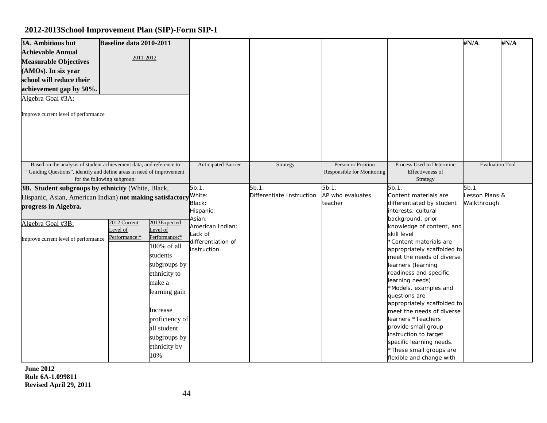| 3A. Ambitious but                                                                                                                            | Baseline data 2010-2011     |                |                            |                           |                                                  |                                                           | $\sharp N/A$           | $\sharp N/A$ |
|----------------------------------------------------------------------------------------------------------------------------------------------|-----------------------------|----------------|----------------------------|---------------------------|--------------------------------------------------|-----------------------------------------------------------|------------------------|--------------|
| <b>Achievable Annual</b>                                                                                                                     |                             |                |                            |                           |                                                  |                                                           |                        |              |
| <b>Measurable Objectives</b>                                                                                                                 | 2011-2012                   |                |                            |                           |                                                  |                                                           |                        |              |
| (AMOs). In six year                                                                                                                          |                             |                |                            |                           |                                                  |                                                           |                        |              |
| school will reduce their                                                                                                                     |                             |                |                            |                           |                                                  |                                                           |                        |              |
| achievement gap by 50%.                                                                                                                      |                             |                |                            |                           |                                                  |                                                           |                        |              |
| Algebra Goal #3A:                                                                                                                            |                             |                |                            |                           |                                                  |                                                           |                        |              |
| Improve current level of performance                                                                                                         |                             |                |                            |                           |                                                  |                                                           |                        |              |
|                                                                                                                                              |                             |                |                            |                           |                                                  |                                                           |                        |              |
| Based on the analysis of student achievement data, and reference to<br>"Guiding Questions", identify and define areas in need of improvement | for the following subgroup: |                | <b>Anticipated Barrier</b> | Strategy                  | Person or Position<br>Responsible for Monitoring | Process Used to Determine<br>Effectiveness of<br>Strategy | <b>Evaluation Tool</b> |              |
| 3B. Student subgroups by ethnicity (White, Black,                                                                                            |                             |                | 5b.1.                      | 5b.1.                     | 5b.1.                                            | 5b.1.                                                     | 5b.1.                  |              |
| Hispanic, Asian, American Indian) not making satisfactory White:                                                                             |                             |                |                            | Differentiate Instruction | AP who evaluates                                 | Content materials are                                     | Lesson Plans &         |              |
| progress in Algebra.                                                                                                                         |                             |                | Black:                     |                           | teacher                                          | differentiated by student                                 | Walkthrough            |              |
|                                                                                                                                              |                             |                | Hispanic:                  |                           |                                                  | interests, cultural                                       |                        |              |
| Algebra Goal #3B:                                                                                                                            | 2012 Current                | 2013Expected   | Asian:<br>American Indian: |                           |                                                  | background, prior<br>knowledge of content, and            |                        |              |
|                                                                                                                                              | Level of                    | Level of       | Lack of                    |                           |                                                  | skill level                                               |                        |              |
| Improve current level of performance                                                                                                         | Performance:*               | Performance:*  | differentiation of         |                           |                                                  | *Content materials are                                    |                        |              |
|                                                                                                                                              |                             | 100% of all    | instruction                |                           |                                                  | appropriately scaffolded to                               |                        |              |
|                                                                                                                                              |                             | students       |                            |                           |                                                  | meet the needs of diverse                                 |                        |              |
|                                                                                                                                              |                             | subgroups by   |                            |                           |                                                  | learners (learning                                        |                        |              |
|                                                                                                                                              |                             | ethnicity to   |                            |                           |                                                  | eadiness and specific                                     |                        |              |
|                                                                                                                                              |                             | make a         |                            |                           |                                                  | learning needs)                                           |                        |              |
|                                                                                                                                              |                             | learning gain  |                            |                           |                                                  | *Models, examples and                                     |                        |              |
|                                                                                                                                              |                             |                |                            |                           |                                                  | questions are                                             |                        |              |
|                                                                                                                                              |                             | Increase       |                            |                           |                                                  | appropriately scaffolded to                               |                        |              |
|                                                                                                                                              |                             |                |                            |                           |                                                  | meet the needs of diverse                                 |                        |              |
|                                                                                                                                              |                             | proficiency of |                            |                           |                                                  | learners *Teachers<br>provide small group                 |                        |              |
|                                                                                                                                              |                             | all student    |                            |                           |                                                  | instruction to target                                     |                        |              |
|                                                                                                                                              |                             | subgroups by   |                            |                           |                                                  | specific learning needs.                                  |                        |              |
|                                                                                                                                              |                             | ethnicity by   |                            |                           |                                                  | *These small groups are                                   |                        |              |
|                                                                                                                                              |                             | 10%            |                            |                           |                                                  | flexible and change with                                  |                        |              |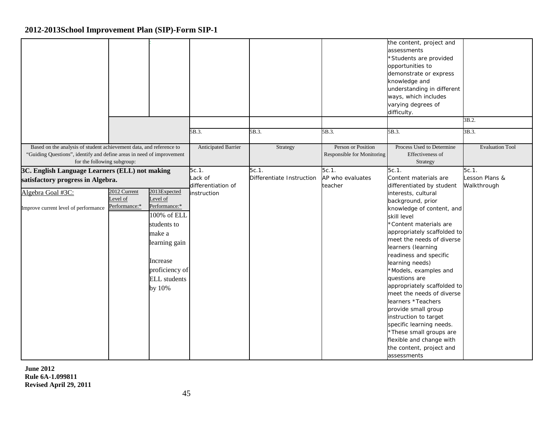|                                                                                                                                                                             |                                           |                                                                                                                                                                   |                                   |                           |                                                  | the content, project and<br>assessments<br>*Students are provided<br>opportunities to<br>demonstrate or express<br>knowledge and<br>understanding in different<br>ways, which includes<br>varying degrees of<br>difficulty.                                                                                                                                                                                                                                                                                                                                                         | 3B.2.                  |
|-----------------------------------------------------------------------------------------------------------------------------------------------------------------------------|-------------------------------------------|-------------------------------------------------------------------------------------------------------------------------------------------------------------------|-----------------------------------|---------------------------|--------------------------------------------------|-------------------------------------------------------------------------------------------------------------------------------------------------------------------------------------------------------------------------------------------------------------------------------------------------------------------------------------------------------------------------------------------------------------------------------------------------------------------------------------------------------------------------------------------------------------------------------------|------------------------|
|                                                                                                                                                                             |                                           |                                                                                                                                                                   | 5B.3.                             | 5B.3.                     | 5B.3.                                            | 5B.3.                                                                                                                                                                                                                                                                                                                                                                                                                                                                                                                                                                               | 3B.3.                  |
| Based on the analysis of student achievement data, and reference to<br>"Guiding Questions", identify and define areas in need of improvement<br>for the following subgroup: |                                           |                                                                                                                                                                   | Anticipated Barrier               | Strategy                  | Person or Position<br>Responsible for Monitoring | Process Used to Determine<br>Effectiveness of<br>Strategy                                                                                                                                                                                                                                                                                                                                                                                                                                                                                                                           | <b>Evaluation Tool</b> |
| 3C. English Language Learners (ELL) not making                                                                                                                              |                                           |                                                                                                                                                                   | 5c.1.                             | 5c.1.                     | 5c.1.                                            | 5c.1.                                                                                                                                                                                                                                                                                                                                                                                                                                                                                                                                                                               | 5c.1.                  |
| satisfactory progress in Algebra.                                                                                                                                           |                                           |                                                                                                                                                                   | Lack of                           | Differentiate Instruction | AP who evaluates                                 | Content materials are                                                                                                                                                                                                                                                                                                                                                                                                                                                                                                                                                               | Lesson Plans &         |
| Algebra Goal #3C:<br>Improve current level of performance                                                                                                                   | 2012 Current<br>Level of<br>Performance:* | 2013Expected<br>Level of<br>Performance:*<br>100% of ELL<br>students to<br>make a<br>learning gain<br>Increase<br>proficiency of<br><b>ELL</b> students<br>by 10% | differentiation of<br>instruction |                           | teacher                                          | differentiated by student<br>interests, cultural<br>background, prior<br>knowledge of content, and<br>skill level<br>Content materials are<br>appropriately scaffolded to<br>meet the needs of diverse<br>learners (learning<br>readiness and specific<br>learning needs)<br>*Models, examples and<br>questions are<br>appropriately scaffolded to<br>meet the needs of diverse<br>learners *Teachers<br>provide small group<br>instruction to target<br>specific learning needs.<br>*These small groups are<br>flexible and change with<br>the content, project and<br>assessments | Walkthrough            |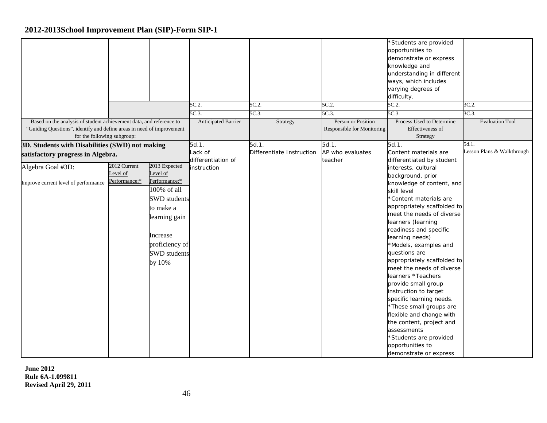| Based on the analysis of student achievement data, and reference to<br>"Guiding Questions", identify and define areas in need of improvement |                                           |                                                                                                                                                                               | 5C.2.<br>5C.3.<br><b>Anticipated Barrier</b> | 5C.2.<br>5C.3<br>Strategy          | 5C.2<br>5C.3.<br>Person or Position<br>Responsible for Monitoring | *Students are provided<br>opportunities to<br>demonstrate or express<br>knowledge and<br>understanding in different<br>ways, which includes<br>varying degrees of<br>difficulty.<br>5C.2.<br>5C.3.<br>Process Used to Determine<br>Effectiveness of                                                                                                                                                                                                                                                                                                                                                                             | 3C.2<br>3C.3<br><b>Evaluation Tool</b> |
|----------------------------------------------------------------------------------------------------------------------------------------------|-------------------------------------------|-------------------------------------------------------------------------------------------------------------------------------------------------------------------------------|----------------------------------------------|------------------------------------|-------------------------------------------------------------------|---------------------------------------------------------------------------------------------------------------------------------------------------------------------------------------------------------------------------------------------------------------------------------------------------------------------------------------------------------------------------------------------------------------------------------------------------------------------------------------------------------------------------------------------------------------------------------------------------------------------------------|----------------------------------------|
| for the following subgroup:                                                                                                                  |                                           |                                                                                                                                                                               |                                              |                                    |                                                                   | Strategy                                                                                                                                                                                                                                                                                                                                                                                                                                                                                                                                                                                                                        |                                        |
| 3D. Students with Disabilities (SWD) not making<br>satisfactory progress in Algebra.                                                         |                                           |                                                                                                                                                                               | 5d.1.<br>Lack of<br>differentiation of       | 5d.1.<br>Differentiate Instruction | 5d.1.<br>AP who evaluates<br>teacher                              | 5d.1.<br>Content materials are<br>differentiated by student                                                                                                                                                                                                                                                                                                                                                                                                                                                                                                                                                                     | 5d.1.<br>Lesson Plans & Walkthrough    |
| Algebra Goal #3D:<br>Improve current level of performance                                                                                    | 2012 Current<br>Level of<br>Performance:* | 2013 Expected<br>Level of<br>Performance:*<br>100% of all<br><b>SWD</b> students<br>to make a<br>learning gain<br>Increase<br>proficiency of<br><b>SWD</b> students<br>by 10% | instruction                                  |                                    |                                                                   | interests, cultural<br>background, prior<br>knowledge of content, and<br>skill level<br>*Content materials are<br>appropriately scaffolded to<br>meet the needs of diverse<br>learners (learning<br>readiness and specific<br>learning needs)<br>*Models, examples and<br>questions are<br>appropriately scaffolded to<br>meet the needs of diverse<br>learners *Teachers<br>provide small group<br>instruction to target<br>specific learning needs.<br>*These small groups are<br>flexible and change with<br>the content, project and<br>assessments<br>*Students are provided<br>opportunities to<br>demonstrate or express |                                        |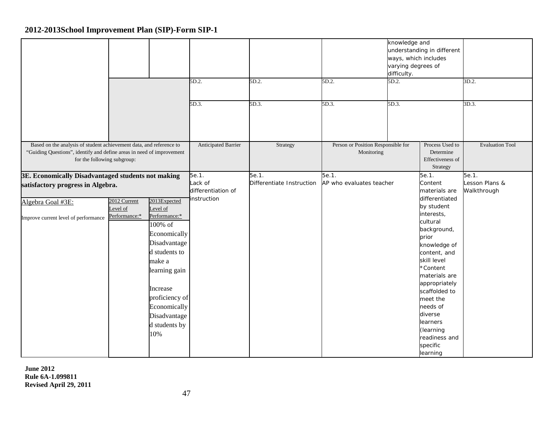|                                                                                                                                                                             |                                           |                                                                                                                                                                                                                        | 5D.2.<br>5D.3.                         | 5D.2.<br>$5D.3$ .                  | 5D.2.<br>5D.3.                                                         | knowledge and<br>varying degrees of<br>difficulty.<br>5D.2.<br>5D.3. | understanding in different<br>ways, which includes                                                                                                                                                                                                                                                | 3D.2.<br>3D.3.         |
|-----------------------------------------------------------------------------------------------------------------------------------------------------------------------------|-------------------------------------------|------------------------------------------------------------------------------------------------------------------------------------------------------------------------------------------------------------------------|----------------------------------------|------------------------------------|------------------------------------------------------------------------|----------------------------------------------------------------------|---------------------------------------------------------------------------------------------------------------------------------------------------------------------------------------------------------------------------------------------------------------------------------------------------|------------------------|
|                                                                                                                                                                             |                                           |                                                                                                                                                                                                                        |                                        |                                    |                                                                        |                                                                      |                                                                                                                                                                                                                                                                                                   |                        |
| Based on the analysis of student achievement data, and reference to<br>"Guiding Questions", identify and define areas in need of improvement<br>for the following subgroup: |                                           |                                                                                                                                                                                                                        | Anticipated Barrier                    | Strategy                           | Person or Position Responsible for<br>Monitoring                       |                                                                      | Process Used to<br>Determine<br>Effectiveness of<br>Strategy                                                                                                                                                                                                                                      | <b>Evaluation Tool</b> |
| 3E. Economically Disadvantaged students not making<br>satisfactory progress in Algebra.                                                                                     |                                           |                                                                                                                                                                                                                        | 5e.1.<br>Lack of<br>differentiation of | 5e.1.<br>Differentiate Instruction | 5e.1.<br>5e.1.<br>AP who evaluates teacher<br>Content<br>materials are |                                                                      | 5e.1.<br>Lesson Plans &<br>Walkthrough                                                                                                                                                                                                                                                            |                        |
| Algebra Goal #3E:<br>Improve current level of performance                                                                                                                   | 2012 Current<br>Level of<br>Performance:* | 2013Expected<br>Level of<br>Performance:*<br>100% of<br>Economically<br>Disadvantage<br>d students to<br>make a<br>learning gain<br>Increase<br>proficiency of<br>Economically<br>Disadvantage<br>d students by<br>10% | instruction                            |                                    |                                                                        |                                                                      | differentiated<br>by student<br>interests,<br>cultural<br>background,<br>prior<br>knowledge of<br>content, and<br>skill level<br>*Content<br>materials are<br>appropriately<br>scaffolded to<br>meet the<br>needs of<br>diverse<br>learners<br>(learning<br>readiness and<br>specific<br>learning |                        |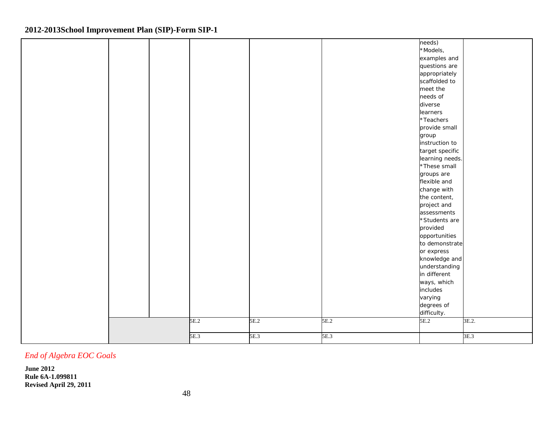|  |      |      |      | needs)          |       |
|--|------|------|------|-----------------|-------|
|  |      |      |      | *Models,        |       |
|  |      |      |      | examples and    |       |
|  |      |      |      | questions are   |       |
|  |      |      |      | appropriately   |       |
|  |      |      |      | scaffolded to   |       |
|  |      |      |      | meet the        |       |
|  |      |      |      | needs of        |       |
|  |      |      |      | diverse         |       |
|  |      |      |      | learners        |       |
|  |      |      |      | *Teachers       |       |
|  |      |      |      | provide small   |       |
|  |      |      |      | group           |       |
|  |      |      |      | instruction to  |       |
|  |      |      |      | target specific |       |
|  |      |      |      | learning needs. |       |
|  |      |      |      | *These small    |       |
|  |      |      |      | groups are      |       |
|  |      |      |      | flexible and    |       |
|  |      |      |      | change with     |       |
|  |      |      |      | the content,    |       |
|  |      |      |      | project and     |       |
|  |      |      |      | assessments     |       |
|  |      |      |      | *Students are   |       |
|  |      |      |      | provided        |       |
|  |      |      |      | opportunities   |       |
|  |      |      |      | to demonstrate  |       |
|  |      |      |      | or express      |       |
|  |      |      |      | knowledge and   |       |
|  |      |      |      | understanding   |       |
|  |      |      |      | in different    |       |
|  |      |      |      | ways, which     |       |
|  |      |      |      | includes        |       |
|  |      |      |      | varying         |       |
|  |      |      |      | degrees of      |       |
|  |      |      |      | difficulty.     |       |
|  | 5E.2 | 5E.2 | 5E.2 | 5E.2            | 3E.2. |
|  |      |      |      |                 |       |
|  | 5E.3 | 5E.3 | 5E.3 |                 | 3E.3  |
|  |      |      |      |                 |       |

*End of Algebra EOC Goals*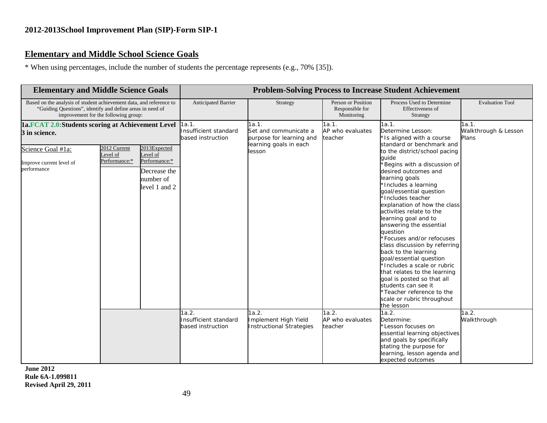## **Elementary and Middle School Science Goals**

\* When using percentages, include the number of students the percentage represents (e.g., 70% [35]).

| <b>Elementary and Middle Science Goals</b>                                                                                         |                                                                                                                                                                          |                                                                                         | <b>Problem-Solving Process to Increase Student Achievement</b> |                                                                                                |                                                     |                                                                                                                                                                                                                                                                                                                                                                                                                                                                                                                                                                                                                                                                                                                           |                                        |
|------------------------------------------------------------------------------------------------------------------------------------|--------------------------------------------------------------------------------------------------------------------------------------------------------------------------|-----------------------------------------------------------------------------------------|----------------------------------------------------------------|------------------------------------------------------------------------------------------------|-----------------------------------------------------|---------------------------------------------------------------------------------------------------------------------------------------------------------------------------------------------------------------------------------------------------------------------------------------------------------------------------------------------------------------------------------------------------------------------------------------------------------------------------------------------------------------------------------------------------------------------------------------------------------------------------------------------------------------------------------------------------------------------------|----------------------------------------|
|                                                                                                                                    | Based on the analysis of student achievement data, and reference to<br>"Guiding Questions", identify and define areas in need of<br>improvement for the following group: |                                                                                         |                                                                | Strategy                                                                                       | Person or Position<br>Responsible for<br>Monitoring | Process Used to Determine<br>Effectiveness of<br>Strategy                                                                                                                                                                                                                                                                                                                                                                                                                                                                                                                                                                                                                                                                 | <b>Evaluation Tool</b>                 |
| 1a.FCAT 2.0:Students scoring at Achievement Level<br>3 in science.<br>Science Goal #1a:<br>Improve current level of<br>performance | 2012 Current<br>Level of<br>Performance:*                                                                                                                                | 2013Expected<br>Level of<br>Performance:*<br>Decrease the<br>number of<br>level 1 and 2 | 1a.1.<br>Insufficient standard<br>based instruction            | 1a.1.<br>Set and communicate a<br>purpose for learning and<br>learning goals in each<br>lesson | 1a.1.<br>AP who evaluates<br>teacher                | 1a.1.<br>Determine Lesson:<br>*Is aligned with a course<br>standard or benchmark and<br>to the district/school pacing<br>quide<br>*Begins with a discussion of<br>desired outcomes and<br>learning goals<br>*Includes a learning<br>goal/essential question<br>*Includes teacher<br>explanation of how the class<br>activities relate to the<br>learning goal and to<br>answering the essential<br>question<br>*Focuses and/or refocuses<br>class discussion by referring<br>back to the learning<br>goal/essential question<br>*Includes a scale or rubric<br>that relates to the learning<br>goal is posted so that all<br>students can see it<br>*Teacher reference to the<br>scale or rubric throughout<br>the lesson | 1a.1.<br>Walkthrough & Lesson<br>Plans |
|                                                                                                                                    |                                                                                                                                                                          |                                                                                         | 1a.2.<br>Insufficient standard<br>based instruction            | 1a.2.<br>Implement High Yield<br><b>Instructional Strategies</b>                               | 1a.2.<br>AP who evaluates<br>teacher                | 1a.2.<br>Determine:<br>*Lesson focuses on<br>essential learning objectives<br>and goals by specifically<br>stating the purpose for<br>learning, lesson agenda and<br>expected outcomes                                                                                                                                                                                                                                                                                                                                                                                                                                                                                                                                    | 1a.2.<br>Walkthrough                   |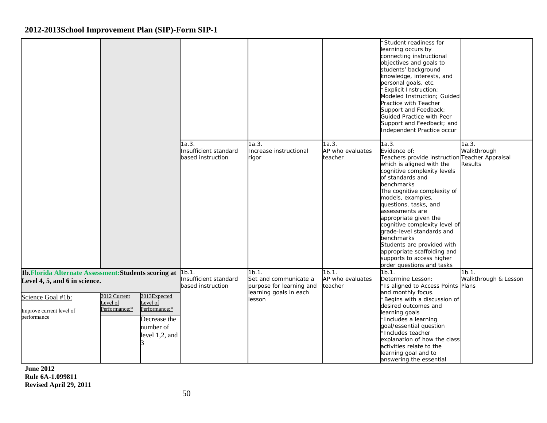|                                                                                                                                                        |                                                                                                                                      |                                                     |                                                                                                |                                      | *Student readiness for<br>learning occurs by<br>connecting instructional<br>objectives and goals to<br>students' background<br>knowledge, interests, and<br>personal goals, etc.<br><b>Explicit Instruction;</b><br>Modeled Instruction; Guided<br>Practice with Teacher<br>Support and Feedback;<br>Guided Practice with Peer<br>Support and Feedback; and<br>Independent Practice occur                                                                                                                       |                                        |
|--------------------------------------------------------------------------------------------------------------------------------------------------------|--------------------------------------------------------------------------------------------------------------------------------------|-----------------------------------------------------|------------------------------------------------------------------------------------------------|--------------------------------------|-----------------------------------------------------------------------------------------------------------------------------------------------------------------------------------------------------------------------------------------------------------------------------------------------------------------------------------------------------------------------------------------------------------------------------------------------------------------------------------------------------------------|----------------------------------------|
|                                                                                                                                                        |                                                                                                                                      | 1a.3.<br>Insufficient standard<br>based instruction | 1a.3.<br>Increase instructional<br>rigor                                                       | 1a.3.<br>AP who evaluates<br>teacher | $\overline{1}$ a.3.<br>Evidence of:<br>Teachers provide instruction Teacher Appraisal<br>which is aligned with the<br>cognitive complexity levels<br>of standards and<br>benchmarks<br>The cognitive complexity of<br>models, examples,<br>questions, tasks, and<br>assessments are<br>appropriate given the<br>cognitive complexity level of<br>grade-level standards and<br>benchmarks<br>Students are provided with<br>appropriate scaffolding and<br>supports to access higher<br>order questions and tasks | 1a.3.<br>Walkthrough<br><b>Results</b> |
| 1b. Florida Alternate Assessment: Students scoring at<br>Level 4, 5, and 6 in science.<br>Science Goal #1b:<br>Improve current level of<br>performance | 2013Expected<br>2012 Current<br>evel of<br>Level of<br>Performance:*<br>Performance:*<br>Decrease the<br>number of<br>level 1,2, and | 1b.1.<br>Insufficient standard<br>based instruction | 1b.1.<br>Set and communicate a<br>purpose for learning and<br>learning goals in each<br>lesson | 1b.1.<br>AP who evaluates<br>teacher | 1b.1.<br>Determine Lesson:<br>*Is aligned to Access Points Plans<br>and monthly focus.<br>Begins with a discussion of<br>desired outcomes and<br>learning goals<br>*Includes a learning<br>goal/essential question<br>*Includes teacher<br>explanation of how the class<br>activities relate to the<br>learning goal and to<br>answering the essential                                                                                                                                                          | $1b.1$ .<br>Walkthrough & Lesson       |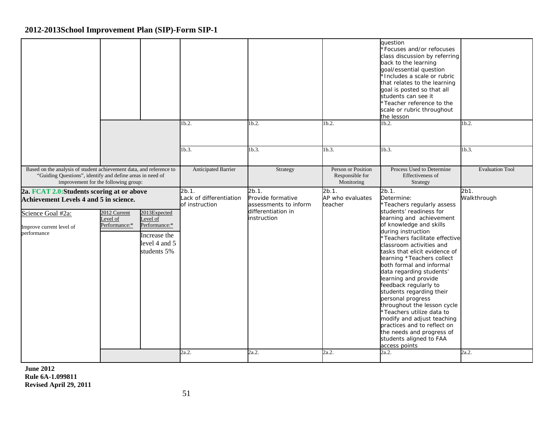|                                                                                                                                                                                                                                                                                                       |  |                                                       |                                                                                          |                                      |                                                                                                                                                                                                                                                                                                                                                                                                                                                                                                                                                                                                                                                    | question<br>*Focuses and/or refocuses<br>class discussion by referring<br>back to the learning<br>goal/essential question<br>*Includes a scale or rubric<br>that relates to the learning<br>goal is posted so that all<br>students can see it<br>*Teacher reference to the<br>scale or rubric throughout<br>the lesson |                           |
|-------------------------------------------------------------------------------------------------------------------------------------------------------------------------------------------------------------------------------------------------------------------------------------------------------|--|-------------------------------------------------------|------------------------------------------------------------------------------------------|--------------------------------------|----------------------------------------------------------------------------------------------------------------------------------------------------------------------------------------------------------------------------------------------------------------------------------------------------------------------------------------------------------------------------------------------------------------------------------------------------------------------------------------------------------------------------------------------------------------------------------------------------------------------------------------------------|------------------------------------------------------------------------------------------------------------------------------------------------------------------------------------------------------------------------------------------------------------------------------------------------------------------------|---------------------------|
|                                                                                                                                                                                                                                                                                                       |  |                                                       | $1b.2$ .<br>1b.3.                                                                        | 1 <sub>b.2</sub><br>1b.3.            | $1b.2$ .<br>1b.3.                                                                                                                                                                                                                                                                                                                                                                                                                                                                                                                                                                                                                                  | $1b.2$ .<br>$1b.3$ .                                                                                                                                                                                                                                                                                                   | 1 <sub>b.2</sub><br>1b.3. |
|                                                                                                                                                                                                                                                                                                       |  |                                                       |                                                                                          |                                      |                                                                                                                                                                                                                                                                                                                                                                                                                                                                                                                                                                                                                                                    |                                                                                                                                                                                                                                                                                                                        |                           |
| Based on the analysis of student achievement data, and reference to<br>"Guiding Questions", identify and define areas in need of<br>improvement for the following group:                                                                                                                              |  |                                                       | <b>Anticipated Barrier</b>                                                               | Strategy                             | Person or Position<br>Responsible for<br>Monitoring                                                                                                                                                                                                                                                                                                                                                                                                                                                                                                                                                                                                | Process Used to Determine<br>Effectiveness of<br>Strategy                                                                                                                                                                                                                                                              | <b>Evaluation Tool</b>    |
| 2a. FCAT 2.0: Students scoring at or above<br><b>Achievement Levels 4 and 5 in science.</b><br>2013Expected<br>2012 Current<br>Science Goal #2a:<br>Level of<br>Level of<br>Performance:*<br>Performance:*<br>Improve current level of<br>performance<br>Increase the<br>level 4 and 5<br>students 5% |  | $2b.1$ .<br>Lack of differentiation<br>of instruction | 2b.1.<br>Provide formative<br>assessments to inform<br>differentiation in<br>instruction | 2b.1.<br>AP who evaluates<br>teacher | 2b.1.<br>Determine:<br>*Teachers regularly assess<br>students' readiness for<br>learning and achievement<br>of knowledge and skills<br>during instruction<br>*Teachers facilitate effective<br>classroom activities and<br>tasks that elicit evidence of<br>learning *Teachers collect<br>both formal and informal<br>data regarding students'<br>learning and provide<br>feedback regularly to<br>students regarding their<br>personal progress<br>throughout the lesson cycle<br>*Teachers utilize data to<br>modify and adjust teaching<br>practices and to reflect on<br>the needs and progress of<br>students aligned to FAA<br>access points | 2b1.<br>Walkthrough                                                                                                                                                                                                                                                                                                    |                           |
|                                                                                                                                                                                                                                                                                                       |  |                                                       | 2a.2.                                                                                    | 2a.2.                                | 2a.2.                                                                                                                                                                                                                                                                                                                                                                                                                                                                                                                                                                                                                                              | 2a.2.                                                                                                                                                                                                                                                                                                                  | 2a.2.                     |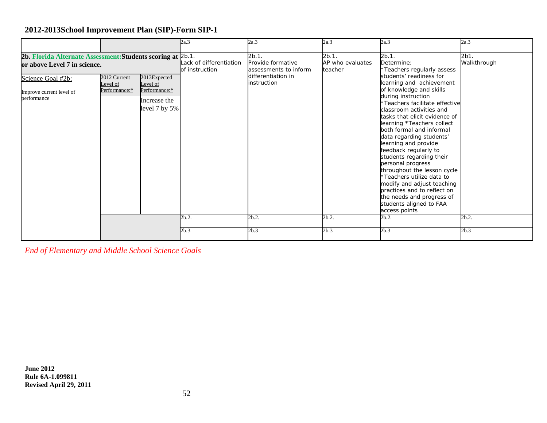|                                                                                                                                                                          |               |                                                     | 2a.3                                                                                               | 2a.3                                 | 2a.3                                                                                                     | 2a.3                                                                                                                                                                                                                                                                                                                                                                                                                                                                                                                                   | 2a.3  |
|--------------------------------------------------------------------------------------------------------------------------------------------------------------------------|---------------|-----------------------------------------------------|----------------------------------------------------------------------------------------------------|--------------------------------------|----------------------------------------------------------------------------------------------------------|----------------------------------------------------------------------------------------------------------------------------------------------------------------------------------------------------------------------------------------------------------------------------------------------------------------------------------------------------------------------------------------------------------------------------------------------------------------------------------------------------------------------------------------|-------|
| 2b. Florida Alternate Assessment: Students scoring at 2b.1.<br>or above Level 7 in science.<br>2013Expected<br>2012 Current<br>Science Goal #2b:<br>Level of<br>Level of |               | Lack of differentiation<br>of instruction           | $2b.1$ .<br>Provide formative<br>assessments to inform<br>differentiation in<br><i>instruction</i> | 2b.1.<br>AP who evaluates<br>teacher | 2b.1.<br>Determine:<br>*Teachers regularly assess<br>students' readiness for<br>learning and achievement | 2b1.<br>Walkthrough                                                                                                                                                                                                                                                                                                                                                                                                                                                                                                                    |       |
| Improve current level of<br>performance                                                                                                                                  | Performance:* | Performance:*<br>Increase the<br>level $7$ by $5\%$ |                                                                                                    |                                      |                                                                                                          | of knowledge and skills<br>during instruction<br>*Teachers facilitate effective<br>classroom activities and<br>tasks that elicit evidence of<br>learning *Teachers collect<br>both formal and informal<br>data regarding students'<br>learning and provide<br>feedback regularly to<br>students regarding their<br>personal progress<br>throughout the lesson cycle<br>*Teachers utilize data to<br>modify and adjust teaching<br>practices and to reflect on<br>the needs and progress of<br>students aligned to FAA<br>access points |       |
|                                                                                                                                                                          |               |                                                     | 2b.2.                                                                                              | 2b.2.                                | 2b.2.                                                                                                    | 2b.2.                                                                                                                                                                                                                                                                                                                                                                                                                                                                                                                                  | 2b.2. |
|                                                                                                                                                                          |               |                                                     | 2b.3                                                                                               | 2b.3                                 | 2b.3                                                                                                     | 2b.3                                                                                                                                                                                                                                                                                                                                                                                                                                                                                                                                   | 2b.3  |

*End of Elementary and Middle School Science Goals*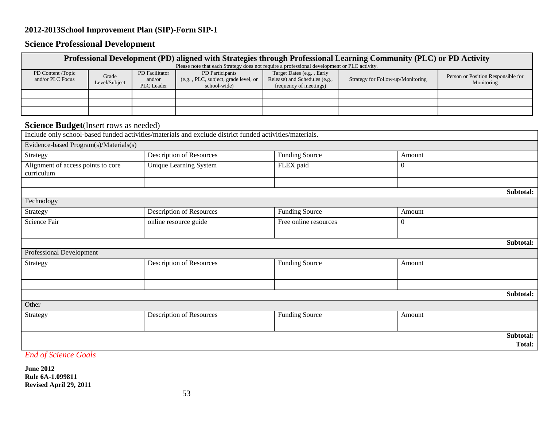# **Science Professional Development**

|                                                  |                        |                                               | Professional Development (PD) aligned with Strategies through Professional Learning Community (PLC) or PD Activity<br>Please note that each Strategy does not require a professional development or PLC activity. |                                                                                      |                                   |                          |                                                  |
|--------------------------------------------------|------------------------|-----------------------------------------------|-------------------------------------------------------------------------------------------------------------------------------------------------------------------------------------------------------------------|--------------------------------------------------------------------------------------|-----------------------------------|--------------------------|--------------------------------------------------|
| PD Content /Topic<br>and/or PLC Focus            | Grade<br>Level/Subject | PD Facilitator<br>and/or<br><b>PLC</b> Leader | PD Participants<br>(e.g., PLC, subject, grade level, or<br>school-wide)                                                                                                                                           | Target Dates (e.g., Early<br>Release) and Schedules (e.g.,<br>frequency of meetings) | Strategy for Follow-up/Monitoring |                          | Person or Position Responsible for<br>Monitoring |
|                                                  |                        |                                               |                                                                                                                                                                                                                   |                                                                                      |                                   |                          |                                                  |
|                                                  |                        |                                               |                                                                                                                                                                                                                   |                                                                                      |                                   |                          |                                                  |
| Science Budget(Insert rows as needed)            |                        |                                               |                                                                                                                                                                                                                   |                                                                                      |                                   |                          |                                                  |
|                                                  |                        |                                               | Include only school-based funded activities/materials and exclude district funded activities/materials.                                                                                                           |                                                                                      |                                   |                          |                                                  |
| Evidence-based Program(s)/Materials(s)           |                        |                                               |                                                                                                                                                                                                                   |                                                                                      |                                   |                          |                                                  |
| Strategy                                         |                        |                                               | <b>Description of Resources</b>                                                                                                                                                                                   | <b>Funding Source</b>                                                                |                                   | Amount                   |                                                  |
| Alignment of access points to core<br>curriculum |                        |                                               | <b>Unique Learning System</b>                                                                                                                                                                                     | FLEX paid                                                                            | $\theta$                          |                          |                                                  |
|                                                  |                        |                                               |                                                                                                                                                                                                                   |                                                                                      |                                   |                          |                                                  |
|                                                  |                        |                                               |                                                                                                                                                                                                                   |                                                                                      |                                   |                          | Subtotal:                                        |
| Technology                                       |                        |                                               |                                                                                                                                                                                                                   |                                                                                      |                                   |                          |                                                  |
| Strategy                                         |                        |                                               | <b>Description of Resources</b>                                                                                                                                                                                   | <b>Funding Source</b>                                                                |                                   | Amount<br>$\overline{0}$ |                                                  |
| Science Fair                                     |                        |                                               | online resource guide                                                                                                                                                                                             |                                                                                      | Free online resources             |                          |                                                  |
|                                                  |                        |                                               |                                                                                                                                                                                                                   |                                                                                      |                                   |                          |                                                  |
|                                                  |                        |                                               |                                                                                                                                                                                                                   |                                                                                      |                                   |                          | Subtotal:                                        |
| Professional Development                         |                        |                                               |                                                                                                                                                                                                                   |                                                                                      |                                   |                          |                                                  |
| Strategy                                         |                        |                                               | Description of Resources                                                                                                                                                                                          | <b>Funding Source</b>                                                                |                                   | Amount                   |                                                  |
|                                                  |                        |                                               |                                                                                                                                                                                                                   |                                                                                      |                                   |                          |                                                  |
|                                                  |                        |                                               |                                                                                                                                                                                                                   |                                                                                      |                                   |                          |                                                  |
|                                                  |                        |                                               |                                                                                                                                                                                                                   |                                                                                      |                                   |                          | Subtotal:                                        |
| Other                                            |                        |                                               |                                                                                                                                                                                                                   |                                                                                      |                                   |                          |                                                  |
| Strategy                                         |                        |                                               | <b>Description of Resources</b>                                                                                                                                                                                   | <b>Funding Source</b>                                                                |                                   | Amount                   |                                                  |
|                                                  |                        |                                               |                                                                                                                                                                                                                   |                                                                                      |                                   |                          |                                                  |
|                                                  |                        |                                               |                                                                                                                                                                                                                   |                                                                                      |                                   |                          | Subtotal:                                        |
|                                                  |                        |                                               |                                                                                                                                                                                                                   |                                                                                      |                                   |                          | <b>Total:</b>                                    |

*End of Science Goals*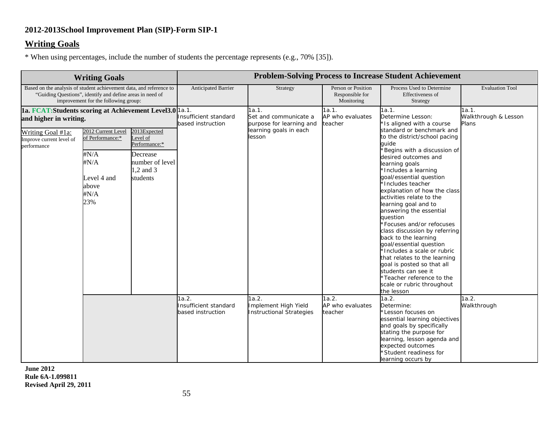## **Writing Goals**

\* When using percentages, include the number of students the percentage represents (e.g., 70% [35]).

|                                                                                                                                                                          | <b>Writing Goals</b>                                                                                             |                                                                                                  |                                                     | <b>Problem-Solving Process to Increase Student Achievement</b>                                 |                                                           |                                                                                                                                                                                                                                                                                                                                                                                                                                                                                                                                                                                                                                                                                                                          |                                        |  |
|--------------------------------------------------------------------------------------------------------------------------------------------------------------------------|------------------------------------------------------------------------------------------------------------------|--------------------------------------------------------------------------------------------------|-----------------------------------------------------|------------------------------------------------------------------------------------------------|-----------------------------------------------------------|--------------------------------------------------------------------------------------------------------------------------------------------------------------------------------------------------------------------------------------------------------------------------------------------------------------------------------------------------------------------------------------------------------------------------------------------------------------------------------------------------------------------------------------------------------------------------------------------------------------------------------------------------------------------------------------------------------------------------|----------------------------------------|--|
| Based on the analysis of student achievement data, and reference to<br>"Guiding Questions", identify and define areas in need of<br>improvement for the following group: |                                                                                                                  | Anticipated Barrier                                                                              | Strategy                                            | Person or Position<br>Responsible for<br>Monitoring                                            | Process Used to Determine<br>Effectiveness of<br>Strategy | <b>Evaluation Tool</b>                                                                                                                                                                                                                                                                                                                                                                                                                                                                                                                                                                                                                                                                                                   |                                        |  |
| 1a. FCAT: Students scoring at Achievement Level 3.0 1a.1.<br>and higher in writing.<br>Writing Goal #1a:<br>Improve current level of<br>performance                      | 2012 Current Level<br>of Performance:*<br>$\#N/A$<br>$\sharp N/A$<br>Level 4 and<br>above<br>$\sharp N/A$<br>23% | 2013Expected<br>evel of<br>Performance:*<br>Decrease<br>number of level<br>1,2 and 3<br>students | Insufficient standard<br>based instruction          | 1a.1.<br>Set and communicate a<br>purpose for learning and<br>learning goals in each<br>lesson | 1a.1.<br>AP who evaluates<br>teacher                      | 1a.1.<br>Determine Lesson:<br>*Is aligned with a course<br>standard or benchmark and<br>to the district/school pacing<br>quide<br>Begins with a discussion of<br>desired outcomes and<br>learning goals<br>*Includes a learning<br>goal/essential question<br>*Includes teacher<br>explanation of how the class<br>activities relate to the<br>learning goal and to<br>answering the essential<br>question<br>*Focuses and/or refocuses<br>class discussion by referring<br>back to the learning<br>goal/essential question<br>*Includes a scale or rubric<br>that relates to the learning<br>goal is posted so that all<br>students can see it<br>*Teacher reference to the<br>scale or rubric throughout<br>the lesson | 1a.1.<br>Walkthrough & Lesson<br>Plans |  |
|                                                                                                                                                                          |                                                                                                                  |                                                                                                  | 1a.2.<br>Insufficient standard<br>based instruction | 1a.2.<br>Implement High Yield<br><b>Instructional Strategies</b>                               | 1a.2.<br>AP who evaluates<br>teacher                      | 1a.2.<br>Determine:<br>*Lesson focuses on<br>essential learning objectives<br>and goals by specifically<br>stating the purpose for<br>learning, lesson agenda and<br>expected outcomes<br>*Student readiness for<br>learning occurs by                                                                                                                                                                                                                                                                                                                                                                                                                                                                                   | 1a.2.<br>Walkthrough                   |  |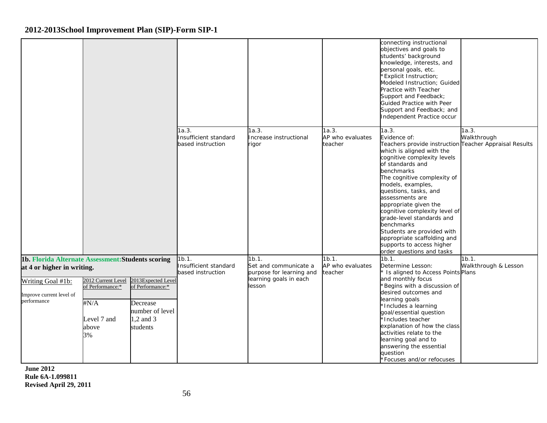|                                                                                  |                                                                           |                                                                                                |                                                     |                                                            |                                      | connecting instructional<br>objectives and goals to<br>students' background<br>knowledge, interests, and<br>personal goals, etc.<br>*Explicit Instruction;<br>Modeled Instruction; Guided<br>Practice with Teacher<br>Support and Feedback;<br><b>Guided Practice with Peer</b><br>Support and Feedback; and<br>Independent Practice occur                                                                                                                                                                |                               |
|----------------------------------------------------------------------------------|---------------------------------------------------------------------------|------------------------------------------------------------------------------------------------|-----------------------------------------------------|------------------------------------------------------------|--------------------------------------|-----------------------------------------------------------------------------------------------------------------------------------------------------------------------------------------------------------------------------------------------------------------------------------------------------------------------------------------------------------------------------------------------------------------------------------------------------------------------------------------------------------|-------------------------------|
|                                                                                  |                                                                           |                                                                                                | 1a.3.<br>Insufficient standard<br>based instruction | 1a.3.<br>Increase instructional<br>rigor                   | 1a.3.<br>AP who evaluates<br>teacher | 1a.3.<br>Evidence of:<br>Teachers provide instruction Teacher Appraisal Results<br>which is aligned with the<br>cognitive complexity levels<br>of standards and<br>benchmarks<br>The cognitive complexity of<br>models, examples,<br>questions, tasks, and<br>assessments are<br>appropriate given the<br>cognitive complexity level of<br>grade-level standards and<br>benchmarks<br>Students are provided with<br>appropriate scaffolding and<br>supports to access higher<br>order questions and tasks | 1a.3.<br>Walkthrough          |
| 1b. Florida Alternate Assessment: Students scoring<br>at 4 or higher in writing. |                                                                           |                                                                                                | 1b.1.<br>Insufficient standard<br>based instruction | 1b.1.<br>Set and communicate a<br>purpose for learning and | 1b.1.<br>AP who evaluates<br>teacher | 1b.1.<br>Determine Lesson:<br>Is aligned to Access Points Plans                                                                                                                                                                                                                                                                                                                                                                                                                                           | 1b.1.<br>Walkthrough & Lesson |
| Writing Goal #1b:<br>Improve current level of<br>performance                     | 2012 Current Level<br>of Performance:*<br>$\#N/A$<br>Level 7 and<br>above | 2013Expected Level<br>of Performance:*<br>Decrease<br>number of level<br>1,2 and 3<br>students |                                                     | learning goals in each<br>lesson                           |                                      | and monthly focus<br>*Begins with a discussion of<br>desired outcomes and<br>learning goals<br>Includes a learning<br>goal/essential question<br>Includes teacher<br>explanation of how the class                                                                                                                                                                                                                                                                                                         |                               |
|                                                                                  | 3%                                                                        |                                                                                                |                                                     |                                                            |                                      | activities relate to the<br>learning goal and to<br>answering the essential<br>question<br>*Focuses and/or refocuses                                                                                                                                                                                                                                                                                                                                                                                      |                               |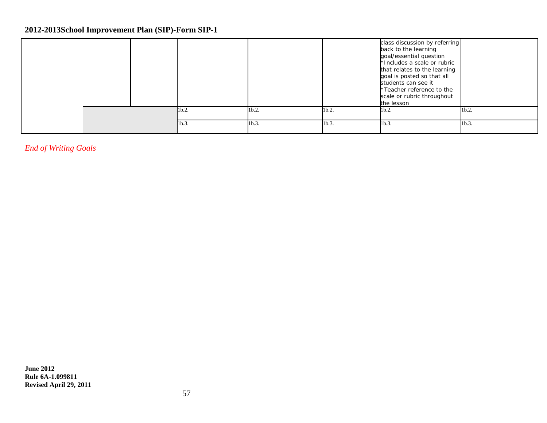|  |       |       |                  | class discussion by referring<br>back to the learning<br>goal/essential question<br>*Includes a scale or rubric<br>that relates to the learning<br>goal is posted so that all<br>students can see it<br>*Teacher reference to the<br>scale or rubric throughout<br>the lesson |                  |
|--|-------|-------|------------------|-------------------------------------------------------------------------------------------------------------------------------------------------------------------------------------------------------------------------------------------------------------------------------|------------------|
|  | 1b.2. | 1b.2. | $1b.2$ .         | 1b.2.                                                                                                                                                                                                                                                                         | $1b.2$ .         |
|  | 1b.3. | 1b.3. | 1 <sub>b.3</sub> | 1b.3.                                                                                                                                                                                                                                                                         | 1 <sub>b.3</sub> |

*End of Writing Goals*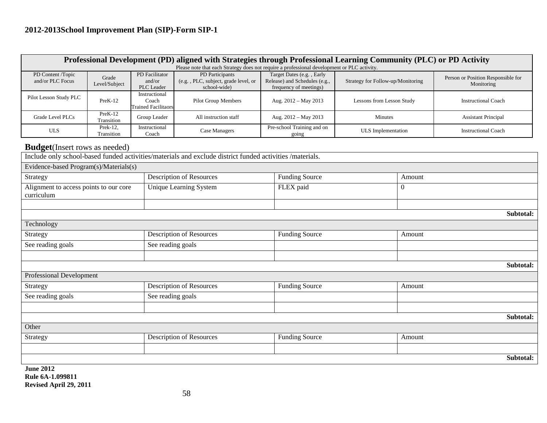|                                       | Professional Development (PD) aligned with Strategies through Professional Learning Community (PLC) or PD Activity |                                                      |                                                                        |                                                                                      |                                   |                                                  |  |  |  |  |  |
|---------------------------------------|--------------------------------------------------------------------------------------------------------------------|------------------------------------------------------|------------------------------------------------------------------------|--------------------------------------------------------------------------------------|-----------------------------------|--------------------------------------------------|--|--|--|--|--|
|                                       | Please note that each Strategy does not require a professional development or PLC activity.                        |                                                      |                                                                        |                                                                                      |                                   |                                                  |  |  |  |  |  |
| PD Content /Topic<br>and/or PLC Focus | Grade<br>Level/Subject                                                                                             | PD Facilitator<br>and/or<br>PLC Leader               | PD Participants<br>(e.g., PLC, subject, grade level, or<br>school-wide | Target Dates (e.g., Early<br>Release) and Schedules (e.g.,<br>frequency of meetings) | Strategy for Follow-up/Monitoring | Person or Position Responsible for<br>Monitoring |  |  |  |  |  |
| Pilot Lesson Study PLC                | $PreK-12$                                                                                                          | Instructional<br>Coach<br><b>Trained Facilitaors</b> | Pilot Group Members                                                    | Aug. $2012 - May 2013$                                                               | Lessons from Lesson Study         | <b>Instructional Coach</b>                       |  |  |  |  |  |
| Grade Level PLCs                      | $PreK-12$<br>Transition                                                                                            | Group Leader                                         | All instruction staff                                                  | Aug. $2012 - May 2013$                                                               | <b>Minutes</b>                    | <b>Assistant Principal</b>                       |  |  |  |  |  |
| <b>ULS</b>                            | Prek-12.<br>Transition                                                                                             | Instructional<br>Coach                               | Case Managers                                                          | Pre-school Training and on<br>going                                                  | ULS Implementation                | <b>Instructional Coach</b>                       |  |  |  |  |  |

## **Budget**(Insert rows as needed)

| Include only school-based funded activities/materials and exclude district funded activities /materials. |                                 |                       |          |           |
|----------------------------------------------------------------------------------------------------------|---------------------------------|-----------------------|----------|-----------|
| Evidence-based Program(s)/Materials(s)                                                                   |                                 |                       |          |           |
| Strategy                                                                                                 | <b>Description of Resources</b> | <b>Funding Source</b> | Amount   |           |
| Alignment to access points to our core<br>curriculum                                                     | <b>Unique Learning System</b>   | FLEX paid             | $\theta$ |           |
|                                                                                                          |                                 |                       |          | Subtotal: |
| Technology                                                                                               |                                 |                       |          |           |
| Strategy                                                                                                 | <b>Description of Resources</b> | <b>Funding Source</b> | Amount   |           |
| See reading goals                                                                                        | See reading goals               |                       |          |           |
|                                                                                                          |                                 |                       |          |           |
|                                                                                                          |                                 |                       |          | Subtotal: |
| Professional Development                                                                                 |                                 |                       |          |           |
| Strategy                                                                                                 | <b>Description of Resources</b> | <b>Funding Source</b> | Amount   |           |
| See reading goals                                                                                        | See reading goals               |                       |          |           |
|                                                                                                          |                                 |                       |          |           |
|                                                                                                          |                                 |                       |          | Subtotal: |
| Other                                                                                                    |                                 |                       |          |           |
| Strategy                                                                                                 | Description of Resources        | <b>Funding Source</b> | Amount   |           |
|                                                                                                          |                                 |                       |          |           |
|                                                                                                          |                                 |                       |          | Subtotal: |
| <b>June 2012</b><br>$D_{11}$ <sub>0</sub> $6A$ 1 000811                                                  |                                 |                       |          |           |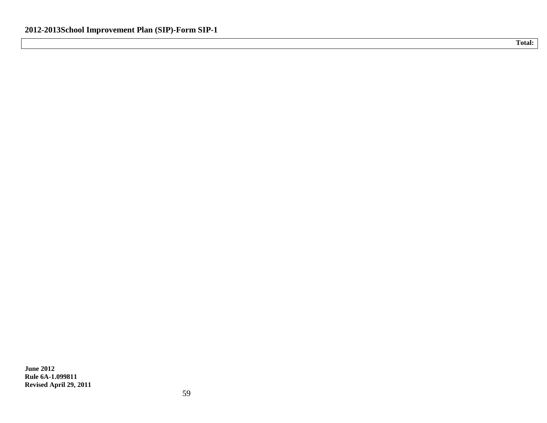**Total:**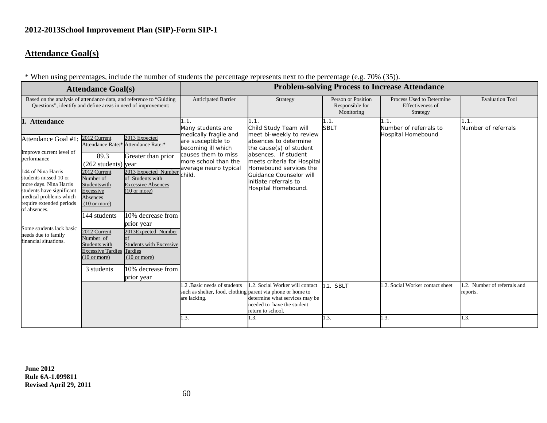### **Attendance Goal(s)**

\* When using percentages, include the number of students the percentage represents next to the percentage (e.g. 70% (35)).

| <b>Attendance Goal(s)</b>                                                                                                                                                                                                                                                                                                               |                                                                                                                                                                                                                                                                                       |                                                                                                                                                                                                                                                                                                                                        | <b>Problem-solving Process to Increase Attendance</b>                                                                                                                            |                                                                                                                                                                                                                                                                           |                                                     |                                                           |                                         |  |
|-----------------------------------------------------------------------------------------------------------------------------------------------------------------------------------------------------------------------------------------------------------------------------------------------------------------------------------------|---------------------------------------------------------------------------------------------------------------------------------------------------------------------------------------------------------------------------------------------------------------------------------------|----------------------------------------------------------------------------------------------------------------------------------------------------------------------------------------------------------------------------------------------------------------------------------------------------------------------------------------|----------------------------------------------------------------------------------------------------------------------------------------------------------------------------------|---------------------------------------------------------------------------------------------------------------------------------------------------------------------------------------------------------------------------------------------------------------------------|-----------------------------------------------------|-----------------------------------------------------------|-----------------------------------------|--|
| Based on the analysis of attendance data, and reference to "Guiding"<br>Questions", identify and define areas in need of improvement:                                                                                                                                                                                                   |                                                                                                                                                                                                                                                                                       |                                                                                                                                                                                                                                                                                                                                        | Anticipated Barrier                                                                                                                                                              | Strategy                                                                                                                                                                                                                                                                  | Person or Position<br>Responsible for<br>Monitoring | Process Used to Determine<br>Effectiveness of<br>Strategy | <b>Evaluation Tool</b>                  |  |
| 1. Attendance<br>Attendance Goal #1:<br>Improve current level of<br>performance<br>144 of Nina Harris<br>students missed 10 or<br>more days. Nina Harris<br>students have significant<br>medical problems which<br>require extended periods<br>of absences.<br>Some students lack basic<br>needs due to family<br>financial situations. | 2012 Current<br>89.3<br>(262 students) year<br>2012 Current<br>Number of<br>Studentswith<br>Excessive<br>Absences<br>$(10 \text{ or more})$<br>144 students<br>2012 Current<br>Number of<br>Students with<br><b>Excessive Tardies Tardies</b><br>$(10 \text{ or more})$<br>3 students | 2013 Expected<br>Attendance Rate:* Attendance Rate:*<br>Greater than prior<br>2013 Expected Number<br>of Students with<br><b>Excessive Absences</b><br>$(10 \text{ or more})$<br>10% decrease from<br>prior year<br>2013Expected Number<br><b>Students with Excessive</b><br>$(10 \text{ or more})$<br>10% decrease from<br>prior year | 1.1.<br>Many students are<br>medically fragile and<br>are susceptible to<br>becoming ill which<br>causes them to miss<br>more school than the<br>average neuro typical<br>child. | 1.1.<br>Child Study Team will<br>meet bi-weekly to review<br>absences to determine<br>the cause(s) of student<br>absences. If student<br>meets criteria for Hospital<br>Homebound services the<br>Guidance Counselor will<br>initiate referrals to<br>Hospital Homebound. | 1.1.<br><b>SBLT</b>                                 | 1.1.<br>Number of referrals to<br>Hospital Homebound      | 1.1.<br>Number of referrals             |  |
|                                                                                                                                                                                                                                                                                                                                         |                                                                                                                                                                                                                                                                                       |                                                                                                                                                                                                                                                                                                                                        | 1.2 Basic needs of students<br>such as shelter, food, clothing parent via phone or home to<br>are lacking.                                                                       | 1.2. Social Worker will contact<br>determine what services may be<br>needed to have the student<br>return to school.                                                                                                                                                      | 1.2. SBLT                                           | .2. Social Worker contact sheet                           | .2. Number of referrals and<br>reports. |  |
|                                                                                                                                                                                                                                                                                                                                         |                                                                                                                                                                                                                                                                                       |                                                                                                                                                                                                                                                                                                                                        | 1.3.                                                                                                                                                                             | 1.3.                                                                                                                                                                                                                                                                      | 1.3.                                                | L.3.                                                      | 1.3.                                    |  |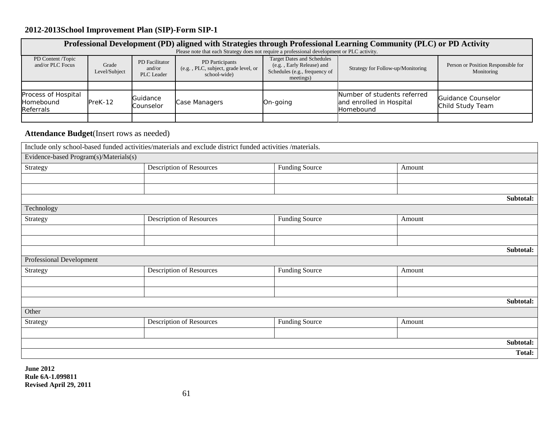|                                                                                             | Professional Development (PD) aligned with Strategies through Professional Learning Community (PLC) or PD Activity |                                        |                                                                         |                                                                                                              |                                                                             |                                                  |  |  |  |  |  |
|---------------------------------------------------------------------------------------------|--------------------------------------------------------------------------------------------------------------------|----------------------------------------|-------------------------------------------------------------------------|--------------------------------------------------------------------------------------------------------------|-----------------------------------------------------------------------------|--------------------------------------------------|--|--|--|--|--|
| Please note that each Strategy does not require a professional development or PLC activity. |                                                                                                                    |                                        |                                                                         |                                                                                                              |                                                                             |                                                  |  |  |  |  |  |
| PD Content /Topic<br>and/or PLC Focus                                                       | Grade<br>Level/Subject                                                                                             | PD Facilitator<br>and/or<br>PLC Leader | PD Participants<br>(e.g., PLC, subject, grade level, or<br>school-wide) | <b>Target Dates and Schedules</b><br>(e.g., Early Release) and<br>Schedules (e.g., frequency of<br>meetings) | Strategy for Follow-up/Monitoring                                           | Person or Position Responsible for<br>Monitoring |  |  |  |  |  |
|                                                                                             |                                                                                                                    |                                        |                                                                         |                                                                                                              |                                                                             |                                                  |  |  |  |  |  |
| Process of Hospital<br>Homebound<br>Referrals                                               | PreK-12                                                                                                            | Guidance<br>Counselor                  | Case Managers                                                           | On-going                                                                                                     | Number of students referred<br>and enrolled in Hospital<br><b>Homebound</b> | Guidance Counselor<br>Child Study Team           |  |  |  |  |  |
|                                                                                             |                                                                                                                    |                                        |                                                                         |                                                                                                              |                                                                             |                                                  |  |  |  |  |  |

### **Attendance Budget**(Insert rows as needed)

|                                        | Include only school-based funded activities/materials and exclude district funded activities /materials. |                       |        |           |
|----------------------------------------|----------------------------------------------------------------------------------------------------------|-----------------------|--------|-----------|
| Evidence-based Program(s)/Materials(s) |                                                                                                          |                       |        |           |
| Strategy                               | <b>Description of Resources</b>                                                                          | <b>Funding Source</b> | Amount |           |
|                                        |                                                                                                          |                       |        |           |
|                                        |                                                                                                          |                       |        |           |
|                                        |                                                                                                          |                       |        | Subtotal: |
| Technology                             |                                                                                                          |                       |        |           |
| Strategy                               | <b>Description of Resources</b>                                                                          | <b>Funding Source</b> | Amount |           |
|                                        |                                                                                                          |                       |        |           |
|                                        |                                                                                                          |                       |        |           |
|                                        |                                                                                                          |                       |        | Subtotal: |
| Professional Development               |                                                                                                          |                       |        |           |
| Strategy                               | <b>Description of Resources</b>                                                                          | <b>Funding Source</b> | Amount |           |
|                                        |                                                                                                          |                       |        |           |
|                                        |                                                                                                          |                       |        |           |
|                                        |                                                                                                          |                       |        | Subtotal: |
| Other                                  |                                                                                                          |                       |        |           |
| Strategy                               | <b>Description of Resources</b>                                                                          | <b>Funding Source</b> | Amount |           |
|                                        |                                                                                                          |                       |        |           |
|                                        |                                                                                                          |                       |        | Subtotal: |
|                                        |                                                                                                          |                       |        | Total:    |
|                                        |                                                                                                          |                       |        |           |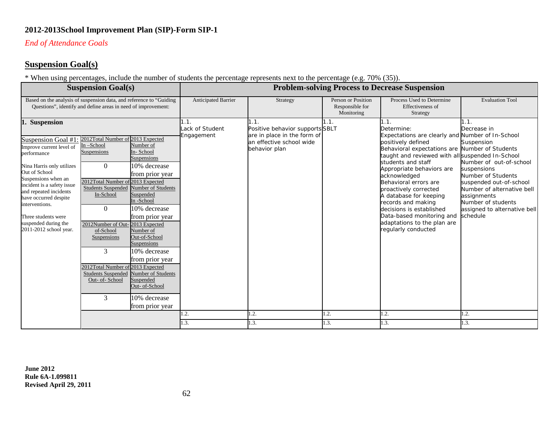*End of Attendance Goals*

## **Suspension Goal(s)**

\* When using percentages, include the number of students the percentage represents next to the percentage (e.g. 70% (35)).

|                                                                                                                                                                                                                                                                                                                                     | <b>Suspension Goal(s)</b>                                                                                                                                                                                                                                                                                                                                              |                                                                                                                                                                                                                                                                                          | <b>Problem-solving Process to Decrease Suspension</b> |                                                                                                                             |                                                     |                                                                                                                                                                                                                                                                                                                                                                                                                                                                                               |                                                                                                                                                                                                                                                     |
|-------------------------------------------------------------------------------------------------------------------------------------------------------------------------------------------------------------------------------------------------------------------------------------------------------------------------------------|------------------------------------------------------------------------------------------------------------------------------------------------------------------------------------------------------------------------------------------------------------------------------------------------------------------------------------------------------------------------|------------------------------------------------------------------------------------------------------------------------------------------------------------------------------------------------------------------------------------------------------------------------------------------|-------------------------------------------------------|-----------------------------------------------------------------------------------------------------------------------------|-----------------------------------------------------|-----------------------------------------------------------------------------------------------------------------------------------------------------------------------------------------------------------------------------------------------------------------------------------------------------------------------------------------------------------------------------------------------------------------------------------------------------------------------------------------------|-----------------------------------------------------------------------------------------------------------------------------------------------------------------------------------------------------------------------------------------------------|
| Based on the analysis of suspension data, and reference to "Guiding"                                                                                                                                                                                                                                                                | Questions", identify and define areas in need of improvement:                                                                                                                                                                                                                                                                                                          |                                                                                                                                                                                                                                                                                          | Anticipated Barrier                                   | Strategy                                                                                                                    | Person or Position<br>Responsible for<br>Monitoring | Process Used to Determine<br><b>Effectiveness of</b><br>Strategy                                                                                                                                                                                                                                                                                                                                                                                                                              | <b>Evaluation Tool</b>                                                                                                                                                                                                                              |
| <b>Suspension</b><br>Suspension Goal #1<br>Improve current level of<br>performance<br>Nina Harris only utilizes<br>Out of School<br>Suspensions when an<br>incident is a safety issue<br>and repeated incidents<br>have occurred despite<br>interventions.<br>Three students were<br>suspended during the<br>2011-2012 school year. | 2012Total Number of 2013 Expected<br>In-School<br>Suspensions<br>$\Omega$<br>2012Total Number of 2013 Expected<br>Students Suspended Number of Students<br>In-School<br>$\Omega$<br>2012Number of Out-2013 Expected<br>of-School<br>Suspensions<br>3<br>2012Total Number of 2013 Expected<br>Students Suspended Number of Students<br>Out- of-School<br>$\overline{3}$ | Number of<br>In-School<br>Suspensions<br>10% decrease<br>from prior year<br>Suspended<br>In -School<br>10% decrease<br>from prior year<br>Number of<br>Out-of-School<br>Suspensions<br>10% decrease<br>from prior year<br>Suspended<br>Out- of-School<br>10% decrease<br>from prior year | 1.1.<br>Lack of Student<br>Engagement<br>1.2.         | 1.1.<br>Positive behavior supports SBLT<br>are in place in the form of<br>an effective school wide<br>behavior plan<br>1.2. | 1.1.<br>1.2.                                        | 1.1.<br>Determine:<br>Expectations are clearly and Number of In-School<br>positively defined<br>Behavioral expectations are Number of Students<br>taught and reviewed with all suspended In-School<br>students and staff<br>Appropriate behaviors are<br>acknowledged<br>Behavioral errors are<br>proactively corrected<br>A database for keeping<br>records and making<br>decisions is established<br>Data-based monitoring and<br>adaptations to the plan are<br>regularly conducted<br>.2. | 1.1.<br>Decrease in<br>Suspension<br>Number of out-of-school<br>suspensions<br>Number of Students<br>suspended out-of-school<br>Number of alternative bell<br>assignments<br>Number of students<br>assigned to alternative bell<br>schedule<br>1.2. |
|                                                                                                                                                                                                                                                                                                                                     |                                                                                                                                                                                                                                                                                                                                                                        |                                                                                                                                                                                                                                                                                          | 1.3.                                                  | 1.3.                                                                                                                        | 1.3.                                                | 1.3.                                                                                                                                                                                                                                                                                                                                                                                                                                                                                          | 1.3.                                                                                                                                                                                                                                                |
|                                                                                                                                                                                                                                                                                                                                     |                                                                                                                                                                                                                                                                                                                                                                        |                                                                                                                                                                                                                                                                                          |                                                       |                                                                                                                             |                                                     |                                                                                                                                                                                                                                                                                                                                                                                                                                                                                               |                                                                                                                                                                                                                                                     |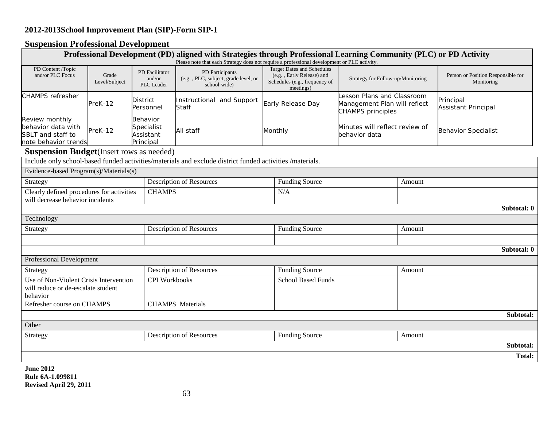# **Suspension Professional Development**

|                                                                                          |                        |                                                  | Professional Development (PD) aligned with Strategies through Professional Learning Community (PLC) or PD Activity |                                                                                                              |                                                                                       |        |                                                  |
|------------------------------------------------------------------------------------------|------------------------|--------------------------------------------------|--------------------------------------------------------------------------------------------------------------------|--------------------------------------------------------------------------------------------------------------|---------------------------------------------------------------------------------------|--------|--------------------------------------------------|
|                                                                                          |                        |                                                  | Please note that each Strategy does not require a professional development or PLC activity.                        |                                                                                                              |                                                                                       |        |                                                  |
| PD Content /Topic<br>and/or PLC Focus                                                    | Grade<br>Level/Subject | PD Facilitator<br>and/or<br>PLC Leader           | PD Participants<br>(e.g., PLC, subject, grade level, or<br>school-wide)                                            | <b>Target Dates and Schedules</b><br>(e.g., Early Release) and<br>Schedules (e.g., frequency of<br>meetings) | Strategy for Follow-up/Monitoring                                                     |        | Person or Position Responsible for<br>Monitoring |
| <b>CHAMPS</b> refresher                                                                  | PreK-12                | <b>District</b><br>Personnel                     | Instructional and Support<br><b>Staff</b>                                                                          | Early Release Day                                                                                            | esson Plans and Classroom<br>Management Plan will reflect<br><b>CHAMPS principles</b> |        | Principal<br><b>Assistant Principal</b>          |
| Review monthly<br>behavior data with<br>SBLT and staff to<br>note behavior trends        | PreK-12                | Behavior<br>Specialist<br>Assistant<br>Principal | All staff                                                                                                          | Monthly                                                                                                      | Minutes will reflect review of<br>behavior data                                       |        | <b>Behavior Specialist</b>                       |
| <b>Suspension Budget</b> (Insert rows as needed)                                         |                        |                                                  |                                                                                                                    |                                                                                                              |                                                                                       |        |                                                  |
|                                                                                          |                        |                                                  | Include only school-based funded activities/materials and exclude district funded activities /materials.           |                                                                                                              |                                                                                       |        |                                                  |
| Evidence-based Program(s)/Materials(s)                                                   |                        |                                                  |                                                                                                                    |                                                                                                              |                                                                                       |        |                                                  |
| Strategy                                                                                 |                        |                                                  | <b>Description of Resources</b>                                                                                    | <b>Funding Source</b>                                                                                        |                                                                                       | Amount |                                                  |
| Clearly defined procedures for activities<br>will decrease behavior incidents            |                        | <b>CHAMPS</b>                                    |                                                                                                                    | N/A                                                                                                          |                                                                                       |        |                                                  |
|                                                                                          |                        |                                                  |                                                                                                                    |                                                                                                              |                                                                                       |        | Subtotal: 0                                      |
| Technology                                                                               |                        |                                                  |                                                                                                                    |                                                                                                              |                                                                                       |        |                                                  |
| Strategy                                                                                 |                        |                                                  | <b>Description of Resources</b>                                                                                    | <b>Funding Source</b>                                                                                        |                                                                                       | Amount |                                                  |
|                                                                                          |                        |                                                  |                                                                                                                    |                                                                                                              |                                                                                       |        |                                                  |
|                                                                                          |                        |                                                  |                                                                                                                    |                                                                                                              |                                                                                       |        | Subtotal: 0                                      |
| <b>Professional Development</b>                                                          |                        |                                                  |                                                                                                                    |                                                                                                              |                                                                                       |        |                                                  |
| Strategy                                                                                 |                        |                                                  | <b>Description of Resources</b>                                                                                    | <b>Funding Source</b>                                                                                        |                                                                                       | Amount |                                                  |
| Use of Non-Violent Crisis Intervention<br>will reduce or de-escalate student<br>behavior |                        | <b>CPI</b> Workbooks                             |                                                                                                                    | <b>School Based Funds</b>                                                                                    |                                                                                       |        |                                                  |
| Refresher course on CHAMPS                                                               |                        |                                                  | <b>CHAMPS</b> Materials                                                                                            |                                                                                                              |                                                                                       |        |                                                  |
|                                                                                          |                        |                                                  |                                                                                                                    |                                                                                                              |                                                                                       |        | Subtotal:                                        |
| Other                                                                                    |                        |                                                  |                                                                                                                    |                                                                                                              |                                                                                       |        |                                                  |
| Strategy                                                                                 |                        |                                                  | <b>Description of Resources</b>                                                                                    | <b>Funding Source</b>                                                                                        |                                                                                       | Amount |                                                  |
|                                                                                          |                        |                                                  |                                                                                                                    |                                                                                                              |                                                                                       |        | Subtotal:                                        |
|                                                                                          |                        |                                                  |                                                                                                                    |                                                                                                              |                                                                                       |        | <b>Total:</b>                                    |
| <b>June 2012</b>                                                                         |                        |                                                  |                                                                                                                    |                                                                                                              |                                                                                       |        |                                                  |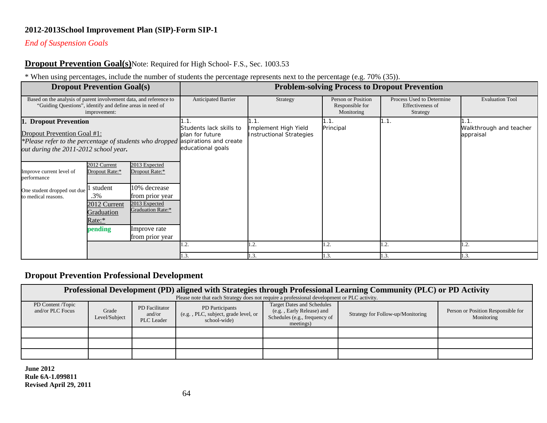*End of Suspension Goals*

#### **Dropout Prevention Goal(s)**Note: Required for High School- F.S., Sec. 1003.53

\* When using percentages, include the number of students the percentage represents next to the percentage (e.g. 70% (35)).

|                                                                                                                                 | <b>Dropout Prevention Goal(s)</b>                                                                   |                                                                                                                                             |                                                                                                                                                   |                                                                |                                                     | <b>Problem-solving Process to Dropout Prevention</b>      |                                      |
|---------------------------------------------------------------------------------------------------------------------------------|-----------------------------------------------------------------------------------------------------|---------------------------------------------------------------------------------------------------------------------------------------------|---------------------------------------------------------------------------------------------------------------------------------------------------|----------------------------------------------------------------|-----------------------------------------------------|-----------------------------------------------------------|--------------------------------------|
| Based on the analysis of parent involvement data, and reference to<br>"Guiding Questions", identify and define areas in need of | improvement:                                                                                        |                                                                                                                                             | Anticipated Barrier                                                                                                                               | Strategy                                                       | Person or Position<br>Responsible for<br>Monitoring | Process Used to Determine<br>Effectiveness of<br>Strategy | <b>Evaluation Tool</b>               |
| 1. Dropout Prevention<br>Dropout Prevention Goal #1:<br>out during the 2011-2012 school year.                                   |                                                                                                     |                                                                                                                                             | Students lack skills to<br>plan for future<br>*Please refer to the percentage of students who dropped aspirations and create<br>educational goals | 1.1<br>Implement High Yield<br><b>Instructional Strategies</b> | 1.1.<br>Principal                                   | 1.1.                                                      | Walkthrough and teacher<br>appraisal |
| Improve current level of<br>performance<br>One student dropped out due<br>to medical reasons.                                   | 2012 Current<br>Dropout Rate:*<br>student<br>.3%<br>2012 Current<br>Graduation<br>Rate:*<br>pending | 2013 Expected<br>Dropout Rate:*<br>10% decrease<br>from prior year<br>2013 Expected<br>Graduation Rate:*<br>Improve rate<br>from prior year |                                                                                                                                                   |                                                                |                                                     |                                                           |                                      |
|                                                                                                                                 |                                                                                                     |                                                                                                                                             | 1.2.                                                                                                                                              | 1.2.                                                           | $\cdot$ .                                           | 1.2.                                                      | 1.2.                                 |
|                                                                                                                                 |                                                                                                     |                                                                                                                                             | 1.3.                                                                                                                                              | 1.3.                                                           | 1.3.                                                | 1.3.                                                      | 1.3.                                 |

### **Dropout Prevention Professional Development**

|                                       | Professional Development (PD) aligned with Strategies through Professional Learning Community (PLC) or PD Activity |                                        |                                                                                             |                                                                                                              |                                   |                                                  |  |  |  |  |  |
|---------------------------------------|--------------------------------------------------------------------------------------------------------------------|----------------------------------------|---------------------------------------------------------------------------------------------|--------------------------------------------------------------------------------------------------------------|-----------------------------------|--------------------------------------------------|--|--|--|--|--|
|                                       |                                                                                                                    |                                        | Please note that each Strategy does not require a professional development or PLC activity. |                                                                                                              |                                   |                                                  |  |  |  |  |  |
| PD Content /Topic<br>and/or PLC Focus | Grade<br>Level/Subject                                                                                             | PD Facilitator<br>and/or<br>PLC Leader | PD Participants<br>(e.g., PLC, subject, grade level, or<br>school-wide                      | <b>Target Dates and Schedules</b><br>(e.g., Early Release) and<br>Schedules (e.g., frequency of<br>meetings) | Strategy for Follow-up/Monitoring | Person or Position Responsible for<br>Monitoring |  |  |  |  |  |
|                                       |                                                                                                                    |                                        |                                                                                             |                                                                                                              |                                   |                                                  |  |  |  |  |  |
|                                       |                                                                                                                    |                                        |                                                                                             |                                                                                                              |                                   |                                                  |  |  |  |  |  |
|                                       |                                                                                                                    |                                        |                                                                                             |                                                                                                              |                                   |                                                  |  |  |  |  |  |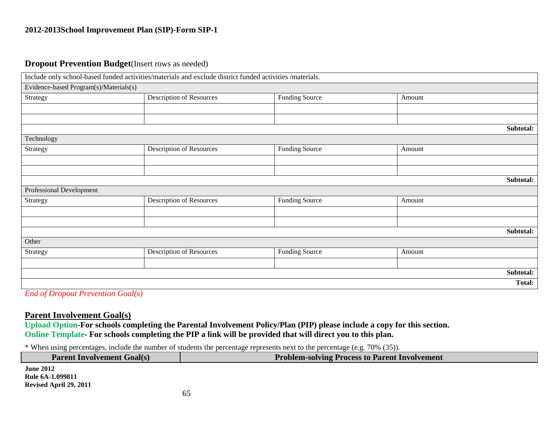#### **Dropout Prevention Budget**(Insert rows as needed)

|                                        | Include only school-based funded activities/materials and exclude district funded activities /materials. |                       |        |               |
|----------------------------------------|----------------------------------------------------------------------------------------------------------|-----------------------|--------|---------------|
| Evidence-based Program(s)/Materials(s) |                                                                                                          |                       |        |               |
| Strategy                               | Description of Resources                                                                                 | <b>Funding Source</b> | Amount |               |
|                                        |                                                                                                          |                       |        |               |
|                                        |                                                                                                          |                       |        |               |
|                                        |                                                                                                          |                       |        | Subtotal:     |
| Technology                             |                                                                                                          |                       |        |               |
| Strategy                               | Description of Resources                                                                                 | <b>Funding Source</b> | Amount |               |
|                                        |                                                                                                          |                       |        |               |
|                                        |                                                                                                          |                       |        |               |
|                                        |                                                                                                          |                       |        | Subtotal:     |
| Professional Development               |                                                                                                          |                       |        |               |
| Strategy                               | <b>Description of Resources</b>                                                                          | <b>Funding Source</b> | Amount |               |
|                                        |                                                                                                          |                       |        |               |
|                                        |                                                                                                          |                       |        |               |
|                                        |                                                                                                          |                       |        | Subtotal:     |
| Other                                  |                                                                                                          |                       |        |               |
| Strategy                               | <b>Description of Resources</b>                                                                          | <b>Funding Source</b> | Amount |               |
|                                        |                                                                                                          |                       |        |               |
|                                        |                                                                                                          |                       |        | Subtotal:     |
|                                        |                                                                                                          |                       |        | <b>Total:</b> |
|                                        |                                                                                                          |                       |        |               |

*End of Dropout Prevention Goal(s)*

#### **Parent Involvement Goal(s)**

**Upload Option-For schools completing the Parental Involvement Policy/Plan (PIP) please include a copy for this section. Online Template- For schools completing the PIP a link will be provided that will direct you to this plan.**

\* When using percentages, include the number of students the percentage represents next to the percentage (e.g. 70% (35)).

| <b>Parent Involvement Goal(s)</b> | <b>Problem-solving Process to Parent Involvement</b> |
|-----------------------------------|------------------------------------------------------|
| <b>June 2012</b>                  |                                                      |
| <b>Rule 6A-1.099811</b>           |                                                      |
| Revised April 29, 2011            |                                                      |
|                                   | $\epsilon$ $\epsilon$                                |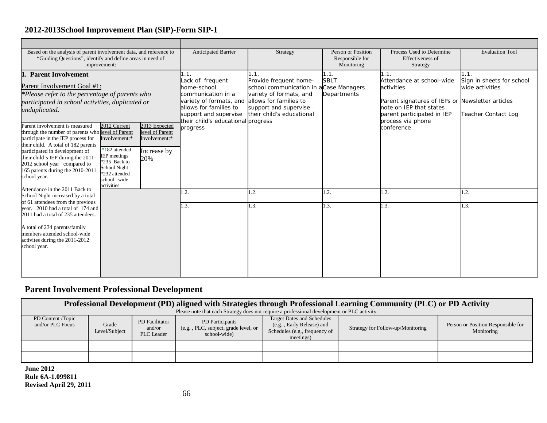| Based on the analysis of parent involvement data, and reference to<br>"Guiding Questions", identify and define areas in need of<br>improvement:                                                                                                                                                                                                                                                                                                                                                                                                                                                                                                                                                                                               |                                                                                                                                                                                                                      |                                                                                                                                                            | Anticipated Barrier                | Strategy                                                                                                                                                                                        | Person or Position<br>Responsible for<br>Monitoring                         | Process Used to Determine<br>Effectiveness of<br>Strategy | <b>Evaluation Tool</b> |
|-----------------------------------------------------------------------------------------------------------------------------------------------------------------------------------------------------------------------------------------------------------------------------------------------------------------------------------------------------------------------------------------------------------------------------------------------------------------------------------------------------------------------------------------------------------------------------------------------------------------------------------------------------------------------------------------------------------------------------------------------|----------------------------------------------------------------------------------------------------------------------------------------------------------------------------------------------------------------------|------------------------------------------------------------------------------------------------------------------------------------------------------------|------------------------------------|-------------------------------------------------------------------------------------------------------------------------------------------------------------------------------------------------|-----------------------------------------------------------------------------|-----------------------------------------------------------|------------------------|
| 1. Parent Involvement<br>Parent Involvement Goal #1:<br>*Please refer to the percentage of parents who<br>participated in school activities, duplicated or<br>unduplicated.<br>2012 Current<br>Parent involvement is measured<br>2013 Expected<br>level of Parent<br>through the number of parents who level of Parent<br>participate in the IEP process for<br>Involvement:*<br>Involvement:*<br>their child. A total of 182 parents<br>*182 attended<br>Increase by<br>participated in development of<br><b>IEP</b> meetings<br>their child's IEP during the 2011-<br>20%<br>*235 Back to<br>2012 school year compared to<br>School Night<br>165 parents during the 2010-2011<br>*232 attended<br>school year.<br>school-wide<br>activities | 1.1.<br>Lack of frequent<br>home-school<br>communication in a<br>variety of formats, and allows for families to<br>allows for families to<br>support and supervise<br>their child's educational progress<br>progress | 1.1.<br>Provide frequent home-<br>school communication in a Case Managers<br>variety of formats, and<br>support and supervise<br>their child's educational | 1.1.<br><b>SBLT</b><br>Departments | 1.1.<br>Attendance at school-wide<br>activities<br>Parent signatures of IEPs or Newsletter articles<br>note on IEP that states<br>parent participated in IEP<br>process via phone<br>conference | 1.1.<br>Sign in sheets for school<br>wide activities<br>Teacher Contact Log |                                                           |                        |
| Attendance in the 2011 Back to<br>School Night increased by a total                                                                                                                                                                                                                                                                                                                                                                                                                                                                                                                                                                                                                                                                           |                                                                                                                                                                                                                      |                                                                                                                                                            | 1.2.                               | $\overline{2}$ .                                                                                                                                                                                | 1.2.                                                                        | 1.2.                                                      | .2.                    |
| of 61 attendees from the previous<br>year. 2010 had a total of 174 and<br>2011 had a total of 235 attendees.<br>A total of 234 parents/family<br>members attended school-wide<br>activites during the 2011-2012<br>school year.                                                                                                                                                                                                                                                                                                                                                                                                                                                                                                               |                                                                                                                                                                                                                      | 1.3.                                                                                                                                                       | l.3.                               | 1.3.                                                                                                                                                                                            | 1.3.                                                                        | L3.                                                       |                        |

# **Parent Involvement Professional Development**

|                                       | Professional Development (PD) aligned with Strategies through Professional Learning Community (PLC) or PD Activity<br>Please note that each Strategy does not require a professional development or PLC activity. |                                               |                                                                        |                                                                                                              |                                   |                                                  |  |  |  |  |  |
|---------------------------------------|-------------------------------------------------------------------------------------------------------------------------------------------------------------------------------------------------------------------|-----------------------------------------------|------------------------------------------------------------------------|--------------------------------------------------------------------------------------------------------------|-----------------------------------|--------------------------------------------------|--|--|--|--|--|
| PD Content /Topic<br>and/or PLC Focus | Grade<br>Level/Subject                                                                                                                                                                                            | PD Facilitator<br>and/or<br><b>PLC</b> Leader | PD Participants<br>(e.g., PLC, subject, grade level, or<br>school-wide | <b>Target Dates and Schedules</b><br>(e.g., Early Release) and<br>Schedules (e.g., frequency of<br>meetings) | Strategy for Follow-up/Monitoring | Person or Position Responsible for<br>Monitoring |  |  |  |  |  |
|                                       |                                                                                                                                                                                                                   |                                               |                                                                        |                                                                                                              |                                   |                                                  |  |  |  |  |  |
|                                       |                                                                                                                                                                                                                   |                                               |                                                                        |                                                                                                              |                                   |                                                  |  |  |  |  |  |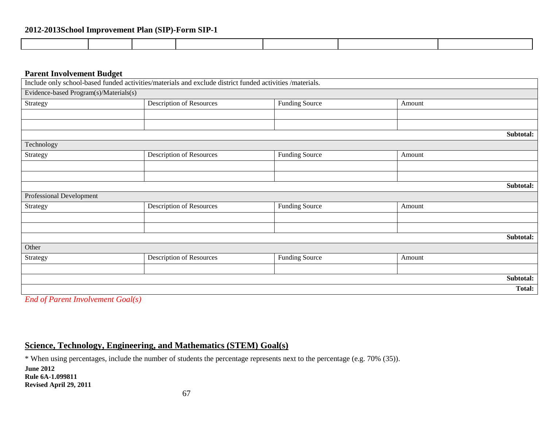#### **Parent Involvement Budget**

|                                        | $\mathbf{\circ}$<br>Include only school-based funded activities/materials and exclude district funded activities /materials. |                       |        |           |
|----------------------------------------|------------------------------------------------------------------------------------------------------------------------------|-----------------------|--------|-----------|
| Evidence-based Program(s)/Materials(s) |                                                                                                                              |                       |        |           |
| Strategy                               | <b>Description of Resources</b>                                                                                              | <b>Funding Source</b> | Amount |           |
|                                        |                                                                                                                              |                       |        |           |
|                                        |                                                                                                                              |                       |        |           |
|                                        |                                                                                                                              |                       |        | Subtotal: |
| Technology                             |                                                                                                                              |                       |        |           |
| Strategy                               | <b>Description of Resources</b>                                                                                              | <b>Funding Source</b> | Amount |           |
|                                        |                                                                                                                              |                       |        |           |
|                                        |                                                                                                                              |                       |        |           |
|                                        |                                                                                                                              |                       |        | Subtotal: |
| Professional Development               |                                                                                                                              |                       |        |           |
| Strategy                               | <b>Description of Resources</b>                                                                                              | <b>Funding Source</b> | Amount |           |
|                                        |                                                                                                                              |                       |        |           |
|                                        |                                                                                                                              |                       |        |           |
|                                        |                                                                                                                              |                       |        | Subtotal: |
| Other                                  |                                                                                                                              |                       |        |           |
| Strategy                               | <b>Description of Resources</b>                                                                                              | <b>Funding Source</b> | Amount |           |
|                                        |                                                                                                                              |                       |        |           |
|                                        |                                                                                                                              |                       |        | Subtotal: |
|                                        |                                                                                                                              |                       |        | Total:    |

*End of Parent Involvement Goal(s)*

### **Science, Technology, Engineering, and Mathematics (STEM) Goal(s)**

\* When using percentages, include the number of students the percentage represents next to the percentage (e.g. 70% (35)).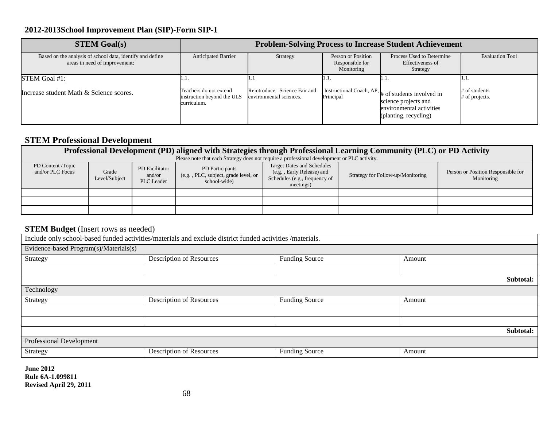| <b>STEM Goal(s)</b>                                                                        | <b>Problem-Solving Process to Increase Student Achievement</b>             |                                                         |                                                     |                                                                                                        |                                         |
|--------------------------------------------------------------------------------------------|----------------------------------------------------------------------------|---------------------------------------------------------|-----------------------------------------------------|--------------------------------------------------------------------------------------------------------|-----------------------------------------|
| Based on the analysis of school data, identify and define<br>areas in need of improvement: | Anticipated Barrier                                                        | Strategy                                                | Person or Position<br>Responsible for<br>Monitoring | Process Used to Determine<br>Effectiveness of<br>Strategy                                              | <b>Evaluation Tool</b>                  |
| <b>STEM Goal #1:</b><br>Increase student Math & Science scores.                            | 1.1<br>Teachers do not extend<br>instruction beyond the ULS<br>curriculum. | Reintroduce Science Fair and<br>environmental sciences. | H.I.<br>Instructional Coach, AP,<br>Principal       | # of students involved in<br>science projects and<br>environmental activities<br>(planting, recycling) | н.н.<br># of students<br># of projects. |

# **STEM Professional Development**

| Professional Development (PD) aligned with Strategies through Professional Learning Community (PLC) or PD Activity<br>Please note that each Strategy does not require a professional development or PLC activity. |                        |                                               |                                                                        |                                                                                                              |                                   |                                                  |  |  |  |
|-------------------------------------------------------------------------------------------------------------------------------------------------------------------------------------------------------------------|------------------------|-----------------------------------------------|------------------------------------------------------------------------|--------------------------------------------------------------------------------------------------------------|-----------------------------------|--------------------------------------------------|--|--|--|
| PD Content /Topic<br>and/or PLC Focus                                                                                                                                                                             | Grade<br>Level/Subject | PD Facilitator<br>and/or<br><b>PLC</b> Leader | PD Participants<br>(e.g., PLC, subject, grade level, or<br>school-wide | <b>Target Dates and Schedules</b><br>(e.g., Early Release) and<br>Schedules (e.g., frequency of<br>meetings) | Strategy for Follow-up/Monitoring | Person or Position Responsible for<br>Monitoring |  |  |  |
|                                                                                                                                                                                                                   |                        |                                               |                                                                        |                                                                                                              |                                   |                                                  |  |  |  |
|                                                                                                                                                                                                                   |                        |                                               |                                                                        |                                                                                                              |                                   |                                                  |  |  |  |
|                                                                                                                                                                                                                   |                        |                                               |                                                                        |                                                                                                              |                                   |                                                  |  |  |  |

#### **STEM Budget** (Insert rows as needed)

|                                        | Include only school-based funded activities/materials and exclude district funded activities /materials. |                       |        |           |
|----------------------------------------|----------------------------------------------------------------------------------------------------------|-----------------------|--------|-----------|
| Evidence-based Program(s)/Materials(s) |                                                                                                          |                       |        |           |
| Strategy                               | Description of Resources                                                                                 | <b>Funding Source</b> | Amount |           |
|                                        |                                                                                                          |                       |        |           |
|                                        |                                                                                                          |                       |        | Subtotal: |
| Technology                             |                                                                                                          |                       |        |           |
| Strategy                               | Description of Resources                                                                                 | <b>Funding Source</b> | Amount |           |
|                                        |                                                                                                          |                       |        |           |
|                                        |                                                                                                          |                       |        |           |
|                                        |                                                                                                          |                       |        | Subtotal: |
| Professional Development               |                                                                                                          |                       |        |           |
| Strategy                               | Description of Resources                                                                                 | <b>Funding Source</b> | Amount |           |
| $_{\text{Iuna}}$ 2012                  |                                                                                                          |                       |        |           |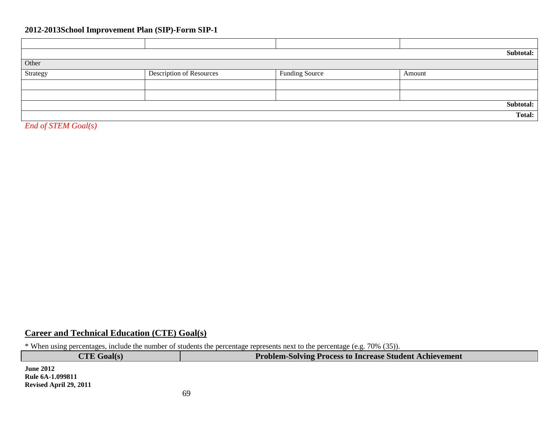|          |                                 |                       | Subtotal: |
|----------|---------------------------------|-----------------------|-----------|
| Other    |                                 |                       |           |
| Strategy | <b>Description of Resources</b> | <b>Funding Source</b> | Amount    |
|          |                                 |                       |           |
|          |                                 |                       |           |
|          |                                 |                       | Subtotal: |
|          |                                 |                       | Total:    |

*End of STEM Goal(s)*

### **Career and Technical Education (CTE) Goal(s)**

\* When using percentages, include the number of students the percentage represents next to the percentage (e.g. 70% (35)).

|   | Goal(s)          | <b>Problem-Solving Process to Increase Student Achievement</b> |
|---|------------------|----------------------------------------------------------------|
| . | <b>June 2012</b> |                                                                |

**Rule 6A-1.099811 Revised April 29, 2011**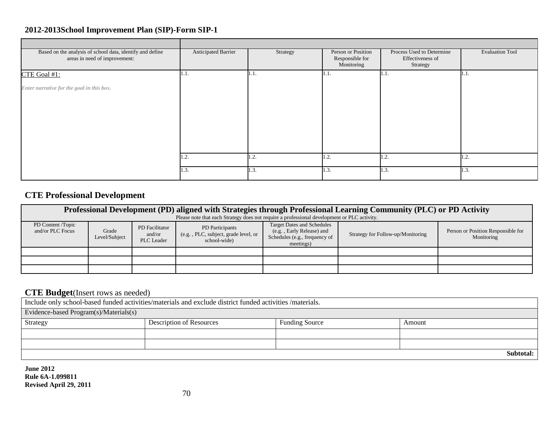| Based on the analysis of school data, identify and define | Anticipated Barrier | Strategy     | Person or Position            |                                                           |                        |
|-----------------------------------------------------------|---------------------|--------------|-------------------------------|-----------------------------------------------------------|------------------------|
| areas in need of improvement:                             |                     |              | Responsible for<br>Monitoring | Process Used to Determine<br>Effectiveness of<br>Strategy | <b>Evaluation Tool</b> |
| CTE Goal #1:<br>Enter narrative for the goal in this box. | 1.1.                | H.I.         | 1.1.                          | H.I.                                                      | H.I.                   |
|                                                           | 1.2.<br>1.3.        | 1.2.<br>1.3. | 1.2.<br>1.3.                  | 1.2.<br>1.3.                                              | 1.2.<br>1.3.           |

### **CTE Professional Development**

| Professional Development (PD) aligned with Strategies through Professional Learning Community (PLC) or PD Activity<br>Please note that each Strategy does not require a professional development or PLC activity. |                        |                                               |                                                                         |                                                                                                              |                                   |                                                  |  |  |  |
|-------------------------------------------------------------------------------------------------------------------------------------------------------------------------------------------------------------------|------------------------|-----------------------------------------------|-------------------------------------------------------------------------|--------------------------------------------------------------------------------------------------------------|-----------------------------------|--------------------------------------------------|--|--|--|
| PD Content /Topic<br>and/or PLC Focus                                                                                                                                                                             | Grade<br>Level/Subject | PD Facilitator<br>and/or<br><b>PLC</b> Leader | PD Participants<br>(e.g., PLC, subject, grade level, or<br>school-wide) | <b>Target Dates and Schedules</b><br>(e.g., Early Release) and<br>Schedules (e.g., frequency of<br>meetings) | Strategy for Follow-up/Monitoring | Person or Position Responsible for<br>Monitoring |  |  |  |
|                                                                                                                                                                                                                   |                        |                                               |                                                                         |                                                                                                              |                                   |                                                  |  |  |  |
|                                                                                                                                                                                                                   |                        |                                               |                                                                         |                                                                                                              |                                   |                                                  |  |  |  |
|                                                                                                                                                                                                                   |                        |                                               |                                                                         |                                                                                                              |                                   |                                                  |  |  |  |

#### **CTE Budget**(Insert rows as needed)

Include only school-based funded activities/materials and exclude district funded activities /materials.

Evidence-based Program(s)/Materials(s)

| Strategy | <b>Description of Resources</b> | <b>Funding Source</b> | Amount    |
|----------|---------------------------------|-----------------------|-----------|
|          |                                 |                       |           |
|          |                                 |                       |           |
|          |                                 |                       | Subtotal: |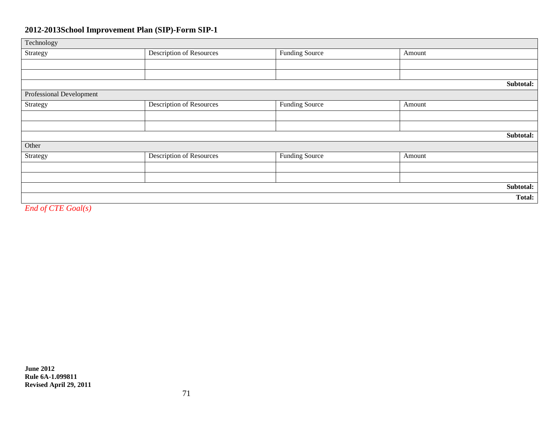| Technology               |                                 |                       |           |
|--------------------------|---------------------------------|-----------------------|-----------|
| Strategy                 | Description of Resources        | <b>Funding Source</b> | Amount    |
|                          |                                 |                       |           |
|                          |                                 |                       |           |
|                          |                                 |                       | Subtotal: |
| Professional Development |                                 |                       |           |
| Strategy                 | <b>Description of Resources</b> | <b>Funding Source</b> | Amount    |
|                          |                                 |                       |           |
|                          |                                 |                       |           |
|                          |                                 |                       | Subtotal: |
| Other                    |                                 |                       |           |
| Strategy                 | <b>Description of Resources</b> | <b>Funding Source</b> | Amount    |
|                          |                                 |                       |           |
|                          |                                 |                       |           |
|                          |                                 |                       | Subtotal: |
|                          |                                 |                       | Total:    |
| End of CTE Goal(s)       |                                 |                       |           |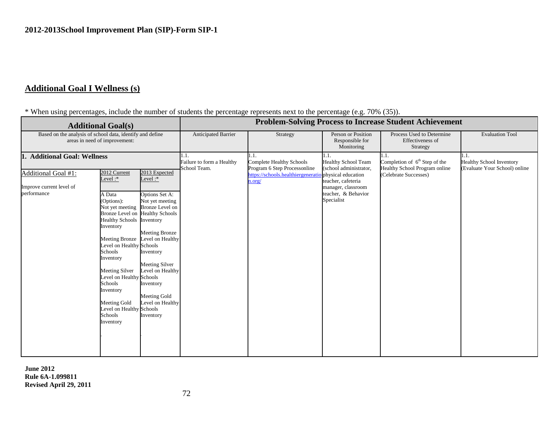## **Additional Goal I Wellness (s)**

| * When using percentages, include the number of students the percentage represents next to the percentage (e.g. 70% (35)). |  |
|----------------------------------------------------------------------------------------------------------------------------|--|
|                                                                                                                            |  |

|                                                                                                    | <b>Additional Goal(s)</b>                                                                                                                                                                                                                                        |                                                                                                                                 |                                                   |                                                                                                                 |                                                                                                                                                                     | <b>Problem-Solving Process to Increase Student Achievement</b>                                    |                                                                          |
|----------------------------------------------------------------------------------------------------|------------------------------------------------------------------------------------------------------------------------------------------------------------------------------------------------------------------------------------------------------------------|---------------------------------------------------------------------------------------------------------------------------------|---------------------------------------------------|-----------------------------------------------------------------------------------------------------------------|---------------------------------------------------------------------------------------------------------------------------------------------------------------------|---------------------------------------------------------------------------------------------------|--------------------------------------------------------------------------|
| Based on the analysis of school data, identify and define<br>areas in need of improvement:         |                                                                                                                                                                                                                                                                  | Anticipated Barrier                                                                                                             | Strategy                                          | Person or Position<br>Responsible for<br>Monitoring                                                             | Process Used to Determine<br>Effectiveness of<br>Strategy                                                                                                           | <b>Evaluation Tool</b>                                                                            |                                                                          |
| <b>Additional Goal: Wellness</b><br>Additional Goal #1:<br>Improve current level of<br>performance | 2012 Current<br>Level: $*$<br>A Data<br>(Options):<br>Not yet meeting Bronze Level on<br>Bronze Level on Healthy Schools<br><b>Healthy Schools Inventory</b><br>Inventory<br>Meeting Bronze Level on Healthy<br>Level on Healthy Schools<br>Schools<br>Inventory | 2013 Expected<br>Level: $*$<br>Options Set A:<br>Not yet meeting<br><b>Meeting Bronze</b><br>Inventory<br><b>Meeting Silver</b> | 1.1.<br>Failure to form a Healthy<br>School Team. | 1.1.<br>Complete Healthy Schools<br>Program 6 Step Processonline<br>https://schools.healthiergenerati<br>n.org/ | 1.1.<br><b>Healthy School Team</b><br>(school administrator,<br>physical education<br>teacher, cafeteria<br>manager, classroom<br>teacher, & Behavior<br>Specialist | 1.1.<br>Completion of $6th$ Step of the<br>Healthy School Program online<br>(Celebrate Successes) | 1.1.<br><b>Healthy School Inventory</b><br>(Evaluate Your School) online |
|                                                                                                    | <b>Meeting Silver</b><br>Level on Healthy Schools<br>Schools<br>Inventory<br>Meeting Gold<br>Level on Healthy Schools<br>Schools<br>Inventory                                                                                                                    | Level on Healthy<br>Inventory<br>Meeting Gold<br>Level on Healthy<br>Inventory                                                  |                                                   |                                                                                                                 |                                                                                                                                                                     |                                                                                                   |                                                                          |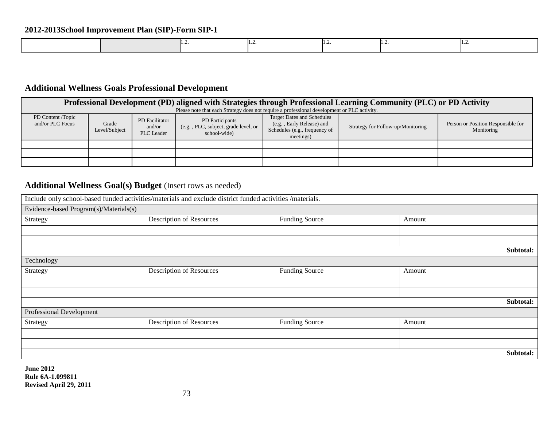### **Additional Wellness Goals Professional Development**

|                                       | Professional Development (PD) aligned with Strategies through Professional Learning Community (PLC) or PD Activity |                                               |                                                                                             |                                                                                                              |                                   |                                                  |  |  |  |  |  |  |
|---------------------------------------|--------------------------------------------------------------------------------------------------------------------|-----------------------------------------------|---------------------------------------------------------------------------------------------|--------------------------------------------------------------------------------------------------------------|-----------------------------------|--------------------------------------------------|--|--|--|--|--|--|
|                                       |                                                                                                                    |                                               | Please note that each Strategy does not require a professional development or PLC activity. |                                                                                                              |                                   |                                                  |  |  |  |  |  |  |
| PD Content /Topic<br>and/or PLC Focus | Grade<br>Level/Subject                                                                                             | PD Facilitator<br>and/or<br><b>PLC</b> Leader | PD Participants<br>(e.g., PLC, subject, grade level, or<br>school-wide                      | <b>Target Dates and Schedules</b><br>(e.g., Early Release) and<br>Schedules (e.g., frequency of<br>meetings) | Strategy for Follow-up/Monitoring | Person or Position Responsible for<br>Monitoring |  |  |  |  |  |  |
|                                       |                                                                                                                    |                                               |                                                                                             |                                                                                                              |                                   |                                                  |  |  |  |  |  |  |
|                                       |                                                                                                                    |                                               |                                                                                             |                                                                                                              |                                   |                                                  |  |  |  |  |  |  |
|                                       |                                                                                                                    |                                               |                                                                                             |                                                                                                              |                                   |                                                  |  |  |  |  |  |  |

#### Additional Wellness Goal(s) Budget (Insert rows as needed)

|                                        | Include only school-based funded activities/materials and exclude district funded activities /materials. |                       |        |           |
|----------------------------------------|----------------------------------------------------------------------------------------------------------|-----------------------|--------|-----------|
| Evidence-based Program(s)/Materials(s) |                                                                                                          |                       |        |           |
| Strategy                               | <b>Description of Resources</b>                                                                          | <b>Funding Source</b> | Amount |           |
|                                        |                                                                                                          |                       |        |           |
|                                        |                                                                                                          |                       |        |           |
|                                        |                                                                                                          |                       |        | Subtotal: |
| Technology                             |                                                                                                          |                       |        |           |
| Strategy                               | <b>Description of Resources</b>                                                                          | <b>Funding Source</b> | Amount |           |
|                                        |                                                                                                          |                       |        |           |
|                                        |                                                                                                          |                       |        |           |
|                                        |                                                                                                          |                       |        | Subtotal: |
| Professional Development               |                                                                                                          |                       |        |           |
| Strategy                               | <b>Description of Resources</b>                                                                          | <b>Funding Source</b> | Amount |           |
|                                        |                                                                                                          |                       |        |           |
|                                        |                                                                                                          |                       |        |           |
|                                        |                                                                                                          |                       |        | Subtotal: |
| $I_{\rm line}$ 2012                    |                                                                                                          |                       |        |           |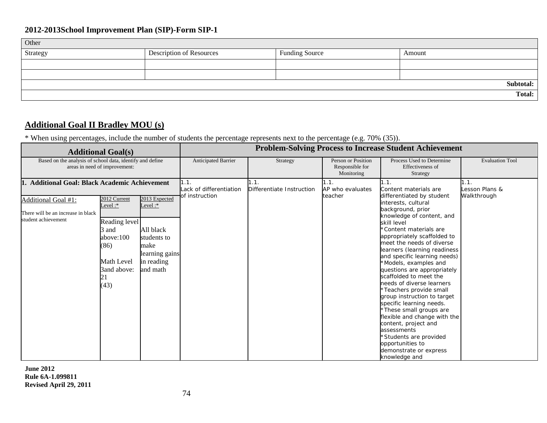| Other<br>Strategy | Description of Resources | <b>Funding Source</b> | Amount        |
|-------------------|--------------------------|-----------------------|---------------|
|                   |                          |                       |               |
|                   |                          |                       |               |
|                   |                          |                       | Subtotal:     |
|                   |                          |                       | <b>Total:</b> |

### **Additional Goal II Bradley MOU (s)**

\* When using percentages, include the number of students the percentage represents next to the percentage (e.g. 70% (35)).

|                                                                                            | <b>Additional Goal(s)</b>                                                                                            |                                                                                                            | <b>Problem-Solving Process to Increase Student Achievement</b> |                                   |                                                     |                                                                                                                                                                                                                                                                                                                                                                                                                                                                                                                                                                                                                                                                         |                        |
|--------------------------------------------------------------------------------------------|----------------------------------------------------------------------------------------------------------------------|------------------------------------------------------------------------------------------------------------|----------------------------------------------------------------|-----------------------------------|-----------------------------------------------------|-------------------------------------------------------------------------------------------------------------------------------------------------------------------------------------------------------------------------------------------------------------------------------------------------------------------------------------------------------------------------------------------------------------------------------------------------------------------------------------------------------------------------------------------------------------------------------------------------------------------------------------------------------------------------|------------------------|
| Based on the analysis of school data, identify and define<br>areas in need of improvement: |                                                                                                                      |                                                                                                            | Anticipated Barrier                                            | Strategy                          | Person or Position<br>Responsible for<br>Monitoring | Process Used to Determine<br>Effectiveness of<br>Strategy                                                                                                                                                                                                                                                                                                                                                                                                                                                                                                                                                                                                               | <b>Evaluation Tool</b> |
| 1. Additional Goal: Black Academic Achievement                                             |                                                                                                                      |                                                                                                            | 1.1.<br>Lack of differentiation                                | 1.1.<br>Differentiate Instruction | 1.1.<br>AP who evaluates                            | 1.1.<br>Content materials are                                                                                                                                                                                                                                                                                                                                                                                                                                                                                                                                                                                                                                           | 1.1.<br>Lesson Plans & |
| Additional Goal #1:<br>There will be an increase in black<br>student achievement           | 2012 Current<br>Level: $*$<br>Reading level<br>3 and<br>above:100<br>(86)<br>Math Level<br>3and above:<br>21<br>(43) | 2013 Expected<br>Level $:$<br>All black<br>students to<br>make<br>learning gains<br>in reading<br>and math | of instruction                                                 |                                   | teacher                                             | differentiated by student<br>interests, cultural<br>background, prior<br>knowledge of content, and<br>skill level<br>*Content materials are<br>appropriately scaffolded to<br>meet the needs of diverse<br>learners (learning readiness<br>and specific learning needs)<br>*Models, examples and<br>questions are appropriately<br>scaffolded to meet the<br>needs of diverse learners<br>*Teachers provide small<br>group instruction to target<br>specific learning needs.<br>*These small groups are<br>flexible and change with the<br>content, project and<br>assessments<br>'Students are provided<br>opportunities to<br>demonstrate or express<br>knowledge and | Walkthrough            |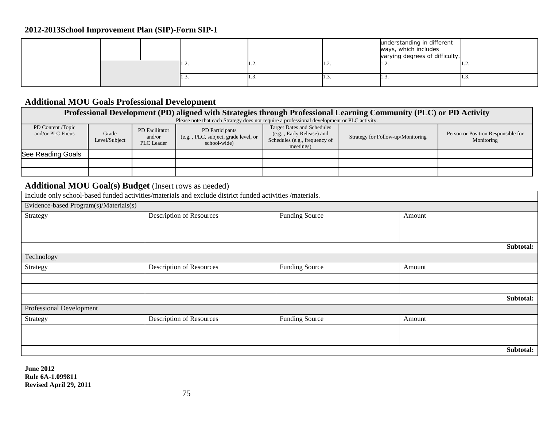|  |       |   |      | understanding in different<br>ways, which includes<br>varying degrees of difficulty. |      |
|--|-------|---|------|--------------------------------------------------------------------------------------|------|
|  | .     | . | .    | .                                                                                    | .    |
|  | 11.J. | . | 11.3 | 11.J.                                                                                | ن. د |

#### **Additional MOU Goals Professional Development**

|                                       | Professional Development (PD) aligned with Strategies through Professional Learning Community (PLC) or PD Activity |                                               |                                                                        |                                                                                                              |                                   |                                                  |  |  |  |  |  |  |
|---------------------------------------|--------------------------------------------------------------------------------------------------------------------|-----------------------------------------------|------------------------------------------------------------------------|--------------------------------------------------------------------------------------------------------------|-----------------------------------|--------------------------------------------------|--|--|--|--|--|--|
|                                       | Please note that each Strategy does not require a professional development or PLC activity.                        |                                               |                                                                        |                                                                                                              |                                   |                                                  |  |  |  |  |  |  |
| PD Content /Topic<br>and/or PLC Focus | Grade<br>Level/Subject                                                                                             | PD Facilitator<br>and/or<br><b>PLC</b> Leader | PD Participants<br>(e.g., PLC, subject, grade level, or<br>school-wide | <b>Target Dates and Schedules</b><br>(e.g., Early Release) and<br>Schedules (e.g., frequency of<br>meetings) | Strategy for Follow-up/Monitoring | Person or Position Responsible for<br>Monitoring |  |  |  |  |  |  |
| See Reading Goals                     |                                                                                                                    |                                               |                                                                        |                                                                                                              |                                   |                                                  |  |  |  |  |  |  |
|                                       |                                                                                                                    |                                               |                                                                        |                                                                                                              |                                   |                                                  |  |  |  |  |  |  |
|                                       |                                                                                                                    |                                               |                                                                        |                                                                                                              |                                   |                                                  |  |  |  |  |  |  |

## **Additional MOU Goal(s) Budget** (Insert rows as needed)

|                                        | Include only school-based funded activities/materials and exclude district funded activities /materials. |                       |        |           |  |  |  |  |
|----------------------------------------|----------------------------------------------------------------------------------------------------------|-----------------------|--------|-----------|--|--|--|--|
| Evidence-based Program(s)/Materials(s) |                                                                                                          |                       |        |           |  |  |  |  |
| Strategy                               | <b>Description of Resources</b>                                                                          | <b>Funding Source</b> | Amount |           |  |  |  |  |
|                                        |                                                                                                          |                       |        |           |  |  |  |  |
|                                        |                                                                                                          |                       |        |           |  |  |  |  |
|                                        |                                                                                                          |                       |        | Subtotal: |  |  |  |  |
| Technology                             |                                                                                                          |                       |        |           |  |  |  |  |
| Strategy                               | Description of Resources                                                                                 | <b>Funding Source</b> | Amount |           |  |  |  |  |
|                                        |                                                                                                          |                       |        |           |  |  |  |  |
|                                        |                                                                                                          |                       |        |           |  |  |  |  |
|                                        |                                                                                                          |                       |        | Subtotal: |  |  |  |  |
| Professional Development               |                                                                                                          |                       |        |           |  |  |  |  |
| Strategy                               | <b>Description of Resources</b>                                                                          | <b>Funding Source</b> | Amount |           |  |  |  |  |
|                                        |                                                                                                          |                       |        |           |  |  |  |  |
|                                        |                                                                                                          |                       |        |           |  |  |  |  |
|                                        | Subtotal:                                                                                                |                       |        |           |  |  |  |  |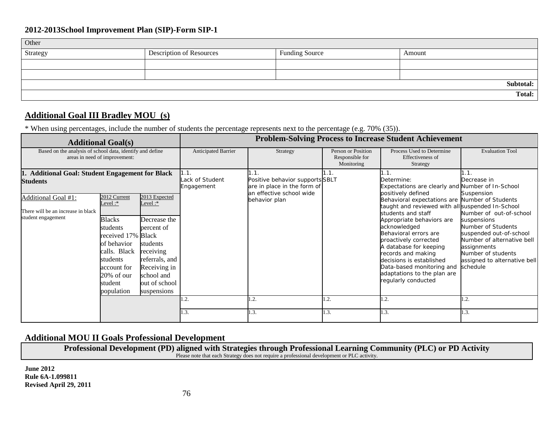| Other    |                                 |                       |               |
|----------|---------------------------------|-----------------------|---------------|
| Strategy | <b>Description of Resources</b> | <b>Funding Source</b> | Amount        |
|          |                                 |                       |               |
|          |                                 |                       |               |
|          |                                 |                       | Subtotal:     |
|          |                                 |                       | <b>Total:</b> |

### **Additional Goal III Bradley MOU (s)**

\* When using percentages, include the number of students the percentage represents next to the percentage (e.g. 70% (35)).

|                                                            | <b>Additional Goal(s)</b>     | <b>Problem-Solving Process to Increase Student Achievement</b> |                            |                                           |                                       |                                                                        |                                           |
|------------------------------------------------------------|-------------------------------|----------------------------------------------------------------|----------------------------|-------------------------------------------|---------------------------------------|------------------------------------------------------------------------|-------------------------------------------|
| Based on the analysis of school data, identify and define  | areas in need of improvement: |                                                                | <b>Anticipated Barrier</b> | Strategy                                  | Person or Position<br>Responsible for | Process Used to Determine<br>Effectiveness of                          | <b>Evaluation Tool</b>                    |
|                                                            |                               |                                                                |                            |                                           | Monitoring                            | Strategy                                                               |                                           |
| <b>Additional Goal: Student Engagement for Black</b><br>1. |                               |                                                                | 1.1.<br>Lack of Student    | 1.1.<br>Positive behavior supports SBLT   | 1.1.                                  | 1.1.<br>Determine:                                                     | Decrease in                               |
| <b>Students</b>                                            |                               |                                                                | Engagement                 | are in place in the form of               |                                       | Expectations are clearly and Number of In-School                       |                                           |
| <b>Additional Goal #1:</b>                                 | 2012 Current<br>Level: $*$    | 2013 Expected<br>Level: $*$                                    |                            | an effective school wide<br>behavior plan |                                       | positively defined<br>Behavioral expectations are Number of Students   | Suspension                                |
| There will be an increase in black<br>student engagement   |                               |                                                                |                            |                                           |                                       | taught and reviewed with all suspended In-School<br>students and staff | Number of out-of-school                   |
|                                                            | <b>Blacks</b><br>students     | Decrease the<br>percent of                                     |                            |                                           |                                       | Appropriate behaviors are<br>acknowledged                              | suspensions<br>Number of Students         |
|                                                            | received 17% Black            |                                                                |                            |                                           |                                       | Behavioral errors are                                                  | suspended out-of-school                   |
|                                                            | of behavior                   | students                                                       |                            |                                           |                                       | proactively corrected<br>A database for keeping                        | Number of alternative bell<br>assignments |
|                                                            | calls. Black                  | receiving                                                      |                            |                                           |                                       | records and making                                                     | Number of students                        |
|                                                            | students<br>account for       | referrals, and<br>Receiving in                                 |                            |                                           |                                       | decisions is established<br>Data-based monitoring and                  | assigned to alternative bell<br>schedule  |
|                                                            | 20% of our                    | school and                                                     |                            |                                           |                                       | adaptations to the plan are                                            |                                           |
|                                                            | student                       | out of school                                                  |                            |                                           |                                       | regularly conducted                                                    |                                           |
|                                                            | population                    | suspensions                                                    |                            |                                           |                                       |                                                                        |                                           |
|                                                            |                               |                                                                | 1.2.                       | 1.2.                                      | 1.2.                                  | 1.2.                                                                   | 1.2.                                      |
|                                                            |                               |                                                                | 1.3.                       | 1.3.                                      | 1.3.                                  | $\mathbf{1.3}.$                                                        | 1.3.                                      |

#### **Additional MOU II Goals Professional Development**

**Professional Development (PD) aligned with Strategies through Professional Learning Community (PLC) or PD Activity** Please note that each Strategy does not require a professional development or PLC activity.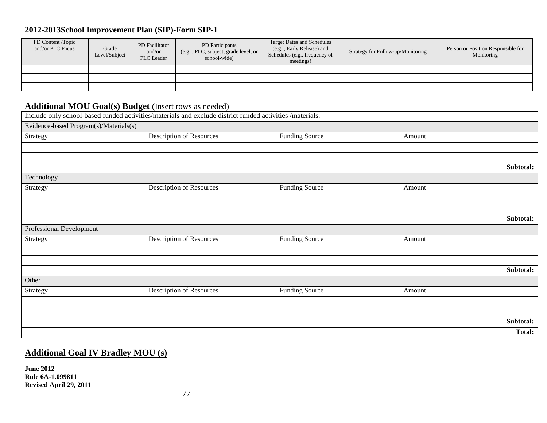| PD Content /Topic<br>and/or PLC Focus | Grade<br>Level/Subject | PD Facilitator<br>and/or<br>PLC Leader | PD Participants<br>(e.g., PLC, subject, grade level, or<br>school-wide | <b>Target Dates and Schedules</b><br>(e.g., Early Release) and<br>Schedules (e.g., frequency of<br>meetings) | Strategy for Follow-up/Monitoring | Person or Position Responsible for<br>Monitoring |
|---------------------------------------|------------------------|----------------------------------------|------------------------------------------------------------------------|--------------------------------------------------------------------------------------------------------------|-----------------------------------|--------------------------------------------------|
|                                       |                        |                                        |                                                                        |                                                                                                              |                                   |                                                  |
|                                       |                        |                                        |                                                                        |                                                                                                              |                                   |                                                  |
|                                       |                        |                                        |                                                                        |                                                                                                              |                                   |                                                  |

#### **Additional MOU Goal(s) Budget** (Insert rows as needed)

|                                        | Include only school-based funded activities/materials and exclude district funded activities /materials. |                       |        |           |  |  |  |
|----------------------------------------|----------------------------------------------------------------------------------------------------------|-----------------------|--------|-----------|--|--|--|
| Evidence-based Program(s)/Materials(s) |                                                                                                          |                       |        |           |  |  |  |
| Strategy                               | <b>Description of Resources</b>                                                                          | <b>Funding Source</b> | Amount |           |  |  |  |
|                                        |                                                                                                          |                       |        |           |  |  |  |
|                                        |                                                                                                          |                       |        |           |  |  |  |
|                                        |                                                                                                          |                       |        | Subtotal: |  |  |  |
| Technology                             |                                                                                                          |                       |        |           |  |  |  |
| Strategy                               | <b>Description of Resources</b>                                                                          | <b>Funding Source</b> | Amount |           |  |  |  |
|                                        |                                                                                                          |                       |        |           |  |  |  |
|                                        |                                                                                                          |                       |        |           |  |  |  |
|                                        |                                                                                                          |                       |        | Subtotal: |  |  |  |
| Professional Development               |                                                                                                          |                       |        |           |  |  |  |
| Strategy                               | <b>Description of Resources</b>                                                                          | <b>Funding Source</b> | Amount |           |  |  |  |
|                                        |                                                                                                          |                       |        |           |  |  |  |
|                                        |                                                                                                          |                       |        |           |  |  |  |
|                                        |                                                                                                          |                       |        | Subtotal: |  |  |  |
| Other                                  |                                                                                                          |                       |        |           |  |  |  |
| Strategy                               | <b>Description of Resources</b>                                                                          | <b>Funding Source</b> | Amount |           |  |  |  |
|                                        |                                                                                                          |                       |        |           |  |  |  |
|                                        |                                                                                                          |                       |        |           |  |  |  |
|                                        |                                                                                                          |                       |        | Subtotal: |  |  |  |
|                                        | <b>Total:</b>                                                                                            |                       |        |           |  |  |  |

# **Additional Goal IV Bradley MOU (s)**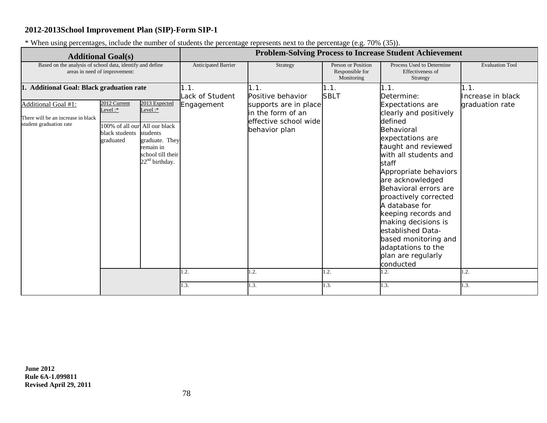\* When using percentages, include the number of students the percentage represents next to the percentage (e.g. 70% (35)).

|                                                                                            | <b>Additional Goal(s)</b>                                                                  |                                                                                                                 |                         |                                                                                      | <b>Problem-Solving Process to Increase Student Achievement</b> |                                                                                                                                                                                                                                                                                                                                                                                                                              |                           |
|--------------------------------------------------------------------------------------------|--------------------------------------------------------------------------------------------|-----------------------------------------------------------------------------------------------------------------|-------------------------|--------------------------------------------------------------------------------------|----------------------------------------------------------------|------------------------------------------------------------------------------------------------------------------------------------------------------------------------------------------------------------------------------------------------------------------------------------------------------------------------------------------------------------------------------------------------------------------------------|---------------------------|
| Based on the analysis of school data, identify and define<br>areas in need of improvement: |                                                                                            | <b>Anticipated Barrier</b>                                                                                      | Strategy                | Person or Position<br>Responsible for<br>Monitoring                                  | Process Used to Determine<br>Effectiveness of<br>Strategy      | <b>Evaluation Tool</b>                                                                                                                                                                                                                                                                                                                                                                                                       |                           |
| <b>Additional Goal: Black graduation rate</b><br>1.                                        |                                                                                            |                                                                                                                 | 1.1.<br>Lack of Student | 1.1.<br>Positive behavior                                                            | 1.1.<br><b>SBLT</b>                                            | 1.1.<br>Determine:                                                                                                                                                                                                                                                                                                                                                                                                           | 1.1.<br>Increase in black |
| Additional Goal #1:<br>There will be an increase in black<br>student graduation rate       | 2012 Current<br>Level: $*$<br>100% of all our All our black<br>black students<br>graduated | 2013 Expected<br>Level: $*$<br>students<br>graduate. They<br>remain in<br>school till their<br>$22nd$ birthday. | Engagement              | supports are in place<br>in the form of an<br>effective school wide<br>behavior plan |                                                                | <b>Expectations are</b><br>clearly and positively<br>defined<br>Behavioral<br>expectations are<br>taught and reviewed<br>with all students and<br>staff<br>Appropriate behaviors<br>are acknowledged<br>Behavioral errors are<br>proactively corrected<br>A database for<br>keeping records and<br>making decisions is<br>established Data-<br>based monitoring and<br>adaptations to the<br>plan are regularly<br>conducted | graduation rate           |
|                                                                                            |                                                                                            |                                                                                                                 | 1.2.                    | 1.2.                                                                                 | 1.2.                                                           | $\cdot$ .                                                                                                                                                                                                                                                                                                                                                                                                                    | 1.2.                      |
|                                                                                            |                                                                                            |                                                                                                                 | 1.3.                    | 1.3.                                                                                 | 1.3.                                                           | 1.3.                                                                                                                                                                                                                                                                                                                                                                                                                         | 1.3.                      |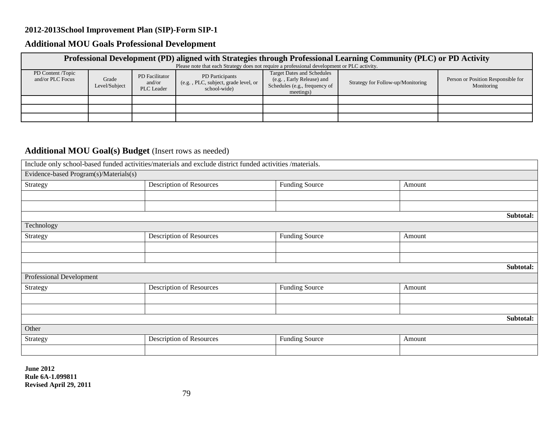## **Additional MOU Goals Professional Development**

|                                       | Professional Development (PD) aligned with Strategies through Professional Learning Community (PLC) or PD Activity<br>Please note that each Strategy does not require a professional development or PLC activity. |                                        |                                                                         |                                                                                                              |                                   |                                                  |  |
|---------------------------------------|-------------------------------------------------------------------------------------------------------------------------------------------------------------------------------------------------------------------|----------------------------------------|-------------------------------------------------------------------------|--------------------------------------------------------------------------------------------------------------|-----------------------------------|--------------------------------------------------|--|
| PD Content /Topic<br>and/or PLC Focus | Grade<br>Level/Subject                                                                                                                                                                                            | PD Facilitator<br>and/or<br>PLC Leader | PD Participants<br>(e.g., PLC, subject, grade level, or<br>school-wide) | <b>Target Dates and Schedules</b><br>(e.g., Early Release) and<br>Schedules (e.g., frequency of<br>meetings) | Strategy for Follow-up/Monitoring | Person or Position Responsible for<br>Monitoring |  |
|                                       |                                                                                                                                                                                                                   |                                        |                                                                         |                                                                                                              |                                   |                                                  |  |
|                                       |                                                                                                                                                                                                                   |                                        |                                                                         |                                                                                                              |                                   |                                                  |  |
|                                       |                                                                                                                                                                                                                   |                                        |                                                                         |                                                                                                              |                                   |                                                  |  |

## **Additional MOU Goal(s) Budget** (Insert rows as needed)

|                                        | Include only school-based funded activities/materials and exclude district funded activities /materials. |                       |           |
|----------------------------------------|----------------------------------------------------------------------------------------------------------|-----------------------|-----------|
| Evidence-based Program(s)/Materials(s) |                                                                                                          |                       |           |
| Strategy                               | Description of Resources                                                                                 | <b>Funding Source</b> | Amount    |
|                                        |                                                                                                          |                       |           |
|                                        |                                                                                                          |                       |           |
|                                        |                                                                                                          |                       | Subtotal: |
| Technology                             |                                                                                                          |                       |           |
| Strategy                               | <b>Description of Resources</b>                                                                          | <b>Funding Source</b> | Amount    |
|                                        |                                                                                                          |                       |           |
|                                        |                                                                                                          |                       |           |
|                                        |                                                                                                          |                       | Subtotal: |
| Professional Development               |                                                                                                          |                       |           |
| Strategy                               | Description of Resources                                                                                 | <b>Funding Source</b> | Amount    |
|                                        |                                                                                                          |                       |           |
|                                        |                                                                                                          |                       |           |
|                                        |                                                                                                          |                       | Subtotal: |
| Other                                  |                                                                                                          |                       |           |
| Strategy                               | Description of Resources                                                                                 | <b>Funding Source</b> | Amount    |
|                                        |                                                                                                          |                       |           |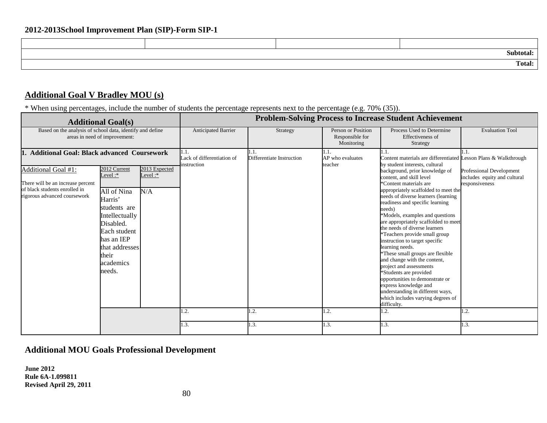|  | $\sim$<br>Subtotal: |
|--|---------------------|
|  | Total:              |

### **Additional Goal V Bradley MOU (s)**

\* When using percentages, include the number of students the percentage represents next to the percentage (e.g. 70% (35)).

|                                                                                                                                                                                | <b>Problem-Solving Process to Increase Student Achievement</b><br><b>Additional Goal(s)</b>                                                                                      |                                    |                                           |                                                     |                                                           |                                                                                                                                                                                                                                                                                                                                                                                                                                                                                                                                                                                                                                                  |                                                                                   |
|--------------------------------------------------------------------------------------------------------------------------------------------------------------------------------|----------------------------------------------------------------------------------------------------------------------------------------------------------------------------------|------------------------------------|-------------------------------------------|-----------------------------------------------------|-----------------------------------------------------------|--------------------------------------------------------------------------------------------------------------------------------------------------------------------------------------------------------------------------------------------------------------------------------------------------------------------------------------------------------------------------------------------------------------------------------------------------------------------------------------------------------------------------------------------------------------------------------------------------------------------------------------------------|-----------------------------------------------------------------------------------|
| Based on the analysis of school data, identify and define<br>areas in need of improvement:                                                                                     |                                                                                                                                                                                  | Anticipated Barrier                | Strategy                                  | Person or Position<br>Responsible for<br>Monitoring | Process Used to Determine<br>Effectiveness of<br>Strategy | <b>Evaluation Tool</b>                                                                                                                                                                                                                                                                                                                                                                                                                                                                                                                                                                                                                           |                                                                                   |
| <b>Additional Goal: Black advanced Coursework</b><br>Additional Goal #1:<br>There will be an increase percent<br>of black students enrolled in<br>rigorous advanced coursework | 2012 Current<br>Level:*<br>All of Nina<br>Harris'<br>students are<br>Intellectually<br>Disabled.<br>Each student<br>has an IEP<br>that addresses<br>their<br>academics<br>needs. | 2013 Expected<br>Level: $*$<br>N/A | Lack of differentiation of<br>instruction | Differentiate Instruction                           | .1.<br>AP who evaluates<br>teacher                        | Content materials are differentiated Lesson Plans & Walkthrough<br>by student interests, cultural<br>background, prior knowledge of<br>content, and skill level<br>*Content materials are<br>appropriately scaffolded to meet the<br>needs of diverse learners (learning<br>readiness and specific learning<br>needs)<br>*Models, examples and questions<br>are appropriately scaffolded to meet<br>the needs of diverse learners<br>*Teachers provide small group<br>instruction to target specific<br>learning needs.<br>*These small groups are flexible<br>and change with the content,<br>project and assessments<br>*Students are provided | <b>Professional Development</b><br>includes equity and cultural<br>responsiveness |
|                                                                                                                                                                                |                                                                                                                                                                                  |                                    | .2.                                       | $1.\overline{2}$ .                                  | 1.2.                                                      | opportunities to demonstrate or<br>express knowledge and<br>understanding in different ways,<br>which includes varying degrees of<br>difficulty.<br>$\overline{2}$ .                                                                                                                                                                                                                                                                                                                                                                                                                                                                             | 1.2.                                                                              |
|                                                                                                                                                                                |                                                                                                                                                                                  |                                    | 1.3.                                      | 1.3.                                                | 1.3.                                                      | 1.3.                                                                                                                                                                                                                                                                                                                                                                                                                                                                                                                                                                                                                                             | 1.3.                                                                              |

### **Additional MOU Goals Professional Development**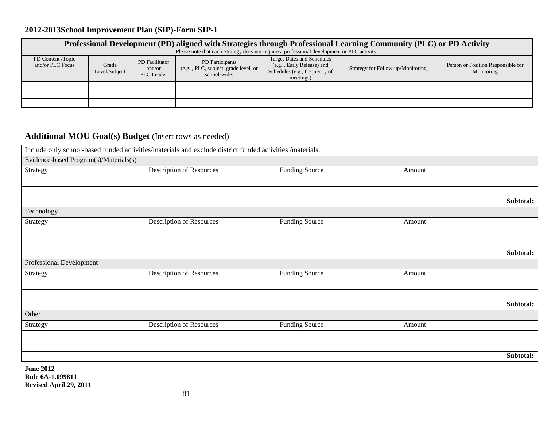| Professional Development (PD) aligned with Strategies through Professional Learning Community (PLC) or PD Activity<br>Please note that each Strategy does not require a professional development or PLC activity. |                        |                                        |                                                                        |                                                                                                              |                                   |                                                  |
|-------------------------------------------------------------------------------------------------------------------------------------------------------------------------------------------------------------------|------------------------|----------------------------------------|------------------------------------------------------------------------|--------------------------------------------------------------------------------------------------------------|-----------------------------------|--------------------------------------------------|
| PD Content /Topic<br>and/or PLC Focus                                                                                                                                                                             | Grade<br>Level/Subject | PD Facilitator<br>and/or<br>PLC Leader | PD Participants<br>(e.g., PLC, subject, grade level, or<br>school-wide | <b>Target Dates and Schedules</b><br>(e.g., Early Release) and<br>Schedules (e.g., frequency of<br>meetings) | Strategy for Follow-up/Monitoring | Person or Position Responsible for<br>Monitoring |
|                                                                                                                                                                                                                   |                        |                                        |                                                                        |                                                                                                              |                                   |                                                  |
|                                                                                                                                                                                                                   |                        |                                        |                                                                        |                                                                                                              |                                   |                                                  |
|                                                                                                                                                                                                                   |                        |                                        |                                                                        |                                                                                                              |                                   |                                                  |

## **Additional MOU Goal(s) Budget** (Insert rows as needed)

| Include only school-based funded activities/materials and exclude district funded activities /materials. |                          |                       |        |           |
|----------------------------------------------------------------------------------------------------------|--------------------------|-----------------------|--------|-----------|
| Evidence-based Program(s)/Materials(s)                                                                   |                          |                       |        |           |
| Strategy                                                                                                 | Description of Resources | <b>Funding Source</b> | Amount |           |
|                                                                                                          |                          |                       |        |           |
|                                                                                                          |                          |                       |        |           |
|                                                                                                          |                          |                       |        | Subtotal: |
| Technology                                                                                               |                          |                       |        |           |
| Strategy                                                                                                 | Description of Resources | <b>Funding Source</b> | Amount |           |
|                                                                                                          |                          |                       |        |           |
|                                                                                                          |                          |                       |        |           |
|                                                                                                          |                          |                       |        | Subtotal: |
| Professional Development                                                                                 |                          |                       |        |           |
| Strategy                                                                                                 | Description of Resources | <b>Funding Source</b> | Amount |           |
|                                                                                                          |                          |                       |        |           |
|                                                                                                          |                          |                       |        |           |
|                                                                                                          |                          |                       |        | Subtotal: |
| Other                                                                                                    |                          |                       |        |           |
| Strategy                                                                                                 | Description of Resources | <b>Funding Source</b> | Amount |           |
|                                                                                                          |                          |                       |        |           |
|                                                                                                          |                          |                       |        |           |
|                                                                                                          |                          |                       |        | Subtotal: |
| $\sim$ $\sim$ $\sim$                                                                                     |                          |                       |        |           |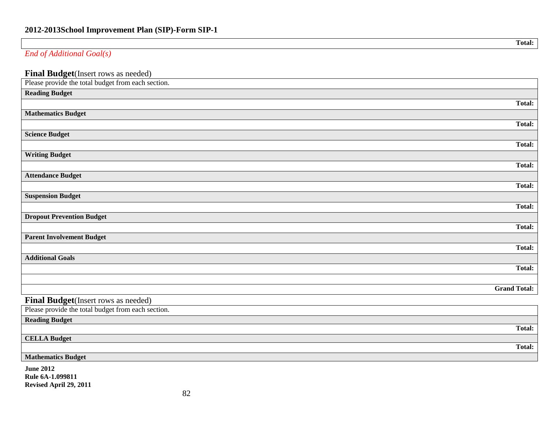## *End of Additional Goal(s)*

| Final Budget(Insert rows as needed)                |                     |
|----------------------------------------------------|---------------------|
| Please provide the total budget from each section. |                     |
| <b>Reading Budget</b>                              |                     |
|                                                    | <b>Total:</b>       |
| <b>Mathematics Budget</b>                          |                     |
|                                                    | Total:              |
| <b>Science Budget</b>                              |                     |
|                                                    | <b>Total:</b>       |
| <b>Writing Budget</b>                              |                     |
|                                                    | <b>Total:</b>       |
| <b>Attendance Budget</b>                           |                     |
|                                                    | <b>Total:</b>       |
| <b>Suspension Budget</b>                           |                     |
|                                                    | <b>Total:</b>       |
| <b>Dropout Prevention Budget</b>                   |                     |
|                                                    | <b>Total:</b>       |
| <b>Parent Involvement Budget</b>                   |                     |
|                                                    | <b>Total:</b>       |
| <b>Additional Goals</b>                            |                     |
|                                                    | <b>Total:</b>       |
|                                                    |                     |
|                                                    | <b>Grand Total:</b> |
| Final Budget(Insert rows as needed)                |                     |
| Please provide the total budget from each section. |                     |

**Total:**

**Total:**

**Total:**

| <b>Reading Budget</b> |  |
|-----------------------|--|
|                       |  |

**CELLA Budget**

**Mathematics Budget**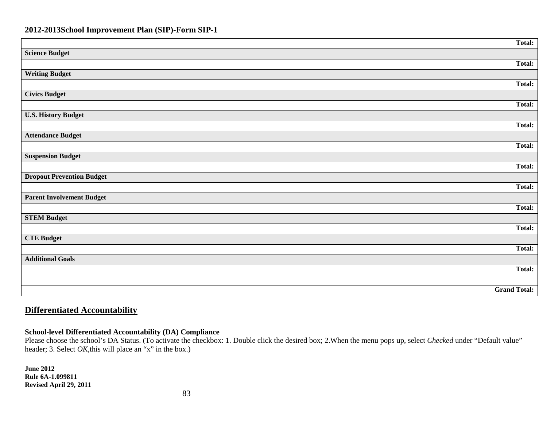|                                  | <b>Total:</b>       |
|----------------------------------|---------------------|
| <b>Science Budget</b>            |                     |
|                                  | Total:              |
| <b>Writing Budget</b>            |                     |
|                                  | Total:              |
| <b>Civics Budget</b>             |                     |
|                                  | Total:              |
| <b>U.S. History Budget</b>       |                     |
|                                  | <b>Total:</b>       |
| <b>Attendance Budget</b>         |                     |
|                                  | <b>Total:</b>       |
| <b>Suspension Budget</b>         |                     |
|                                  | <b>Total:</b>       |
| <b>Dropout Prevention Budget</b> |                     |
|                                  | Total:              |
| <b>Parent Involvement Budget</b> |                     |
|                                  | Total:              |
| <b>STEM Budget</b>               |                     |
|                                  | Total:              |
| <b>CTE Budget</b>                |                     |
|                                  | Total:              |
| <b>Additional Goals</b>          |                     |
|                                  | Total:              |
|                                  |                     |
|                                  | <b>Grand Total:</b> |
|                                  |                     |

### **Differentiated Accountability**

#### **School-level Differentiated Accountability (DA) Compliance**

Please choose the school's DA Status. (To activate the checkbox: 1. Double click the desired box; 2. When the menu pops up, select *Checked* under "Default value" header; 3. Select *OK,*this will place an "x" in the box.)